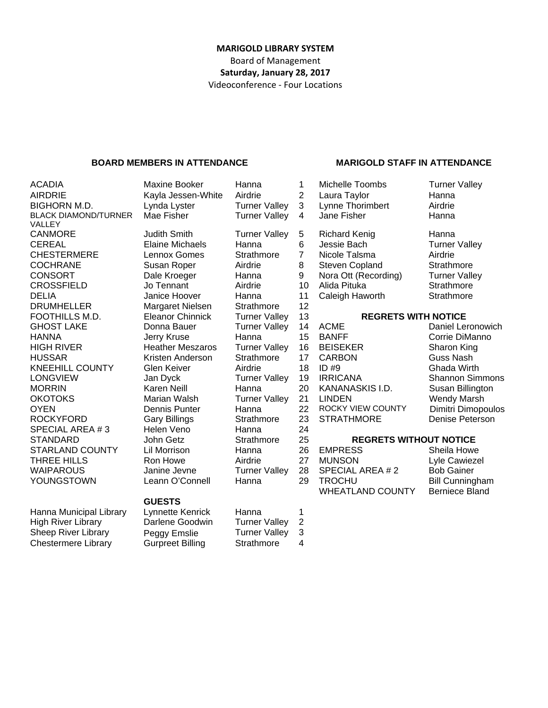#### **MARIGOLD LIBRARY SYSTEM** Board of Management **Saturday, January 28, 2017** Videoconference ‐ Four Locations

#### **BOARD MEMBERS IN ATTENDANCE MARIGOLD STAFF IN ATTENDANCE**

ACADIA **Maxine Booker** Hanna 1 Michelle Toombs Turner Valley AIRDRIE Kayla Jessen-White Airdrie 2 Laura Taylor Hanna BLACK DIAMOND/TURNER VALLEY CHESTERMERE Lennox Gomes Strathmore 7 Nicole Talsma Airdrie<br>COCHRANE Susan Roper Airdrie 8 Steven Copland Strathr COCHRANE Susan Roper Airdrie 8 Steven Copland Strathmore<br>CONSORT Dale Kroeger Hanna 9 Nora Ott (Recording) Turner Valley CONSORT Dale Kroeger Hanna 9 Nora Ott (Recording) CROSSFIELD Jo Tennant Airdrie 10 Alida Pituka Strathmore DELIA Janice Hoover Hanna 11 Caleigh Haworth Strathmore DRUMHFI I FR DRUMHELLER Margaret Nielsen Strathmore FOOTHILLS M.D. Eleanor Chinnick Turner Valley 13 **REGRETS WITH NOTICE** MORRIN Karen Neill Hanna 20 KANANASKIS I.D. SPECIAL AREA # 3 Helen Veno Hanna 24

#### **GUESTS**

BIGHORN M.D. Lynda Lyster Turner Valley 3 Lynne Thorimbert Airdrie Mae Fisher **Turner Valley 4** Jane Fisher Hanna CANMORE Judith Smith Turner Valley 5 Richard Kenig Hanna CEREAL Elaine Michaels Hanna 6 Jessie Bach Turner Valley

- GHOST LAKE Donna Bauer Turner Valley 14 ACME Daniel Leronowich HANNA Jerry Kruse Hanna 15 BANFF Corrie DiManno HIGH RIVER **Heather Meszaros** Turner Valley 16 BEISEKER Sharon King HUSSAR Kristen Anderson Strathmore 17 CARBON Guss Nash KNEEHILL COUNTY Glen Keiver Airdrie 18 ID #9 Ghada Wirth LONGVIEW Jan Dyck Turner Valley 19 IRRICANA Shannon Simmons<br>MORRIN Karen Neill Hanna 20 KANANASKIS I.D. Susan Billington OKOTOKS Marian Walsh Turner Valley 21 LINDEN Wendy Marsh OYEN Dennis Punter Hanna 22 ROCKY VIEW COUNTY Dimitri Dimopoulos<br>
ROCKYFORD Gary Billings Strathmore 23 STRATHMORE Denise Peterson Gary Billings **Strathmore** 23 STRATHMORE Denise Peterson STANDARD John Getz Strathmore 25 **REGRETS WITHOUT NOTICE** STARLAND COUNTY Lil Morrison Hanna 26 EMPRESS Sheila Howe
- THREE HILLS Ron Howe Airdrie 27 MUNSON Lyle Cawiezel WAIPAROUS Janine Jevne Turner Valley 28 SPECIAL AREA # 2 Bob Gainer YOUNGSTOWN Leann O'Connell Hanna 29 TROCHU Bill Cunningham WHEATLAND COUNTY Berniece Bland

Hanna Municipal Library Lynnette Kenrick Hanna 1 High River Library Darlene Goodwin Turner Valley 2 Sheep River Library Peggy Emslie Turner Valley 3 Chestermere Library Gurpreet Billing Strathmore 4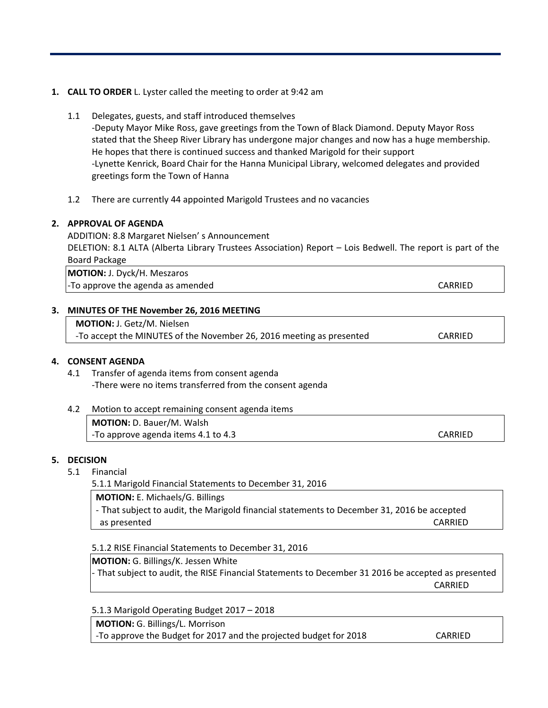#### **1. CALL TO ORDER** L. Lyster called the meeting to order at 9:42 am

- 1.1 Delegates, guests, and staff introduced themselves ‐Deputy Mayor Mike Ross, gave greetings from the Town of Black Diamond. Deputy Mayor Ross stated that the Sheep River Library has undergone major changes and now has a huge membership. He hopes that there is continued success and thanked Marigold for their support ‐Lynette Kenrick, Board Chair for the Hanna Municipal Library, welcomed delegates and provided greetings form the Town of Hanna
- 1.2 There are currently 44 appointed Marigold Trustees and no vacancies

#### **2. APPROVAL OF AGENDA**

ADDITION: 8.8 Margaret Nielsen' s Announcement DELETION: 8.1 ALTA (Alberta Library Trustees Association) Report – Lois Bedwell. The report is part of the Board Package

**MOTION:** J. Dyck/H. Meszaros -To approve the agenda as amended **by a straight and a set of the agent of the agent of the straight and straight a** 

#### **3. MINUTES OF THE November 26, 2016 MEETING**

**MOTION:** J. Getz/M. Nielsen ‐To accept the MINUTES of the November 26, 2016 meeting as presented CARRIED

#### **4. CONSENT AGENDA**

4.1 Transfer of agenda items from consent agenda ‐There were no items transferred from the consent agenda

| 4.2 | Motion to accept remaining consent agenda items |         |
|-----|-------------------------------------------------|---------|
|     | <b>MOTION:</b> D. Bauer/M. Walsh                |         |
|     | -To approve agenda items 4.1 to 4.3             | CARRIED |

#### **5. DECISION**

#### 5.1 Financial

5.1.1 Marigold Financial Statements to December 31, 2016

**MOTION:** E. Michaels/G. Billings

‐ That subject to audit, the Marigold financial statements to December 31, 2016 be accepted as presented and the set of the set of the set of the set of the set of the set of the set of the set of the set of the set of the set of the set of the set of the set of the set of the set of the set of the set of the set

5.1.2 RISE Financial Statements to December 31, 2016

**MOTION:** G. Billings/K. Jessen White ‐ That subject to audit, the RISE Financial Statements to December 31 2016 be accepted as presented **CARRIED** 

5.1.3 Marigold Operating Budget 2017 – 2018

**MOTION:** G. Billings/L. Morrison

‐To approve the Budget for 2017 and the projected budget for 2018 CARRIED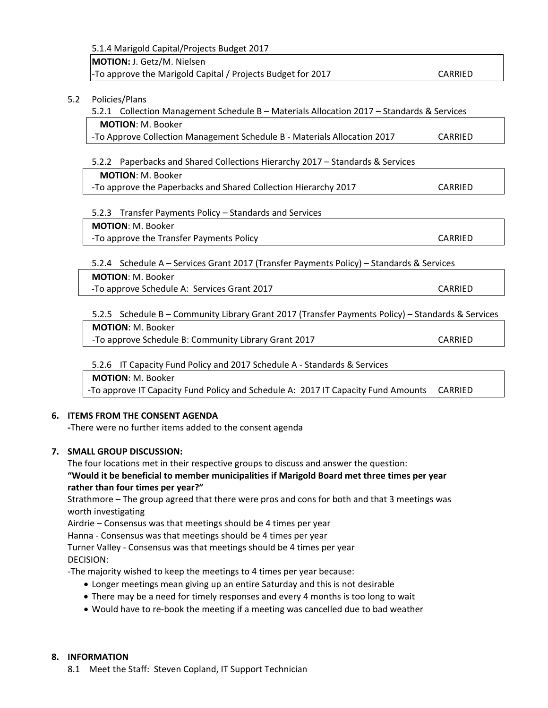| MOTION: J. Getz/M. Nielsen                                                                        |                |  |  |  |  |
|---------------------------------------------------------------------------------------------------|----------------|--|--|--|--|
| -To approve the Marigold Capital / Projects Budget for 2017                                       | <b>CARRIED</b> |  |  |  |  |
|                                                                                                   |                |  |  |  |  |
| Policies/Plans                                                                                    |                |  |  |  |  |
| 5.2.1 Collection Management Schedule B - Materials Allocation 2017 - Standards & Services         |                |  |  |  |  |
| <b>MOTION: M. Booker</b>                                                                          |                |  |  |  |  |
| -To Approve Collection Management Schedule B - Materials Allocation 2017                          | CARRIED        |  |  |  |  |
| 5.2.2 Paperbacks and Shared Collections Hierarchy 2017 - Standards & Services                     |                |  |  |  |  |
| <b>MOTION: M. Booker</b>                                                                          |                |  |  |  |  |
| -To approve the Paperbacks and Shared Collection Hierarchy 2017                                   | <b>CARRIED</b> |  |  |  |  |
|                                                                                                   |                |  |  |  |  |
| 5.2.3 Transfer Payments Policy - Standards and Services                                           |                |  |  |  |  |
| <b>MOTION: M. Booker</b>                                                                          |                |  |  |  |  |
| -To approve the Transfer Payments Policy                                                          | CARRIED        |  |  |  |  |
|                                                                                                   |                |  |  |  |  |
| 5.2.4 Schedule A - Services Grant 2017 (Transfer Payments Policy) - Standards & Services          |                |  |  |  |  |
| <b>MOTION: M. Booker</b>                                                                          |                |  |  |  |  |
| -To approve Schedule A: Services Grant 2017                                                       | CARRIED        |  |  |  |  |
|                                                                                                   |                |  |  |  |  |
| 5.2.5 Schedule B - Community Library Grant 2017 (Transfer Payments Policy) - Standards & Services |                |  |  |  |  |
| <b>MOTION: M. Booker</b>                                                                          |                |  |  |  |  |
| -To approve Schedule B: Community Library Grant 2017                                              | <b>CARRIED</b> |  |  |  |  |
|                                                                                                   |                |  |  |  |  |
| 5.2.6 IT Capacity Fund Policy and 2017 Schedule A - Standards & Services                          |                |  |  |  |  |
| <b>MOTION: M. Booker</b>                                                                          |                |  |  |  |  |
|                                                                                                   |                |  |  |  |  |

#### **6. ITEMS FROM THE CONSENT AGENDA**

 **‐**There were no further items added to the consent agenda

#### **7. SMALL GROUP DISCUSSION:**

The four locations met in their respective groups to discuss and answer the question: **"Would it be beneficial to member municipalities if Marigold Board met three times per year rather than four times per year?"**

Strathmore – The group agreed that there were pros and cons for both and that 3 meetings was worth investigating

Airdrie – Consensus was that meetings should be 4 times per year

Hanna ‐ Consensus was that meetings should be 4 times per year

Turner Valley ‐ Consensus was that meetings should be 4 times per year DECISION:

‐The majority wished to keep the meetings to 4 times per year because:

- Longer meetings mean giving up an entire Saturday and this is not desirable
- There may be a need for timely responses and every 4 months is too long to wait
- Would have to re-book the meeting if a meeting was cancelled due to bad weather

#### **8. INFORMATION**

8.1 Meet the Staff: Steven Copland, IT Support Technician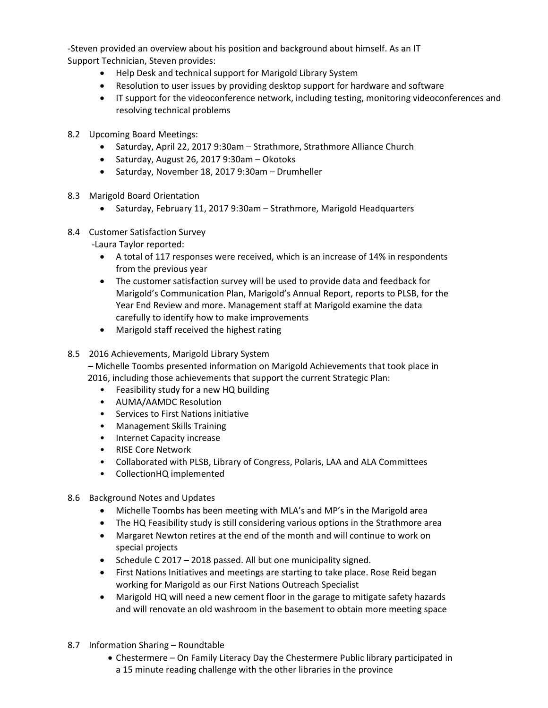‐Steven provided an overview about his position and background about himself. As an IT Support Technician, Steven provides:

- Help Desk and technical support for Marigold Library System
- Resolution to user issues by providing desktop support for hardware and software
- IT support for the videoconference network, including testing, monitoring videoconferences and resolving technical problems
- 8.2 Upcoming Board Meetings:
	- Saturday, April 22, 2017 9:30am Strathmore, Strathmore Alliance Church
	- Saturday, August 26, 2017 9:30am Okotoks
	- Saturday, November 18, 2017 9:30am Drumheller
- 8.3 Marigold Board Orientation
	- Saturday, February 11, 2017 9:30am Strathmore, Marigold Headquarters
- 8.4 Customer Satisfaction Survey

‐Laura Taylor reported:

- A total of 117 responses were received, which is an increase of 14% in respondents from the previous year
- The customer satisfaction survey will be used to provide data and feedback for Marigold's Communication Plan, Marigold's Annual Report, reports to PLSB, for the Year End Review and more. Management staff at Marigold examine the data carefully to identify how to make improvements
- Marigold staff received the highest rating
- 8.5 2016 Achievements, Marigold Library System

 – Michelle Toombs presented information on Marigold Achievements that took place in 2016, including those achievements that support the current Strategic Plan:

- Feasibility study for a new HQ building
- AUMA/AAMDC Resolution
- Services to First Nations initiative
- Management Skills Training
- Internet Capacity increase
- RISE Core Network
- Collaborated with PLSB, Library of Congress, Polaris, LAA and ALA Committees
- CollectionHQ implemented
- 8.6 Background Notes and Updates
	- Michelle Toombs has been meeting with MLA's and MP's in the Marigold area
	- The HQ Feasibility study is still considering various options in the Strathmore area
	- Margaret Newton retires at the end of the month and will continue to work on special projects
	- Schedule C 2017 2018 passed. All but one municipality signed.
	- First Nations Initiatives and meetings are starting to take place. Rose Reid began working for Marigold as our First Nations Outreach Specialist
	- Marigold HQ will need a new cement floor in the garage to mitigate safety hazards and will renovate an old washroom in the basement to obtain more meeting space
- 8.7 Information Sharing Roundtable
	- Chestermere On Family Literacy Day the Chestermere Public library participated in a 15 minute reading challenge with the other libraries in the province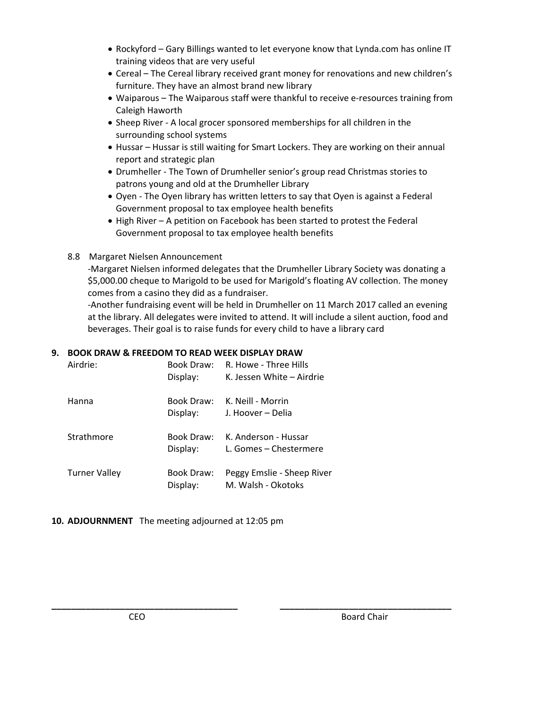- Rockyford Gary Billings wanted to let everyone know that Lynda.com has online IT training videos that are very useful
- Cereal The Cereal library received grant money for renovations and new children's furniture. They have an almost brand new library
- Waiparous The Waiparous staff were thankful to receive e-resources training from Caleigh Haworth
- Sheep River ‐ A local grocer sponsored memberships for all children in the surrounding school systems
- Hussar Hussar is still waiting for Smart Lockers. They are working on their annual report and strategic plan
- Drumheller ‐ The Town of Drumheller senior's group read Christmas stories to patrons young and old at the Drumheller Library
- Oyen ‐ The Oyen library has written letters to say that Oyen is against a Federal Government proposal to tax employee health benefits
- High River A petition on Facebook has been started to protest the Federal Government proposal to tax employee health benefits
- 8.8 Margaret Nielsen Announcement

 ‐Margaret Nielsen informed delegates that the Drumheller Library Society was donating a \$5,000.00 cheque to Marigold to be used for Marigold's floating AV collection. The money comes from a casino they did as a fundraiser.

 ‐Another fundraising event will be held in Drumheller on 11 March 2017 called an evening at the library. All delegates were invited to attend. It will include a silent auction, food and beverages. Their goal is to raise funds for every child to have a library card

**\_\_\_\_\_\_\_\_\_\_\_\_\_\_\_\_\_\_\_\_\_\_\_\_\_\_\_\_\_\_\_\_\_\_\_\_\_\_ \_\_\_\_\_\_\_\_\_\_\_\_\_\_\_\_\_\_\_\_\_\_\_\_\_\_\_\_\_\_\_\_\_\_\_**

#### **9. BOOK DRAW & FREEDOM TO READ WEEK DISPLAY DRAW**

| Airdrie:             | Book Draw:<br>Display:        | R. Howe - Three Hills<br>K. Jessen White – Airdrie |
|----------------------|-------------------------------|----------------------------------------------------|
| Hanna                | Book Draw:<br>Display:        | K. Neill - Morrin<br>J. Hoover – Delia             |
| Strathmore           | <b>Book Draw:</b><br>Display: | K. Anderson - Hussar<br>L. Gomes - Chestermere     |
| <b>Turner Valley</b> | Book Draw:<br>Display:        | Peggy Emslie - Sheep River<br>M. Walsh - Okotoks   |

**10. ADJOURNMENT** The meeting adjourned at 12:05 pm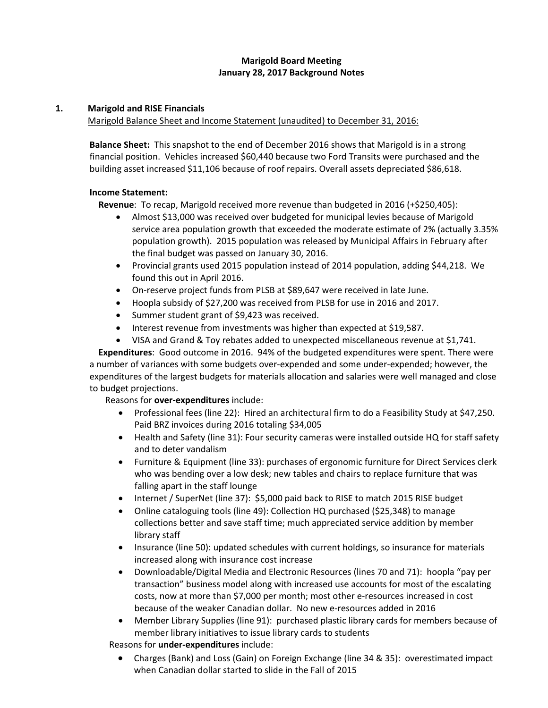#### **Marigold Board Meeting January 28, 2017 Background Notes**

#### **1. Marigold and RISE Financials**

Marigold Balance Sheet and Income Statement (unaudited) to December 31, 2016:

**Balance Sheet:** This snapshot to the end of December 2016 shows that Marigold is in a strong financial position. Vehicles increased \$60,440 because two Ford Transits were purchased and the building asset increased \$11,106 because of roof repairs. Overall assets depreciated \$86,618.

#### **Income Statement:**

 **Revenue**: To recap, Marigold received more revenue than budgeted in 2016 (+\$250,405):

- Almost \$13,000 was received over budgeted for municipal levies because of Marigold service area population growth that exceeded the moderate estimate of 2% (actually 3.35% population growth). 2015 population was released by Municipal Affairs in February after the final budget was passed on January 30, 2016.
- Provincial grants used 2015 population instead of 2014 population, adding \$44,218. We found this out in April 2016.
- On-reserve project funds from PLSB at \$89,647 were received in late June.
- Hoopla subsidy of \$27,200 was received from PLSB for use in 2016 and 2017.
- Summer student grant of \$9,423 was received.
- Interest revenue from investments was higher than expected at \$19,587.
- VISA and Grand & Toy rebates added to unexpected miscellaneous revenue at \$1,741.

 **Expenditures**: Good outcome in 2016. 94% of the budgeted expenditures were spent. There were a number of variances with some budgets over‐expended and some under‐expended; however, the expenditures of the largest budgets for materials allocation and salaries were well managed and close to budget projections.

Reasons for **over‐expenditures** include:

- Professional fees (line 22): Hired an architectural firm to do a Feasibility Study at \$47,250. Paid BRZ invoices during 2016 totaling \$34,005
- Health and Safety (line 31): Four security cameras were installed outside HQ for staff safety and to deter vandalism
- Furniture & Equipment (line 33): purchases of ergonomic furniture for Direct Services clerk who was bending over a low desk; new tables and chairs to replace furniture that was falling apart in the staff lounge
- Internet / SuperNet (line 37): \$5,000 paid back to RISE to match 2015 RISE budget
- Online cataloguing tools (line 49): Collection HQ purchased (\$25,348) to manage collections better and save staff time; much appreciated service addition by member library staff
- Insurance (line 50): updated schedules with current holdings, so insurance for materials increased along with insurance cost increase
- Downloadable/Digital Media and Electronic Resources (lines 70 and 71): hoopla "pay per transaction" business model along with increased use accounts for most of the escalating costs, now at more than \$7,000 per month; most other e‐resources increased in cost because of the weaker Canadian dollar. No new e‐resources added in 2016
- Member Library Supplies (line 91): purchased plastic library cards for members because of member library initiatives to issue library cards to students

Reasons for **under‐expenditures** include:

 Charges (Bank) and Loss (Gain) on Foreign Exchange (line 34 & 35): overestimated impact when Canadian dollar started to slide in the Fall of 2015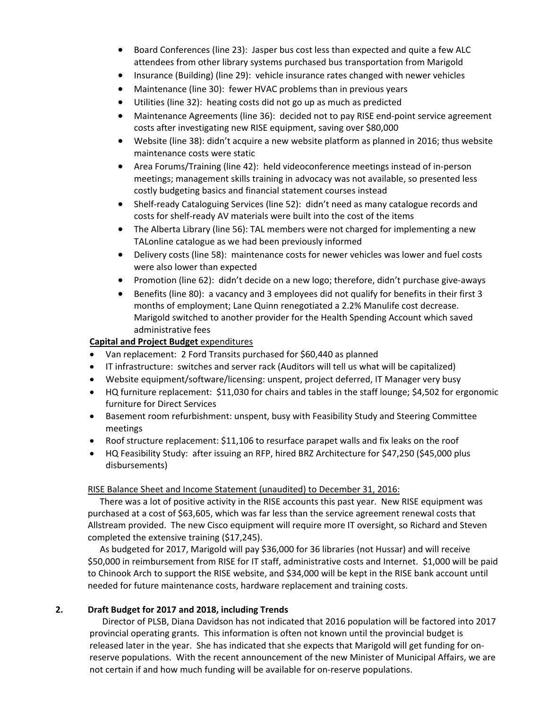- Board Conferences (line 23): Jasper bus cost less than expected and quite a few ALC attendees from other library systems purchased bus transportation from Marigold
- Insurance (Building) (line 29): vehicle insurance rates changed with newer vehicles
- Maintenance (line 30): fewer HVAC problems than in previous years
- Utilities (line 32): heating costs did not go up as much as predicted
- Maintenance Agreements (line 36): decided not to pay RISE end-point service agreement costs after investigating new RISE equipment, saving over \$80,000
- Website (line 38): didn't acquire a new website platform as planned in 2016; thus website maintenance costs were static
- Area Forums/Training (line 42): held videoconference meetings instead of in‐person meetings; management skills training in advocacy was not available, so presented less costly budgeting basics and financial statement courses instead
- Shelf-ready Cataloguing Services (line 52): didn't need as many catalogue records and costs for shelf‐ready AV materials were built into the cost of the items
- The Alberta Library (line 56): TAL members were not charged for implementing a new TALonline catalogue as we had been previously informed
- Delivery costs (line 58): maintenance costs for newer vehicles was lower and fuel costs were also lower than expected
- Promotion (line 62): didn't decide on a new logo; therefore, didn't purchase give-aways
- Benefits (line 80): a vacancy and 3 employees did not qualify for benefits in their first 3 months of employment; Lane Quinn renegotiated a 2.2% Manulife cost decrease. Marigold switched to another provider for the Health Spending Account which saved administrative fees

#### **Capital and Project Budget** expenditures

- Van replacement: 2 Ford Transits purchased for \$60,440 as planned
- IT infrastructure: switches and server rack (Auditors will tell us what will be capitalized)
- Website equipment/software/licensing: unspent, project deferred, IT Manager very busy
- HQ furniture replacement: \$11,030 for chairs and tables in the staff lounge; \$4,502 for ergonomic furniture for Direct Services
- Basement room refurbishment: unspent, busy with Feasibility Study and Steering Committee meetings
- Roof structure replacement: \$11,106 to resurface parapet walls and fix leaks on the roof
- HQ Feasibility Study: after issuing an RFP, hired BRZ Architecture for \$47,250 (\$45,000 plus disbursements)

#### RISE Balance Sheet and Income Statement (unaudited) to December 31, 2016:

There was a lot of positive activity in the RISE accounts this past year. New RISE equipment was purchased at a cost of \$63,605, which was far less than the service agreement renewal costs that Allstream provided. The new Cisco equipment will require more IT oversight, so Richard and Steven completed the extensive training (\$17,245).

As budgeted for 2017, Marigold will pay \$36,000 for 36 libraries (not Hussar) and will receive \$50,000 in reimbursement from RISE for IT staff, administrative costs and Internet. \$1,000 will be paid to Chinook Arch to support the RISE website, and \$34,000 will be kept in the RISE bank account until needed for future maintenance costs, hardware replacement and training costs.

#### **2. Draft Budget for 2017 and 2018, including Trends**

Director of PLSB, Diana Davidson has not indicated that 2016 population will be factored into 2017 provincial operating grants. This information is often not known until the provincial budget is released later in the year. She has indicated that she expects that Marigold will get funding for on‐ reserve populations. With the recent announcement of the new Minister of Municipal Affairs, we are not certain if and how much funding will be available for on-reserve populations.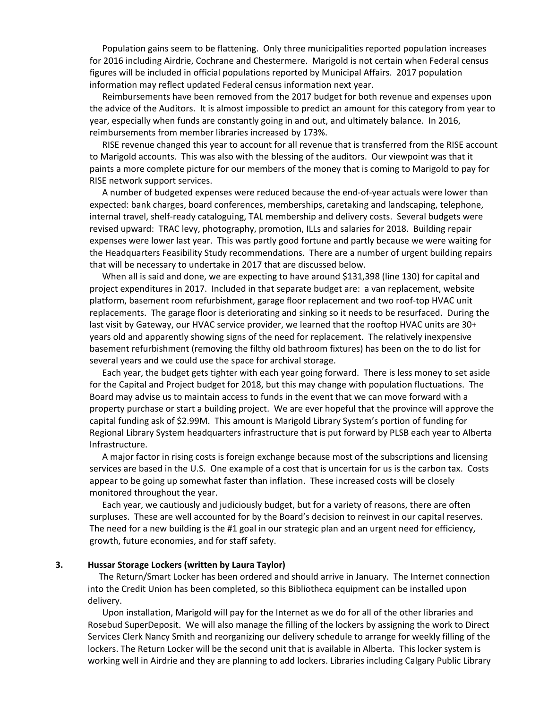Population gains seem to be flattening. Only three municipalities reported population increases for 2016 including Airdrie, Cochrane and Chestermere. Marigold is not certain when Federal census figures will be included in official populations reported by Municipal Affairs. 2017 population information may reflect updated Federal census information next year.

Reimbursements have been removed from the 2017 budget for both revenue and expenses upon the advice of the Auditors. It is almost impossible to predict an amount for this category from year to year, especially when funds are constantly going in and out, and ultimately balance. In 2016, reimbursements from member libraries increased by 173%.

RISE revenue changed this year to account for all revenue that is transferred from the RISE account to Marigold accounts. This was also with the blessing of the auditors. Our viewpoint was that it paints a more complete picture for our members of the money that is coming to Marigold to pay for RISE network support services.

A number of budgeted expenses were reduced because the end‐of‐year actuals were lower than expected: bank charges, board conferences, memberships, caretaking and landscaping, telephone, internal travel, shelf‐ready cataloguing, TAL membership and delivery costs. Several budgets were revised upward: TRAC levy, photography, promotion, ILLs and salaries for 2018. Building repair expenses were lower last year. This was partly good fortune and partly because we were waiting for the Headquarters Feasibility Study recommendations. There are a number of urgent building repairs that will be necessary to undertake in 2017 that are discussed below.

When all is said and done, we are expecting to have around \$131,398 (line 130) for capital and project expenditures in 2017. Included in that separate budget are: a van replacement, website platform, basement room refurbishment, garage floor replacement and two roof‐top HVAC unit replacements. The garage floor is deteriorating and sinking so it needs to be resurfaced. During the last visit by Gateway, our HVAC service provider, we learned that the rooftop HVAC units are 30+ years old and apparently showing signs of the need for replacement. The relatively inexpensive basement refurbishment (removing the filthy old bathroom fixtures) has been on the to do list for several years and we could use the space for archival storage.

Each year, the budget gets tighter with each year going forward. There is less money to set aside for the Capital and Project budget for 2018, but this may change with population fluctuations. The Board may advise us to maintain access to funds in the event that we can move forward with a property purchase or start a building project. We are ever hopeful that the province will approve the capital funding ask of \$2.99M. This amount is Marigold Library System's portion of funding for Regional Library System headquarters infrastructure that is put forward by PLSB each year to Alberta Infrastructure.

A major factor in rising costs is foreign exchange because most of the subscriptions and licensing services are based in the U.S. One example of a cost that is uncertain for us is the carbon tax. Costs appear to be going up somewhat faster than inflation. These increased costs will be closely monitored throughout the year.

Each year, we cautiously and judiciously budget, but for a variety of reasons, there are often surpluses. These are well accounted for by the Board's decision to reinvest in our capital reserves. The need for a new building is the #1 goal in our strategic plan and an urgent need for efficiency, growth, future economies, and for staff safety.

#### **3. Hussar Storage Lockers (written by Laura Taylor)**

The Return/Smart Locker has been ordered and should arrive in January. The Internet connection into the Credit Union has been completed, so this Bibliotheca equipment can be installed upon delivery.

Upon installation, Marigold will pay for the Internet as we do for all of the other libraries and Rosebud SuperDeposit. We will also manage the filling of the lockers by assigning the work to Direct Services Clerk Nancy Smith and reorganizing our delivery schedule to arrange for weekly filling of the lockers. The Return Locker will be the second unit that is available in Alberta. This locker system is working well in Airdrie and they are planning to add lockers. Libraries including Calgary Public Library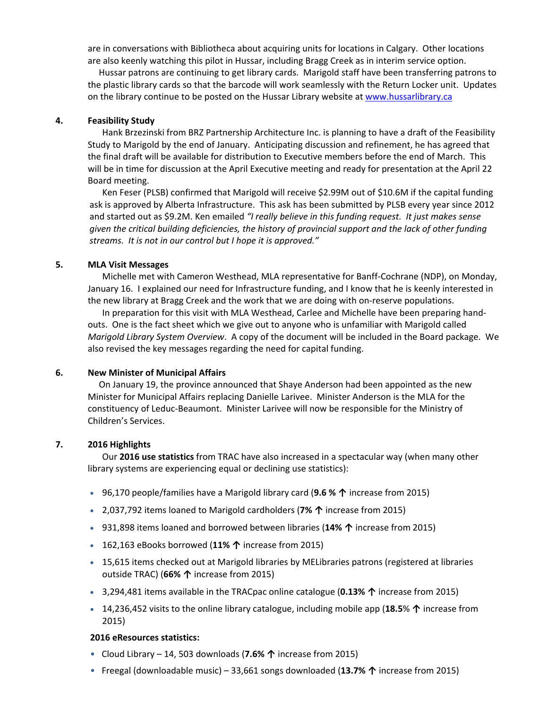are in conversations with Bibliotheca about acquiring units for locations in Calgary. Other locations are also keenly watching this pilot in Hussar, including Bragg Creek as in interim service option.

 Hussar patrons are continuing to get library cards. Marigold staff have been transferring patrons to the plastic library cards so that the barcode will work seamlessly with the Return Locker unit. Updates on the library continue to be posted on the Hussar Library website at www.hussarlibrary.ca

#### **4. Feasibility Study**

Hank Brzezinski from BRZ Partnership Architecture Inc. is planning to have a draft of the Feasibility Study to Marigold by the end of January. Anticipating discussion and refinement, he has agreed that the final draft will be available for distribution to Executive members before the end of March. This will be in time for discussion at the April Executive meeting and ready for presentation at the April 22 Board meeting.

Ken Feser (PLSB) confirmed that Marigold will receive \$2.99M out of \$10.6M if the capital funding ask is approved by Alberta Infrastructure. This ask has been submitted by PLSB every year since 2012 and started out as \$9.2M. Ken emailed *"I really believe in this funding request. It just makes sense given the critical building deficiencies, the history of provincial support and the lack of other funding streams. It is not in our control but I hope it is approved."*

#### **5. MLA Visit Messages**

Michelle met with Cameron Westhead, MLA representative for Banff‐Cochrane (NDP), on Monday, January 16. I explained our need for Infrastructure funding, and I know that he is keenly interested in the new library at Bragg Creek and the work that we are doing with on‐reserve populations.

In preparation for this visit with MLA Westhead, Carlee and Michelle have been preparing hand‐ outs. One is the fact sheet which we give out to anyone who is unfamiliar with Marigold called *Marigold Library System Overview*. A copy of the document will be included in the Board package. We also revised the key messages regarding the need for capital funding.

#### **6. New Minister of Municipal Affairs**

On January 19, the province announced that Shaye Anderson had been appointed as the new Minister for Municipal Affairs replacing Danielle Larivee. Minister Anderson is the MLA for the constituency of Leduc‐Beaumont. Minister Larivee will now be responsible for the Ministry of Children's Services.

#### **7. 2016 Highlights**

Our **2016 use statistics** from TRAC have also increased in a spectacular way (when many other library systems are experiencing equal or declining use statistics):

- 96,170 people/families have a Marigold library card (**9.6 % ↑** increase from 2015)
- 2,037,792 items loaned to Marigold cardholders (**7% ↑** increase from 2015)
- 931,898 items loaned and borrowed between libraries (**14% ↑** increase from 2015)
- 162,163 eBooks borrowed (**11% ↑** increase from 2015)
- 15,615 items checked out at Marigold libraries by MELibraries patrons (registered at libraries outside TRAC) (**66% ↑** increase from 2015)
- 3,294,481 items available in the TRACpac online catalogue (**0.13% ↑** increase from 2015)
- 14,236,452 visits to the online library catalogue, including mobile app (**18.5**% **↑** increase from 2015)

#### **2016 eResources statistics:**

- Cloud Library 14, 503 downloads (**7.6% ↑** increase from 2015)
- Freegal (downloadable music) 33,661 songs downloaded (**13.7% ↑** increase from 2015)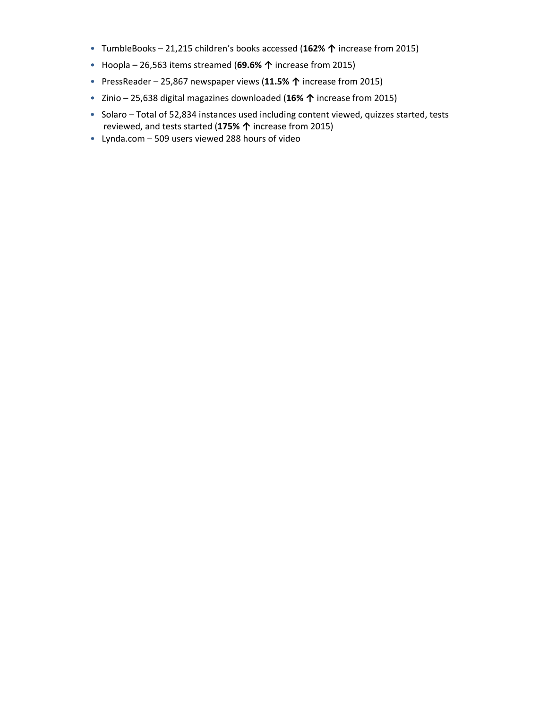- TumbleBooks 21,215 children's books accessed (**162% ↑** increase from 2015)
- Hoopla 26,563 items streamed (**69.6% ↑** increase from 2015)
- PressReader 25,867 newspaper views (**11.5% ↑** increase from 2015)
- Zinio 25,638 digital magazines downloaded (**16% ↑** increase from 2015)
- Solaro Total of 52,834 instances used including content viewed, quizzes started, tests reviewed, and tests started (**175% ↑** increase from 2015)
- Lynda.com 509 users viewed 288 hours of video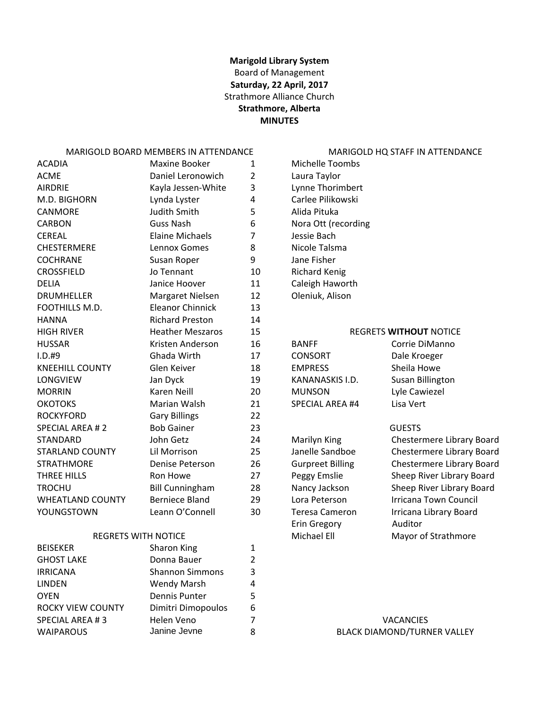#### **Marigold Library System** Board of Management **Saturday, 22 April, 2017** Strathmore Alliance Church **Strathmore, Alberta MINUTES**

#### MARIGOLD BOARD MEMBERS IN ATTENDANCE MARIGOLD HQ STAFF IN ATTENDANCE

| <b>ACADIA</b>           | Maxine Booker           | $\mathbf{1}$   | Michelle Toombs         |                               |
|-------------------------|-------------------------|----------------|-------------------------|-------------------------------|
| <b>ACME</b>             | Daniel Leronowich       | $\overline{2}$ | Laura Taylor            |                               |
| <b>AIRDRIE</b>          | Kayla Jessen-White      | 3              | Lynne Thorimbert        |                               |
| M.D. BIGHORN            | Lynda Lyster            | 4              | Carlee Pilikowski       |                               |
| <b>CANMORE</b>          | Judith Smith            | 5              | Alida Pituka            |                               |
| <b>CARBON</b>           | <b>Guss Nash</b>        | 6              | Nora Ott (recording     |                               |
| <b>CEREAL</b>           | <b>Elaine Michaels</b>  | 7              | Jessie Bach             |                               |
| <b>CHESTERMERE</b>      | Lennox Gomes            | 8              | Nicole Talsma           |                               |
| <b>COCHRANE</b>         | Susan Roper             | 9              | Jane Fisher             |                               |
| <b>CROSSFIELD</b>       | Jo Tennant              | 10             | <b>Richard Kenig</b>    |                               |
| <b>DELIA</b>            | Janice Hoover           | 11             | Caleigh Haworth         |                               |
| <b>DRUMHELLER</b>       | Margaret Nielsen        | 12             | Oleniuk, Alison         |                               |
| FOOTHILLS M.D.          | <b>Eleanor Chinnick</b> | 13             |                         |                               |
| <b>HANNA</b>            | <b>Richard Preston</b>  | 14             |                         |                               |
| <b>HIGH RIVER</b>       | <b>Heather Meszaros</b> | 15             |                         | <b>REGRETS WITHOUT NOTICE</b> |
| <b>HUSSAR</b>           | Kristen Anderson        | 16             | <b>BANFF</b>            | Corrie DiManno                |
| $I.D.$ #9               | Ghada Wirth             | 17             | <b>CONSORT</b>          | Dale Kroeger                  |
| <b>KNEEHILL COUNTY</b>  | Glen Keiver             | 18             | <b>EMPRESS</b>          | Sheila Howe                   |
| LONGVIEW                | Jan Dyck                | 19             | KANANASKIS I.D.         | Susan Billington              |
| <b>MORRIN</b>           | Karen Neill             | 20             | <b>MUNSON</b>           | Lyle Cawiezel                 |
| <b>OKOTOKS</b>          | Marian Walsh            | 21             | <b>SPECIAL AREA #4</b>  | Lisa Vert                     |
| <b>ROCKYFORD</b>        | <b>Gary Billings</b>    | 22             |                         |                               |
| <b>SPECIAL AREA #2</b>  | <b>Bob Gainer</b>       | 23             |                         | <b>GUESTS</b>                 |
| <b>STANDARD</b>         | John Getz               | 24             | Marilyn King            | Chestermere Library B         |
| <b>STARLAND COUNTY</b>  | Lil Morrison            | 25             | Janelle Sandboe         | Chestermere Library B         |
| <b>STRATHMORE</b>       | Denise Peterson         | 26             | <b>Gurpreet Billing</b> | Chestermere Library B         |
| <b>THREE HILLS</b>      | Ron Howe                | 27             | Peggy Emslie            | Sheep River Library Bo        |
| <b>TROCHU</b>           | <b>Bill Cunningham</b>  | 28             | Nancy Jackson           | Sheep River Library Bo        |
| <b>WHEATLAND COUNTY</b> | <b>Berniece Bland</b>   | 29             | Lora Peterson           | <b>Irricana Town Council</b>  |
| YOUNGSTOWN              | Leann O'Connell         | 30             | <b>Teresa Cameron</b>   | Irricana Library Board        |

#### REGRETS WITH NOTICE **Strathmore** Michael Ell Mayor of Strathmore

| <b>BEISEKER</b>   | Sharon King            |   |                           |
|-------------------|------------------------|---|---------------------------|
| <b>GHOST LAKE</b> | Donna Bauer            |   |                           |
| <b>IRRICANA</b>   | <b>Shannon Simmons</b> | 3 |                           |
| <b>LINDEN</b>     | <b>Wendy Marsh</b>     | 4 |                           |
| <b>OYEN</b>       | Dennis Punter          |   |                           |
| ROCKY VIEW COUNTY | Dimitri Dimopoulos     | 6 |                           |
| SPECIAL AREA #3   | Helen Veno             |   | <b>VACANCIES</b>          |
| <b>WAIPAROUS</b>  | Janine Jevne           | 8 | <b>BLACK DIAMOND/TURI</b> |

|     | <b>REGRETS WITHOUT NOTICE</b> |
|-----|-------------------------------|
|     | Corrie DiManno                |
|     | Dale Kroeger                  |
|     | Sheila Howe                   |
| .D. | <b>Susan Billington</b>       |
|     | Lyle Cawiezel                 |
| #4  | Lisa Vert                     |
|     |                               |

Phearland 20 Lora Peterson **Bland 20 Lora Peterson** Irricana Town Council Erin Gregory Auditor

Marilyn King Chestermere Library Board S Janelle Sandboe Chestermere Library Board S Gurpreet Billing Chestermere Library Board 7 Peggy Emslie Sheep River Library Board Reep River Library Board Sheep River Library Board

BLACK DIAMOND/TURNER VALLEY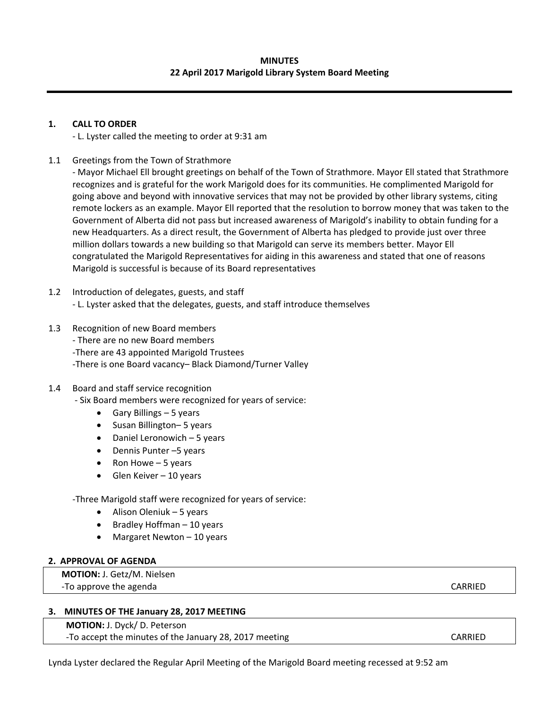#### **MINUTES 22 April 2017 Marigold Library System Board Meeting**

#### **1. CALL TO ORDER**

‐ L. Lyster called the meeting to order at 9:31 am

1.1 Greetings from the Town of Strathmore

‐ Mayor Michael Ell brought greetings on behalf of the Town of Strathmore. Mayor Ell stated that Strathmore recognizes and is grateful for the work Marigold does for its communities. He complimented Marigold for going above and beyond with innovative services that may not be provided by other library systems, citing remote lockers as an example. Mayor Ell reported that the resolution to borrow money that was taken to the Government of Alberta did not pass but increased awareness of Marigold's inability to obtain funding for a new Headquarters. As a direct result, the Government of Alberta has pledged to provide just over three million dollars towards a new building so that Marigold can serve its members better. Mayor Ell congratulated the Marigold Representatives for aiding in this awareness and stated that one of reasons Marigold is successful is because of its Board representatives

- 1.2 Introduction of delegates, guests, and staff ‐ L. Lyster asked that the delegates, guests, and staff introduce themselves
- 1.3 Recognition of new Board members
	- ‐ There are no new Board members
	- ‐There are 43 appointed Marigold Trustees

‐There is one Board vacancy– Black Diamond/Turner Valley

#### 1.4 Board and staff service recognition

‐ Six Board members were recognized for years of service:

- $\bullet$  Gary Billings 5 years
- Susan Billington– 5 years
- Daniel Leronowich 5 years
- Dennis Punter 5 years
- Ron Howe  $-5$  years
- $\bullet$  Glen Keiver 10 years

‐Three Marigold staff were recognized for years of service:

- Alison Oleniuk 5 years
- $\bullet$  Bradley Hoffman 10 years
- $\bullet$  Margaret Newton 10 years

#### **2. APPROVAL OF AGENDA**

 **MOTION:** J. Getz/M. Nielsen ‐To approve the agenda CARRIED

#### **3. MINUTES OF THE January 28, 2017 MEETING**

 **MOTION:** J. Dyck/ D. Peterson -To accept the minutes of the January 28, 2017 meeting **Sand Constants CONTACK CONTACK CONTACK** 

Lynda Lyster declared the Regular April Meeting of the Marigold Board meeting recessed at 9:52 am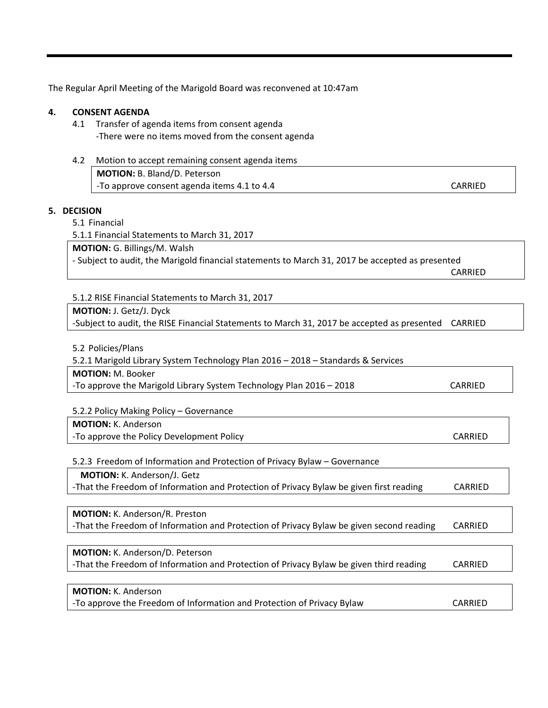The Regular April Meeting of the Marigold Board was reconvened at 10:47am

#### **4. CONSENT AGENDA**

- 4.1 Transfer of agenda items from consent agenda ‐There were no items moved from the consent agenda
- 4.2 Motion to accept remaining consent agenda items **MOTION:** B. Bland/D. Peterson ‐To approve consent agenda items 4.1 to 4.4 CARRIED

#### **5. DECISION**

5.1 Financial

5.1.1 Financial Statements to March 31, 2017

**MOTION:** G. Billings/M. Walsh

‐ Subject to audit, the Marigold financial statements to March 31, 2017 be accepted as presented

**CARRIED** 

5.1.2 RISE Financial Statements to March 31, 2017

**MOTION:** J. Getz/J. Dyck ‐Subject to audit, the RISE Financial Statements to March 31, 2017 be accepted as presented CARRIED

5.2 Policies/Plans

5.2.1 Marigold Library System Technology Plan 2016 – 2018 – Standards & Services

**MOTION:** M. Booker

‐To approve the Marigold Library System Technology Plan 2016 – 2018 CARRIED

5.2.2 Policy Making Policy – Governance

**MOTION:** K. Anderson -To approve the Policy Development Policy **Business Contract Contract CARRIED** 

5.2.3 Freedom of Information and Protection of Privacy Bylaw – Governance

**MOTION:** K. Anderson/J. Getz ‐That the Freedom of Information and Protection of Privacy Bylaw be given first reading CARRIED

**MOTION:** K. Anderson/R. Preston ‐That the Freedom of Information and Protection of Privacy Bylaw be given second reading CARRIED

**MOTION:** K. Anderson/D. Peterson ‐That the Freedom of Information and Protection of Privacy Bylaw be given third reading CARRIED

| <b>MOTION:</b> K. Anderson                                             |         |
|------------------------------------------------------------------------|---------|
| -To approve the Freedom of Information and Protection of Privacy Bylaw | CARRIED |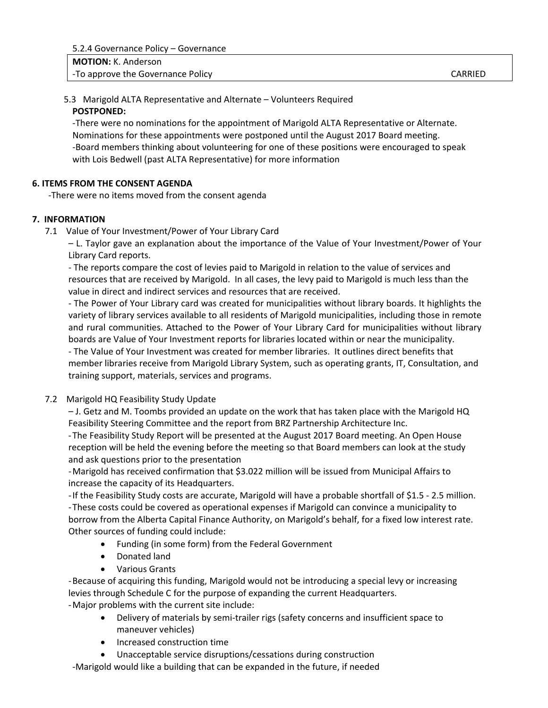#### 5.3 Marigold ALTA Representative and Alternate – Volunteers Required **POSTPONED:**

‐There were no nominations for the appointment of Marigold ALTA Representative or Alternate. Nominations for these appointments were postponed until the August 2017 Board meeting. ‐Board members thinking about volunteering for one of these positions were encouraged to speak with Lois Bedwell (past ALTA Representative) for more information

#### **6. ITEMS FROM THE CONSENT AGENDA**

‐There were no items moved from the consent agenda

#### **7. INFORMATION**

7.1 Value of Your Investment/Power of Your Library Card

– L. Taylor gave an explanation about the importance of the Value of Your Investment/Power of Your Library Card reports.

‐ The reports compare the cost of levies paid to Marigold in relation to the value of services and resources that are received by Marigold. In all cases, the levy paid to Marigold is much less than the value in direct and indirect services and resources that are received.

‐ The Power of Your Library card was created for municipalities without library boards. It highlights the variety of library services available to all residents of Marigold municipalities, including those in remote and rural communities. Attached to the Power of Your Library Card for municipalities without library boards are Value of Your Investment reports for libraries located within or near the municipality.

‐ The Value of Your Investment was created for member libraries. It outlines direct benefits that member libraries receive from Marigold Library System, such as operating grants, IT, Consultation, and training support, materials, services and programs.

7.2 Marigold HQ Feasibility Study Update

 – J. Getz and M. Toombs provided an update on the work that has taken place with the Marigold HQ Feasibility Steering Committee and the report from BRZ Partnership Architecture Inc.

‐The Feasibility Study Report will be presented at the August 2017 Board meeting. An Open House reception will be held the evening before the meeting so that Board members can look at the study and ask questions prior to the presentation

‐Marigold has received confirmation that \$3.022 million will be issued from Municipal Affairs to increase the capacity of its Headquarters.

‐If the Feasibility Study costs are accurate, Marigold will have a probable shortfall of \$1.5 ‐ 2.5 million. ‐These costs could be covered as operational expenses if Marigold can convince a municipality to borrow from the Alberta Capital Finance Authority, on Marigold's behalf, for a fixed low interest rate. Other sources of funding could include:

- Funding (in some form) from the Federal Government
- Donated land
- Various Grants

‐Because of acquiring this funding, Marigold would not be introducing a special levy or increasing levies through Schedule C for the purpose of expanding the current Headquarters. ‐Major problems with the current site include:

- Delivery of materials by semi-trailer rigs (safety concerns and insufficient space to maneuver vehicles)
- Increased construction time
- Unacceptable service disruptions/cessations during construction

‐Marigold would like a building that can be expanded in the future, if needed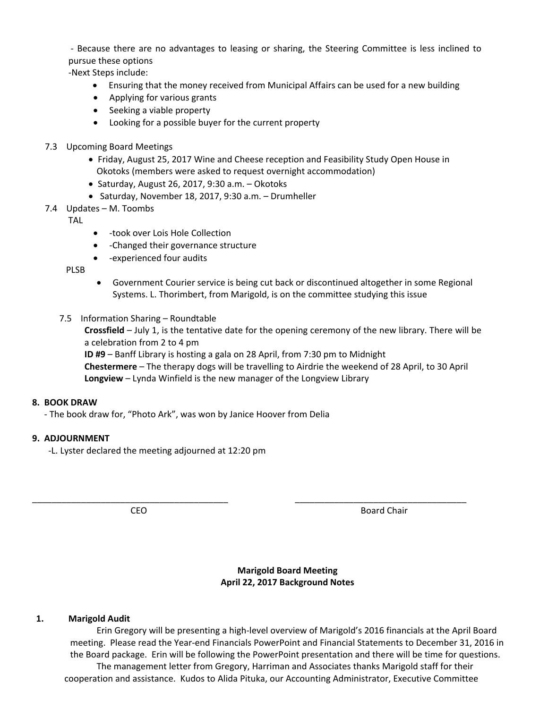‐ Because there are no advantages to leasing or sharing, the Steering Committee is less inclined to pursue these options

‐Next Steps include:

- Ensuring that the money received from Municipal Affairs can be used for a new building
- Applying for various grants
- Seeking a viable property
- Looking for a possible buyer for the current property
- 7.3 Upcoming Board Meetings
	- Friday, August 25, 2017 Wine and Cheese reception and Feasibility Study Open House in Okotoks (members were asked to request overnight accommodation)
	- $\bullet$  Saturday, August 26, 2017, 9:30 a.m.  $-$  Okotoks
	- Saturday, November 18, 2017, 9:30 a.m. Drumheller
- 7.4 Updates M. Toombs
	- **TAL**
- - took over Lois Hole Collection
- ‐Changed their governance structure
- ‐experienced four audits

PLSB

- Government Courier service is being cut back or discontinued altogether in some Regional Systems. L. Thorimbert, from Marigold, is on the committee studying this issue
- 7.5 Information Sharing Roundtable

**Crossfield** – July 1, is the tentative date for the opening ceremony of the new library. There will be a celebration from 2 to 4 pm

**ID #9** – Banff Library is hosting a gala on 28 April, from 7:30 pm to Midnight

\_\_\_\_\_\_\_\_\_\_\_\_\_\_\_\_\_\_\_\_\_\_\_\_\_\_\_\_\_\_\_\_\_\_\_\_\_\_\_\_ \_\_\_\_\_\_\_\_\_\_\_\_\_\_\_\_\_\_\_\_\_\_\_\_\_\_\_\_\_\_\_\_\_\_\_

**Chestermere** – The therapy dogs will be travelling to Airdrie the weekend of 28 April, to 30 April **Longview** – Lynda Winfield is the new manager of the Longview Library

#### **8. BOOK DRAW**

‐ The book draw for, "Photo Ark", was won by Janice Hoover from Delia

#### **9. ADJOURNMENT**

‐L. Lyster declared the meeting adjourned at 12:20 pm

CEO **BOARD CEO** 

**Marigold Board Meeting April 22, 2017 Background Notes**

#### **1. Marigold Audit**

Erin Gregory will be presenting a high‐level overview of Marigold's 2016 financials at the April Board meeting. Please read the Year‐end Financials PowerPoint and Financial Statements to December 31, 2016 in the Board package. Erin will be following the PowerPoint presentation and there will be time for questions. The management letter from Gregory, Harriman and Associates thanks Marigold staff for their cooperation and assistance. Kudos to Alida Pituka, our Accounting Administrator, Executive Committee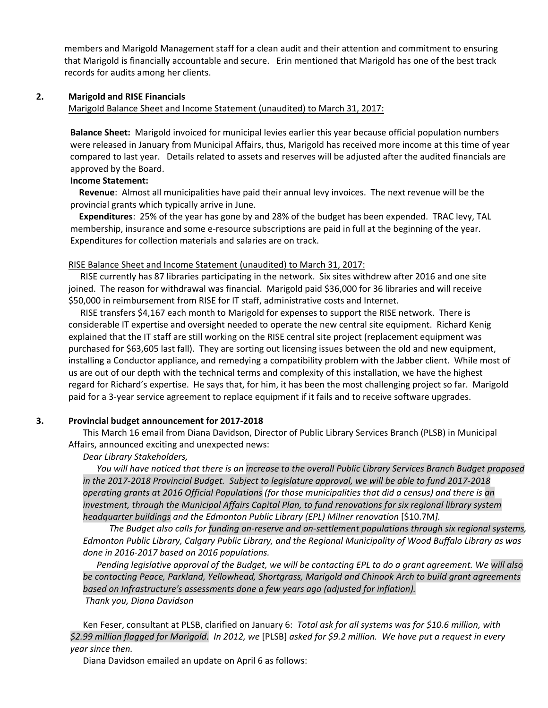members and Marigold Management staff for a clean audit and their attention and commitment to ensuring that Marigold is financially accountable and secure. Erin mentioned that Marigold has one of the best track records for audits among her clients.

#### **2. Marigold and RISE Financials**

#### Marigold Balance Sheet and Income Statement (unaudited) to March 31, 2017:

**Balance Sheet:** Marigold invoiced for municipal levies earlier this year because official population numbers were released in January from Municipal Affairs, thus, Marigold has received more income at this time of year compared to last year. Details related to assets and reserves will be adjusted after the audited financials are approved by the Board.

#### **Income Statement:**

 **Revenue**: Almost all municipalities have paid their annual levy invoices. The next revenue will be the provincial grants which typically arrive in June.

 **Expenditures**: 25% of the year has gone by and 28% of the budget has been expended. TRAC levy, TAL membership, insurance and some e-resource subscriptions are paid in full at the beginning of the year. Expenditures for collection materials and salaries are on track.

#### RISE Balance Sheet and Income Statement (unaudited) to March 31, 2017:

RISE currently has 87 libraries participating in the network. Six sites withdrew after 2016 and one site joined. The reason for withdrawal was financial. Marigold paid \$36,000 for 36 libraries and will receive \$50,000 in reimbursement from RISE for IT staff, administrative costs and Internet.

RISE transfers \$4,167 each month to Marigold for expenses to support the RISE network. There is considerable IT expertise and oversight needed to operate the new central site equipment. Richard Kenig explained that the IT staff are still working on the RISE central site project (replacement equipment was purchased for \$63,605 last fall). They are sorting out licensing issues between the old and new equipment, installing a Conductor appliance, and remedying a compatibility problem with the Jabber client. While most of us are out of our depth with the technical terms and complexity of this installation, we have the highest regard for Richard's expertise. He says that, for him, it has been the most challenging project so far. Marigold paid for a 3‐year service agreement to replace equipment if it fails and to receive software upgrades.

#### **3. Provincial budget announcement for 2017‐2018**

This March 16 email from Diana Davidson, Director of Public Library Services Branch (PLSB) in Municipal Affairs, announced exciting and unexpected news:

#### *Dear Library Stakeholders,*

You will have noticed that there is an increase to the overall Public Library Services Branch Budget proposed in the 2017-2018 Provincial Budget. Subject to legislature approval, we will be able to fund 2017-2018 operating grants at 2016 Official Populations (for those municipalities that did a census) and there is an *investment, through the Municipal Affairs Capital Plan, to fund renovations for six regional library system headquarter buildings and the Edmonton Public Library (EPL) Milner renovation* [\$10.7M*].* 

The Budget also calls for funding on-reserve and on-settlement populations through six regional systems, *Edmonton Public Library, Calgary Public Library, and the Regional Municipality of Wood Buffalo Library as was done in 2016‐2017 based on 2016 populations.*

Pending legislative approval of the Budget, we will be contacting EPL to do a grant agreement. We will also *be contacting Peace, Parkland, Yellowhead, Shortgrass, Marigold and Chinook Arch to build grant agreements based on Infrastructure's assessments done a few years ago (adjusted for inflation).* 

#### *Thank you, Diana Davidson*

Ken Feser, consultant at PLSB, clarified on January 6: *Total ask for all systems was for \$10.6 million, with* \$2.99 million flagged for Marigold. In 2012, we [PLSB] asked for \$9.2 million. We have put a request in every *year since then.* 

Diana Davidson emailed an update on April 6 as follows: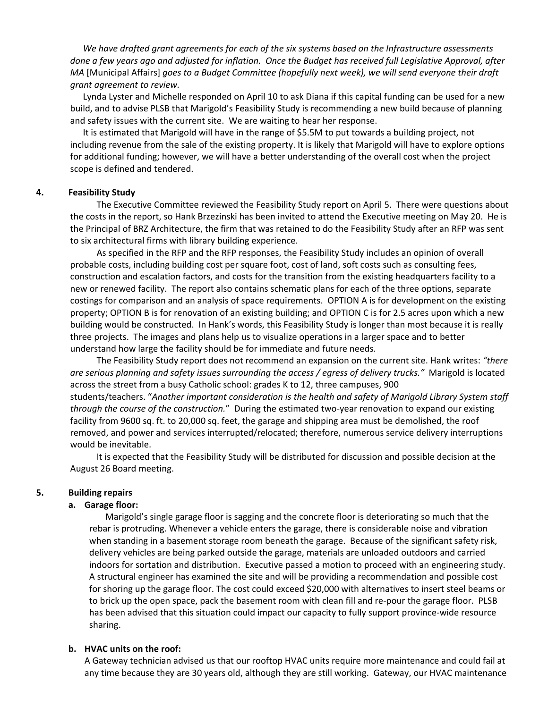*We have drafted grant agreements for each of the six systems based on the Infrastructure assessments* done a few years ago and adjusted for inflation. Once the Budget has received full Legislative Approval, after *MA* [Municipal Affairs] *goes to a Budget Committee (hopefully next week), we will send everyone their draft grant agreement to review.* 

Lynda Lyster and Michelle responded on April 10 to ask Diana if this capital funding can be used for a new build, and to advise PLSB that Marigold's Feasibility Study is recommending a new build because of planning and safety issues with the current site. We are waiting to hear her response.

It is estimated that Marigold will have in the range of \$5.5M to put towards a building project, not including revenue from the sale of the existing property. It is likely that Marigold will have to explore options for additional funding; however, we will have a better understanding of the overall cost when the project scope is defined and tendered.

#### **4. Feasibility Study**

The Executive Committee reviewed the Feasibility Study report on April 5. There were questions about the costs in the report, so Hank Brzezinski has been invited to attend the Executive meeting on May 20. He is the Principal of BRZ Architecture, the firm that was retained to do the Feasibility Study after an RFP was sent to six architectural firms with library building experience.

As specified in the RFP and the RFP responses, the Feasibility Study includes an opinion of overall probable costs, including building cost per square foot, cost of land, soft costs such as consulting fees, construction and escalation factors, and costs for the transition from the existing headquarters facility to a new or renewed facility. The report also contains schematic plans for each of the three options, separate costings for comparison and an analysis of space requirements. OPTION A is for development on the existing property; OPTION B is for renovation of an existing building; and OPTION C is for 2.5 acres upon which a new building would be constructed. In Hank's words, this Feasibility Study is longer than most because it is really three projects. The images and plans help us to visualize operations in a larger space and to better understand how large the facility should be for immediate and future needs.

The Feasibility Study report does not recommend an expansion on the current site. Hank writes: *"there are serious planning and safety issues surrounding the access / egress of delivery trucks."* Marigold is located across the street from a busy Catholic school: grades K to 12, three campuses, 900 students/teachers. "*Another important consideration is the health and safety of Marigold Library System staff through the course of the construction.*" During the estimated two‐year renovation to expand our existing facility from 9600 sq. ft. to 20,000 sq. feet, the garage and shipping area must be demolished, the roof removed, and power and services interrupted/relocated; therefore, numerous service delivery interruptions would be inevitable.

It is expected that the Feasibility Study will be distributed for discussion and possible decision at the August 26 Board meeting.

#### **5. Building repairs**

#### **a. Garage floor:**

Marigold's single garage floor is sagging and the concrete floor is deteriorating so much that the rebar is protruding. Whenever a vehicle enters the garage, there is considerable noise and vibration when standing in a basement storage room beneath the garage. Because of the significant safety risk, delivery vehicles are being parked outside the garage, materials are unloaded outdoors and carried indoors for sortation and distribution. Executive passed a motion to proceed with an engineering study. A structural engineer has examined the site and will be providing a recommendation and possible cost for shoring up the garage floor. The cost could exceed \$20,000 with alternatives to insert steel beams or to brick up the open space, pack the basement room with clean fill and re‐pour the garage floor. PLSB has been advised that this situation could impact our capacity to fully support province‐wide resource sharing.

#### **b. HVAC units on the roof:**

A Gateway technician advised us that our rooftop HVAC units require more maintenance and could fail at any time because they are 30 years old, although they are still working. Gateway, our HVAC maintenance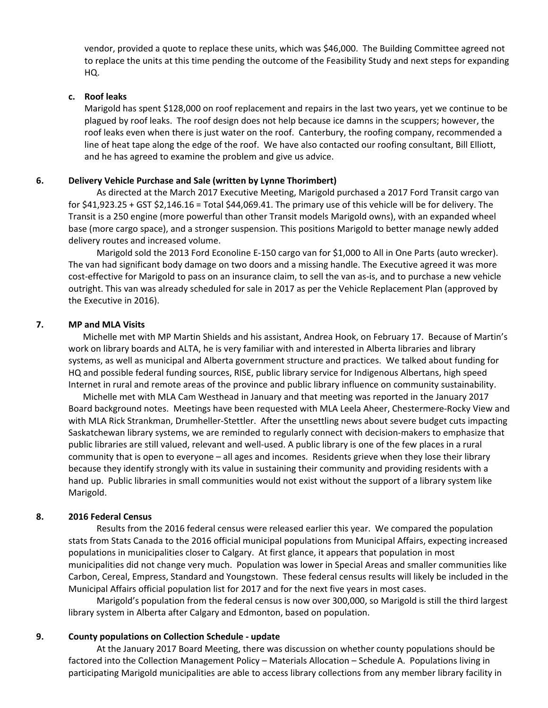vendor, provided a quote to replace these units, which was \$46,000. The Building Committee agreed not to replace the units at this time pending the outcome of the Feasibility Study and next steps for expanding HQ.

#### **c. Roof leaks**

Marigold has spent \$128,000 on roof replacement and repairs in the last two years, yet we continue to be plagued by roof leaks. The roof design does not help because ice damns in the scuppers; however, the roof leaks even when there is just water on the roof. Canterbury, the roofing company, recommended a line of heat tape along the edge of the roof. We have also contacted our roofing consultant, Bill Elliott, and he has agreed to examine the problem and give us advice.

#### **6. Delivery Vehicle Purchase and Sale (written by Lynne Thorimbert)**

As directed at the March 2017 Executive Meeting, Marigold purchased a 2017 Ford Transit cargo van for \$41,923.25 + GST \$2,146.16 = Total \$44,069.41. The primary use of this vehicle will be for delivery. The Transit is a 250 engine (more powerful than other Transit models Marigold owns), with an expanded wheel base (more cargo space), and a stronger suspension. This positions Marigold to better manage newly added delivery routes and increased volume.

Marigold sold the 2013 Ford Econoline E‐150 cargo van for \$1,000 to All in One Parts (auto wrecker). The van had significant body damage on two doors and a missing handle. The Executive agreed it was more cost-effective for Marigold to pass on an insurance claim, to sell the van as-is, and to purchase a new vehicle outright. This van was already scheduled for sale in 2017 as per the Vehicle Replacement Plan (approved by the Executive in 2016).

#### **7. MP and MLA Visits**

Michelle met with MP Martin Shields and his assistant, Andrea Hook, on February 17. Because of Martin's work on library boards and ALTA, he is very familiar with and interested in Alberta libraries and library systems, as well as municipal and Alberta government structure and practices. We talked about funding for HQ and possible federal funding sources, RISE, public library service for Indigenous Albertans, high speed Internet in rural and remote areas of the province and public library influence on community sustainability.

Michelle met with MLA Cam Westhead in January and that meeting was reported in the January 2017 Board background notes. Meetings have been requested with MLA Leela Aheer, Chestermere‐Rocky View and with MLA Rick Strankman, Drumheller‐Stettler. After the unsettling news about severe budget cuts impacting Saskatchewan library systems, we are reminded to regularly connect with decision‐makers to emphasize that public libraries are still valued, relevant and well-used. A public library is one of the few places in a rural community that is open to everyone – all ages and incomes. Residents grieve when they lose their library because they identify strongly with its value in sustaining their community and providing residents with a hand up. Public libraries in small communities would not exist without the support of a library system like Marigold.

#### **8. 2016 Federal Census**

Results from the 2016 federal census were released earlier this year. We compared the population stats from Stats Canada to the 2016 official municipal populations from Municipal Affairs, expecting increased populations in municipalities closer to Calgary. At first glance, it appears that population in most municipalities did not change very much. Population was lower in Special Areas and smaller communities like Carbon, Cereal, Empress, Standard and Youngstown. These federal census results will likely be included in the Municipal Affairs official population list for 2017 and for the next five years in most cases.

Marigold's population from the federal census is now over 300,000, so Marigold is still the third largest library system in Alberta after Calgary and Edmonton, based on population.

#### **9. County populations on Collection Schedule ‐ update**

At the January 2017 Board Meeting, there was discussion on whether county populations should be factored into the Collection Management Policy – Materials Allocation – Schedule A. Populations living in participating Marigold municipalities are able to access library collections from any member library facility in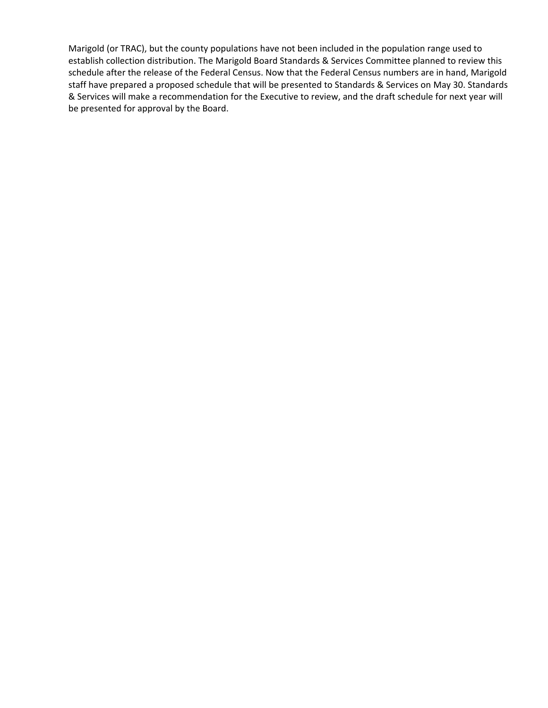Marigold (or TRAC), but the county populations have not been included in the population range used to establish collection distribution. The Marigold Board Standards & Services Committee planned to review this schedule after the release of the Federal Census. Now that the Federal Census numbers are in hand, Marigold staff have prepared a proposed schedule that will be presented to Standards & Services on May 30. Standards & Services will make a recommendation for the Executive to review, and the draft schedule for next year will be presented for approval by the Board.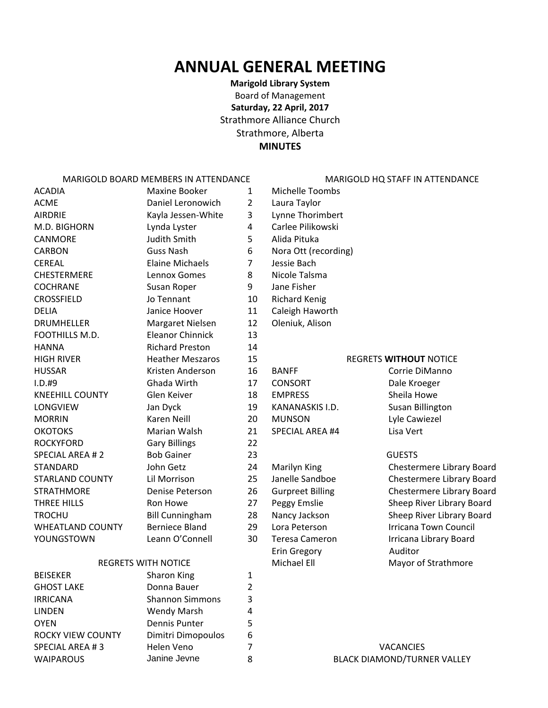# **ANNUAL GENERAL MEETING**

**Marigold Library System** Board of Management **Saturday, 22 April, 2017** Strathmore Alliance Church Strathmore, Alberta **MINUTES**

MARIGOLD BOARD MEMBERS IN ATTENDANCE MARIGOLD HO STAFF IN ATTENDANCE

| <b>ACADIA</b>           | <b>Maxine Booker</b>    | $\mathbf{1}$   | Michelle Toombs         |                           |
|-------------------------|-------------------------|----------------|-------------------------|---------------------------|
| <b>ACME</b>             | Daniel Leronowich       | $\overline{2}$ | Laura Taylor            |                           |
| <b>AIRDRIE</b>          | Kayla Jessen-White      | 3              | Lynne Thorimbert        |                           |
| M.D. BIGHORN            | Lynda Lyster            | 4              | Carlee Pilikowski       |                           |
| <b>CANMORE</b>          | <b>Judith Smith</b>     | 5              | Alida Pituka            |                           |
| <b>CARBON</b>           | <b>Guss Nash</b>        | 6              | Nora Ott (recording)    |                           |
| <b>CEREAL</b>           | <b>Elaine Michaels</b>  | $\overline{7}$ | Jessie Bach             |                           |
| <b>CHESTERMERE</b>      | Lennox Gomes            | 8              | Nicole Talsma           |                           |
| COCHRANE                | Susan Roper             | 9              | Jane Fisher             |                           |
| <b>CROSSFIELD</b>       | Jo Tennant              | 10             | <b>Richard Kenig</b>    |                           |
| <b>DELIA</b>            | Janice Hoover           | 11             | Caleigh Haworth         |                           |
| <b>DRUMHELLER</b>       | Margaret Nielsen        | 12             | Oleniuk, Alison         |                           |
| FOOTHILLS M.D.          | <b>Eleanor Chinnick</b> | 13             |                         |                           |
| <b>HANNA</b>            | <b>Richard Preston</b>  | 14             |                         |                           |
| <b>HIGH RIVER</b>       | <b>Heather Meszaros</b> | 15             |                         | <b>REGRETS WITHOUT NO</b> |
| <b>HUSSAR</b>           | Kristen Anderson        | 16             | <b>BANFF</b>            | Corrie DiMa               |
| $I.D.$ #9               | Ghada Wirth             | 17             | <b>CONSORT</b>          | Dale Kroege               |
| <b>KNEEHILL COUNTY</b>  | Glen Keiver             | 18             | <b>EMPRESS</b>          | Sheila Howe               |
| <b>LONGVIEW</b>         | Jan Dyck                | 19             | KANANASKIS I.D.         | <b>Susan Billing</b>      |
| <b>MORRIN</b>           | Karen Neill             | 20             | <b>MUNSON</b>           | Lyle Cawieze              |
| <b>OKOTOKS</b>          | Marian Walsh            | 21             | <b>SPECIAL AREA #4</b>  | Lisa Vert                 |
| <b>ROCKYFORD</b>        | <b>Gary Billings</b>    | 22             |                         |                           |
| <b>SPECIAL AREA #2</b>  | <b>Bob Gainer</b>       | 23             |                         | <b>GUESTS</b>             |
| <b>STANDARD</b>         | John Getz               | 24             | Marilyn King            | Chestermere               |
| <b>STARLAND COUNTY</b>  | Lil Morrison            | 25             | Janelle Sandboe         | Chestermere               |
| <b>STRATHMORE</b>       | Denise Peterson         | 26             | <b>Gurpreet Billing</b> | Chestermere               |
| THREE HILLS             | Ron Howe                | 27             | Peggy Emslie            | Sheep River               |
| <b>TROCHU</b>           | <b>Bill Cunningham</b>  | 28             | Nancy Jackson           | Sheep River               |
| <b>WHEATLAND COUNTY</b> | <b>Berniece Bland</b>   | 29             | Lora Peterson           | <b>Irricana Tow</b>       |
| YOUNGSTOWN              | Leann O'Connell         | 30             | <b>Teresa Cameron</b>   | Irricana Libra            |
|                         |                         |                | <b>Erin Gregory</b>     | Auditor                   |

#### REGRETS WITH NOTICE Michael Ell Michael Ell Mayor of Strathmore

| <b>BEISEKER</b>   | Sharon King            |   |                                    |
|-------------------|------------------------|---|------------------------------------|
| <b>GHOST LAKE</b> | Donna Bauer            |   |                                    |
| <b>IRRICANA</b>   | <b>Shannon Simmons</b> | 3 |                                    |
| <b>LINDEN</b>     | Wendy Marsh            | 4 |                                    |
| <b>OYEN</b>       | Dennis Punter          |   |                                    |
| ROCKY VIEW COUNTY | Dimitri Dimopoulos     | 6 |                                    |
| SPECIAL AREA #3   | Helen Veno             |   | <b>VACANCIES</b>                   |
| <b>WAIPAROUS</b>  | Janine Jevne           | 8 | <b>BLACK DIAMOND/TURNER VALLEY</b> |

1 Michelle Toombs 2 Laura Taylor 3 Lynne Thorimbert 4 Carlee Pilikowski 6 Nora Ott (recording) 8 Nicole Talsma 9 Jane Fisher 10 Richard Kenig 11 Caleigh Haworth 12 Oleniuk, Alison

# 15 REGRETS **WITHOUT** NOTICE

- 19 KANANASKIS I.D. Susan Billington 20 MUNSON Lyle Cawiezel
	-
	-
	-
	-
	-
	-
	- Erin Gregory Auditor

16 BANFF Corrie DiManno 17 CONSORT Dale Kroeger

24 Marilyn King Chestermere Library Board 25 Janelle Sandboe Chestermere Library Board 26 Gurpreet Billing Chestermere Library Board 27 Peggy Emslie Sheep River Library Board 28 Nancy Jackson Sheep River Library Board 29 Lora Peterson Irricana Town Council 30 Teresa Cameron Irricana Library Board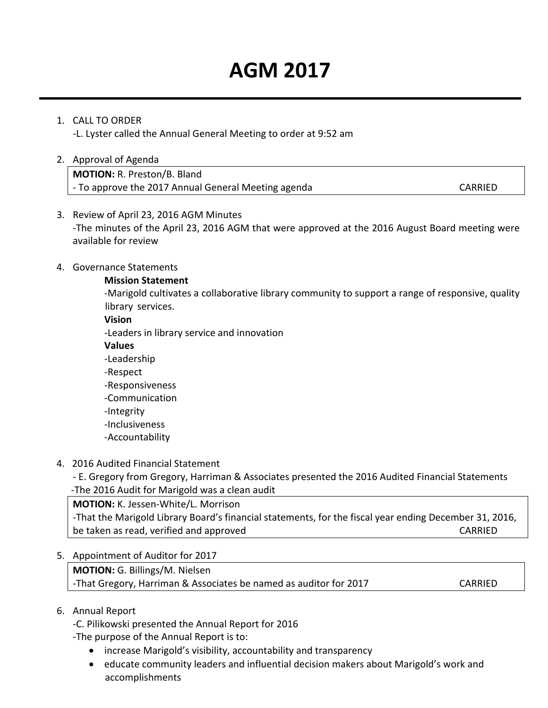# **AGM 2017**

### 1. CALL TO ORDER

‐L. Lyster called the Annual General Meeting to order at 9:52 am

#### 2. Approval of Agenda

**MOTION:** R. Preston/B. Bland ‐ To approve the 2017 Annual General Meeting agenda CARRIED

#### 3. Review of April 23, 2016 AGM Minutes

‐The minutes of the April 23, 2016 AGM that were approved at the 2016 August Board meeting were available for review

#### 4. Governance Statements

#### **Mission Statement**

 ‐Marigold cultivates a collaborative library community to support a range of responsive, quality library services.

#### **Vision**

‐Leaders in library service and innovation

#### **Values**

 ‐Leadership  ‐Respect ‐Responsiveness ‐Communication

‐Integrity

‐Inclusiveness

‐Accountability

### 4. 2016 Audited Financial Statement

‐ E. Gregory from Gregory, Harriman & Associates presented the 2016 Audited Financial Statements ‐The 2016 Audit for Marigold was a clean audit

**MOTION:** K. Jessen‐White/L. Morrison ‐That the Marigold Library Board's financial statements, for the fiscal year ending December 31, 2016, be taken as read, verified and approved **be taken as a set of the CARRIED** 

#### 5. Appointment of Auditor for 2017

**MOTION:** G. Billings/M. Nielsen ‐That Gregory, Harriman & Associates be named as auditor for 2017 CARRIED

### 6. Annual Report

‐C. Pilikowski presented the Annual Report for 2016

‐The purpose of the Annual Report is to:

- increase Marigold's visibility, accountability and transparency
- educate community leaders and influential decision makers about Marigold's work and accomplishments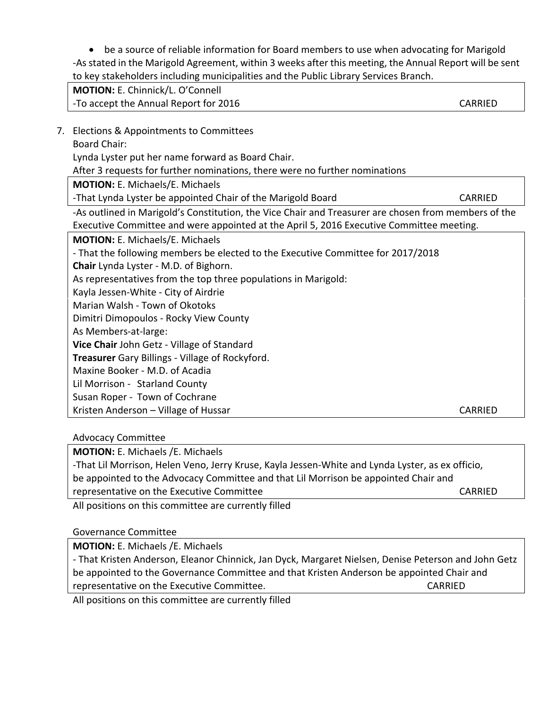be a source of reliable information for Board members to use when advocating for Marigold -As stated in the Marigold Agreement, within 3 weeks after this meeting, the Annual Report will be sent to key stakeholders including municipalities and the Public Library Services Branch.

| MOTION: E. Chinnick/L. O'Connell                                                                     |         |
|------------------------------------------------------------------------------------------------------|---------|
| -To accept the Annual Report for 2016                                                                | CARRIED |
|                                                                                                      |         |
| 7. Elections & Appointments to Committees                                                            |         |
| <b>Board Chair:</b>                                                                                  |         |
| Lynda Lyster put her name forward as Board Chair.                                                    |         |
| After 3 requests for further nominations, there were no further nominations                          |         |
| <b>MOTION: E. Michaels/E. Michaels</b>                                                               |         |
| -That Lynda Lyster be appointed Chair of the Marigold Board                                          | CARRIED |
| -As outlined in Marigold's Constitution, the Vice Chair and Treasurer are chosen from members of the |         |
| Executive Committee and were appointed at the April 5, 2016 Executive Committee meeting.             |         |
| <b>MOTION: E. Michaels/E. Michaels</b>                                                               |         |
| - That the following members be elected to the Executive Committee for 2017/2018                     |         |
| Chair Lynda Lyster - M.D. of Bighorn.                                                                |         |
| As representatives from the top three populations in Marigold:                                       |         |
| Kayla Jessen-White - City of Airdrie                                                                 |         |

Marian Walsh ‐ Town of Okotoks

Dimitri Dimopoulos ‐ Rocky View County

As Members‐at‐large:

**Vice Chair** John Getz ‐ Village of Standard

**Treasurer** Gary Billings ‐ Village of Rockyford.

Maxine Booker ‐ M.D. of Acadia

Lil Morrison - Starland County

Susan Roper ‐ Town of Cochrane

Kristen Anderson – Village of Hussar CARRIED

Advocacy Committee

**MOTION:** E. Michaels /E. Michaels

‐That Lil Morrison, Helen Veno, Jerry Kruse, Kayla Jessen‐White and Lynda Lyster, as ex officio, be appointed to the Advocacy Committee and that Lil Morrison be appointed Chair and representative on the Executive Committee *EXECUTER CONTRIEU* CARRIED

All positions on this committee are currently filled

Governance Committee

**MOTION:** E. Michaels /E. Michaels

‐ That Kristen Anderson, Eleanor Chinnick, Jan Dyck, Margaret Nielsen, Denise Peterson and John Getz be appointed to the Governance Committee and that Kristen Anderson be appointed Chair and representative on the Executive Committee. CARRIED

All positions on this committee are currently filled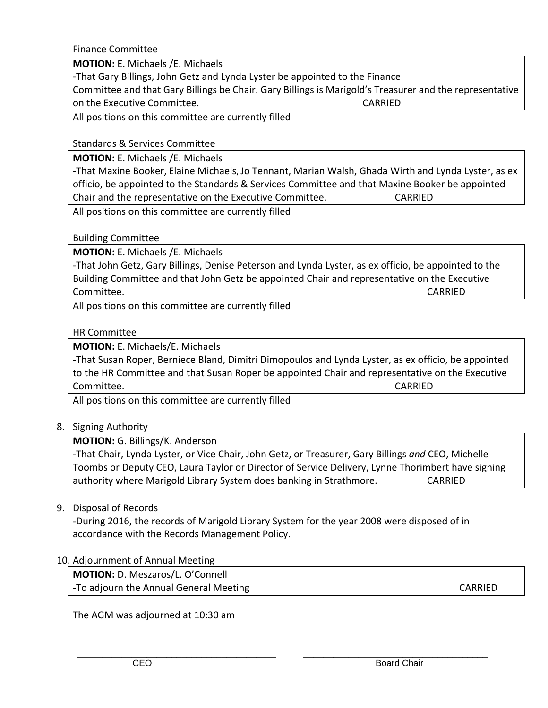Finance Committee

**MOTION:** E. Michaels /E. Michaels

‐That Gary Billings, John Getz and Lynda Lyster be appointed to the Finance

Committee and that Gary Billings be Chair. Gary Billings is Marigold's Treasurer and the representative on the Executive Committee. CARRIED

All positions on this committee are currently filled

### Standards & Services Committee

**MOTION:** E. Michaels /E. Michaels

‐That Maxine Booker, Elaine Michaels, Jo Tennant, Marian Walsh, Ghada Wirth and Lynda Lyster, as ex officio, be appointed to the Standards & Services Committee and that Maxine Booker be appointed Chair and the representative on the Executive Committee. CARRIED

All positions on this committee are currently filled

### Building Committee

**MOTION:** E. Michaels /E. Michaels

‐That John Getz, Gary Billings, Denise Peterson and Lynda Lyster, as ex officio, be appointed to the Building Committee and that John Getz be appointed Chair and representative on the Executive Committee. CARRIED

All positions on this committee are currently filled

### HR Committee

**MOTION:** E. Michaels/E. Michaels

‐That Susan Roper, Berniece Bland, Dimitri Dimopoulos and Lynda Lyster, as ex officio, be appointed to the HR Committee and that Susan Roper be appointed Chair and representative on the Executive Committee. CARRIED

All positions on this committee are currently filled

### 8. Signing Authority

### **MOTION:** G. Billings/K. Anderson

‐That Chair, Lynda Lyster, or Vice Chair, John Getz, or Treasurer, Gary Billings *and* CEO, Michelle Toombs or Deputy CEO, Laura Taylor or Director of Service Delivery, Lynne Thorimbert have signing authority where Marigold Library System does banking in Strathmore. CARRIED

9. Disposal of Records

 ‐During 2016, the records of Marigold Library System for the year 2008 were disposed of in accordance with the Records Management Policy.

 $\overline{\phantom{a}}$  , and the set of the set of the set of the set of the set of the set of the set of the set of the set of the set of the set of the set of the set of the set of the set of the set of the set of the set of the s

### 10. Adjournment of Annual Meeting

**MOTION:** D. Meszaros/L. O'Connell **‐**To adjourn the Annual General Meeting CARRIED

The AGM was adjourned at 10:30 am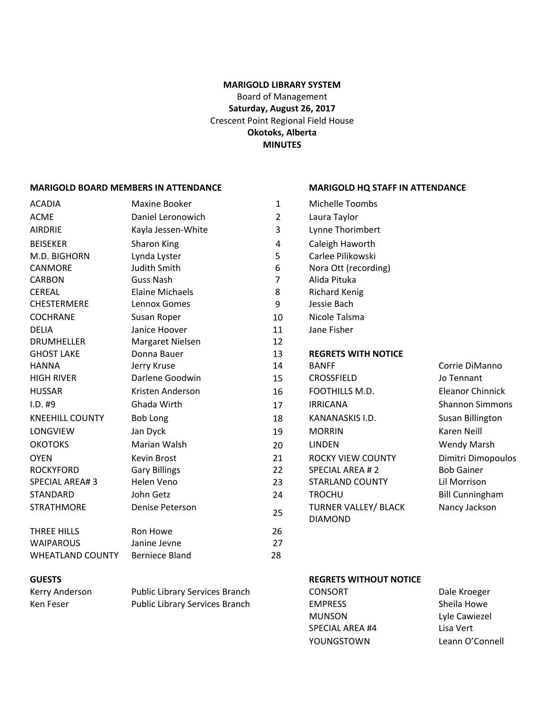#### **MARIGOLD LIBRARY SYSTEM**

Board of Management **Saturday, August 26, 2017** Crescent Point Regional Field House **Okotoks, Alberta MINUTES**

#### **MARIGOLD BOARD MEMBERS IN ATTENDANCE MARIGOLD HQ STAFF IN ATTENDANCE**

### ACADIA Maxine Booker ACME Daniel Leronowich AIRDRIE Kayla Jessen-White BEISEKER Sharon King M.D. BIGHORN Lynda Lyster CANMORE Sand Judith Smith **6** Nora Ott (recording) CARBON Guss Nash 7 Alida Pituka CEREAL Elaine Michaels CHESTERMERE Lennox Gomes COCHRANE Susan Roper 10 Nicole Talsma DELIA Janice Hoover DRUMHELLER Margaret Nielsen GHOST LAKE Donna Bauer HANNA Jerry Kruse 14 BANFF Corrie DiManno HIGH RIVER **Darlene Goodwin** 15 CROSSFIELD Jo Tennant HUSSAR Kristen Anderson 16 FOOTHILLS M.D. Eleanor Chinnick I.D. #9 Ghada Wirth 17 IRRICANA Shannon Simmons KNEEHILL COUNTY Bob Long 18 KANANASKIS I.D. Susan Billington LONGVIEW Jan Dyck 19 MORRIN Karen Neill OKOTOKS Marian Walsh 20 LINDEN Wendy Marsh OYEN COUNTY Kevin Brost COUNTY Dimitri Dimopoulos ROCKYFORD Gary Billings 22 SPECIAL AREA # 2 Bob Gainer SPECIAL AREA# 3 Helen Veno 23 STARLAND COUNTY Lil Morrison STANDARD John Getz 24 TROCHU Bill Cunningham STRATHMORE Denise Peterson <sup>25</sup> TURNER VALLEY/ BLACK THREE HILLS **Ron Howe 126** 26 WAIPAROUS Janine Jevne 27 WHEATLAND COUNTY Berniece Bland

| 1              | <b>Michelle Toombs</b>      |                        |
|----------------|-----------------------------|------------------------|
| 2              | Laura Taylor                |                        |
| 3              | Lynne Thorimbert            |                        |
| 4              | Caleigh Haworth             |                        |
| 5              | Carlee Pilikowski           |                        |
| 6              | Nora Ott (recording)        |                        |
| $\overline{7}$ | Alida Pituka                |                        |
| 8              | <b>Richard Kenig</b>        |                        |
| 9              | Jessie Bach                 |                        |
| 10             | Nicole Talsma               |                        |
| 11             | Jane Fisher                 |                        |
| 12             |                             |                        |
| 13             | <b>REGRETS WITH NOTICE</b>  |                        |
| 14             | <b>BANFF</b>                | Corrie DiMann          |
| 15             | <b>CROSSFIELD</b>           | Jo Tennant             |
| 16             | FOOTHILLS M.D.              | Eleanor Chinni         |
| 17             | <b>IRRICANA</b>             | <b>Shannon Simm</b>    |
| 18             | KANANASKIS I.D.             | Susan Billingto        |
| 19             | <b>MORRIN</b>               | <b>Karen Neill</b>     |
| 20             | <b>LINDEN</b>               | Wendy Marsh            |
| 21             | <b>ROCKY VIEW COUNTY</b>    | Dimitri Dimopo         |
| 22             | <b>SPECIAL AREA #2</b>      | <b>Bob Gainer</b>      |
| 23             | <b>STARLAND COUNTY</b>      | Lil Morrison           |
| 24             | <b>TROCHU</b>               | <b>Bill Cunninghar</b> |
| 25             | <b>TURNER VALLEY/ BLACK</b> | Nancy Jackson          |
| 26             | <b>DIAMOND</b>              |                        |
| 27             |                             |                        |
| 28             |                             |                        |
|                |                             |                        |

#### **GUESTS REGRETS WITHOUT NOTICE**

| Kerry Anderson | Public Library Services Branch | <b>CONSORT</b>  | Dale Kroeger    |
|----------------|--------------------------------|-----------------|-----------------|
| Ken Feser      | Public Library Services Branch | <b>EMPRESS</b>  | Sheila Howe     |
|                |                                | <b>MUNSON</b>   | Lyle Cawiezel   |
|                |                                | SPECIAL AREA #4 | Lisa Vert       |
|                |                                | YOUNGSTOWN      | Leann O'Connell |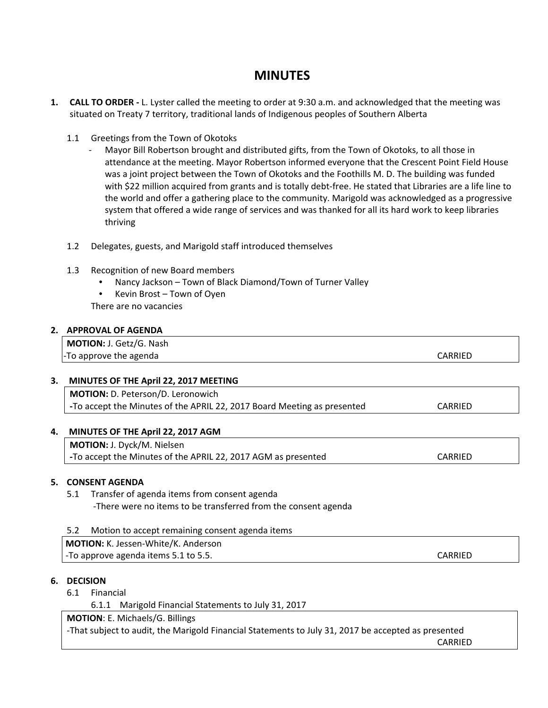# **MINUTES**

- **1. CALL TO ORDER ‐** L. Lyster called the meeting to order at 9:30 a.m. and acknowledged that the meeting was situated on Treaty 7 territory, traditional lands of Indigenous peoples of Southern Alberta
	- 1.1 Greetings from the Town of Okotoks
		- ‐ Mayor Bill Robertson brought and distributed gifts, from the Town of Okotoks, to all those in attendance at the meeting. Mayor Robertson informed everyone that the Crescent Point Field House was a joint project between the Town of Okotoks and the Foothills M. D. The building was funded with \$22 million acquired from grants and is totally debt-free. He stated that Libraries are a life line to the world and offer a gathering place to the community. Marigold was acknowledged as a progressive system that offered a wide range of services and was thanked for all its hard work to keep libraries thriving
	- 1.2 Delegates, guests, and Marigold staff introduced themselves
	- 1.3 Recognition of new Board members
		- Nancy Jackson Town of Black Diamond/Town of Turner Valley
		- Kevin Brost Town of Oyen
		- There are no vacancies

#### **2. APPROVAL OF AGENDA**

| <b>MOTION: J. Getz/G. Nash</b> |         |
|--------------------------------|---------|
| -To approve the agenda         | CARRIED |

#### **3. MINUTES OF THE April 22, 2017 MEETING**

**MOTION:** D. Peterson/D. Leronowich **‐**To accept the Minutes of the APRIL 22, 2017 Board Meeting as presented CARRIED

#### **4. MINUTES OF THE April 22, 2017 AGM**

**MOTION:** J. Dyck/M. Nielsen **‐**To accept the Minutes of the APRIL 22, 2017 AGM as presented CARRIED

#### **5. CONSENT AGENDA**

5.1 Transfer of agenda items from consent agenda ‐There were no items to be transferred from the consent agenda

| Motion to accept remaining consent agenda items |         |
|-------------------------------------------------|---------|
| MOTION: K. Jessen-White/K. Anderson             |         |
| -To approve agenda items 5.1 to 5.5.            | CARRIED |

#### **6. DECISION**

- 6.1 Financial
	- 6.1.1 Marigold Financial Statements to July 31, 2017

**MOTION**: E. Michaels/G. Billings

‐That subject to audit, the Marigold Financial Statements to July 31, 2017 be accepted as presented

**CARRIED**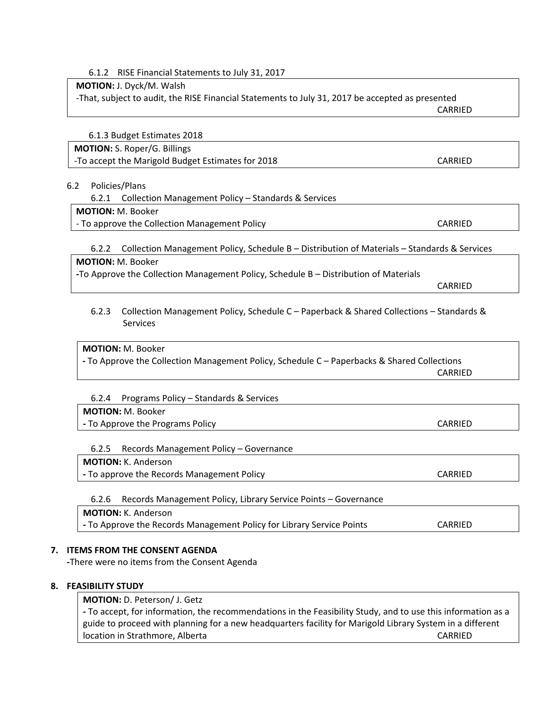6.1.2 RISE Financial Statements to July 31, 2017

#### **MOTION:** J. Dyck/M. Walsh

‐That, subject to audit, the RISE Financial Statements to July 31, 2017 be accepted as presented

**CARRIED** 

6.1.3 Budget Estimates 2018

### **MOTION:** S. Roper/G. Billings

‐To accept the Marigold Budget Estimates for 2018 CARRIED

#### 6.2 Policies/Plans

| 6.2.1 Collection Management Policy - Standards & Services |
|-----------------------------------------------------------|
| <b>MOTION: M. Booker</b>                                  |

‐ To approve the Collection Management Policy CARRIED

6.2.2 Collection Management Policy, Schedule B – Distribution of Materials – Standards & Services

#### **MOTION:** M. Booker

**‐**To Approve the Collection Management Policy, Schedule B – Distribution of Materials

CARRIED

#### 6.2.3 Collection Management Policy, Schedule C – Paperback & Shared Collections – Standards & Services

#### **MOTION:** M. Booker

**‐** To Approve the Collection Management Policy, Schedule C – Paperbacks & Shared Collections CARRIED

#### 6.2.4 Programs Policy – Standards & Services

#### **MOTION:** M. Booker

**‐** To Approve the Programs Policy CARRIED

#### 6.2.5 Records Management Policy – Governance

#### **MOTION:** K. Anderson

**‐** To approve the Records Management Policy CARRIED

### 6.2.6 Records Management Policy, Library Service Points – Governance

**MOTION:** K. Anderson

**‐** To Approve the Records Management Policy for Library Service Points CARRIED

### **7. ITEMS FROM THE CONSENT AGENDA**

 **‐**There were no items from the Consent Agenda

#### **8. FEASIBILITY STUDY**

#### **MOTION:** D. Peterson/ J. Getz

**‐** To accept, for information, the recommendations in the Feasibility Study, and to use this information as a guide to proceed with planning for a new headquarters facility for Marigold Library System in a different location in Strathmore, Alberta CARRIED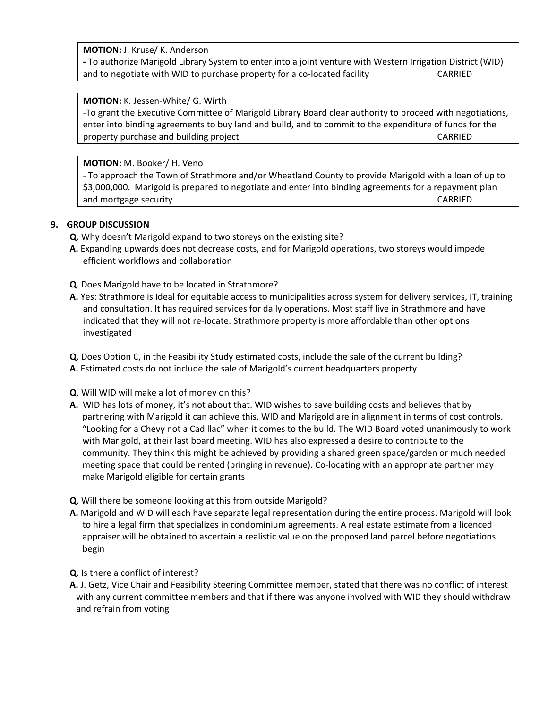**MOTION:** J. Kruse/ K. Anderson

**‐** To authorize Marigold Library System to enter into a joint venture with Western Irrigation District (WID) and to negotiate with WID to purchase property for a co-located facility **CARRIED** 

#### **MOTION:** K. Jessen‐White/ G. Wirth

‐To grant the Executive Committee of Marigold Library Board clear authority to proceed with negotiations, enter into binding agreements to buy land and build, and to commit to the expenditure of funds for the property purchase and building project **building**  $\mathbf{C}$  ARRIED

#### **MOTION:** M. Booker/ H. Veno

‐ To approach the Town of Strathmore and/or Wheatland County to provide Marigold with a loan of up to \$3,000,000. Marigold is prepared to negotiate and enter into binding agreements for a repayment plan and mortgage security **and mortgage security and mortgage security example 2018** 

#### **9. GROUP DISCUSSION**

**Q**. Why doesn't Marigold expand to two storeys on the existing site?

- **A.** Expanding upwards does not decrease costs, and for Marigold operations, two storeys would impede efficient workflows and collaboration
- **Q**. Does Marigold have to be located in Strathmore?
- **A.** Yes: Strathmore is Ideal for equitable access to municipalities across system for delivery services, IT, training and consultation. It has required services for daily operations. Most staff live in Strathmore and have indicated that they will not re‐locate. Strathmore property is more affordable than other options investigated
- **Q**. Does Option C, in the Feasibility Study estimated costs, include the sale of the current building?
- **A.** Estimated costs do not include the sale of Marigold's current headquarters property
- **Q**. Will WID will make a lot of money on this?
- **A.** WID has lots of money, it's not about that. WID wishes to save building costs and believes that by partnering with Marigold it can achieve this. WID and Marigold are in alignment in terms of cost controls. "Looking for a Chevy not a Cadillac" when it comes to the build. The WID Board voted unanimously to work with Marigold, at their last board meeting. WID has also expressed a desire to contribute to the community. They think this might be achieved by providing a shared green space/garden or much needed meeting space that could be rented (bringing in revenue). Co-locating with an appropriate partner may make Marigold eligible for certain grants
- **Q**. Will there be someone looking at this from outside Marigold?
- **A.** Marigold and WID will each have separate legal representation during the entire process. Marigold will look to hire a legal firm that specializes in condominium agreements. A real estate estimate from a licenced appraiser will be obtained to ascertain a realistic value on the proposed land parcel before negotiations begin
- **Q**. Is there a conflict of interest?
- **A.** J. Getz, Vice Chair and Feasibility Steering Committee member, stated that there was no conflict of interest with any current committee members and that if there was anyone involved with WID they should withdraw and refrain from voting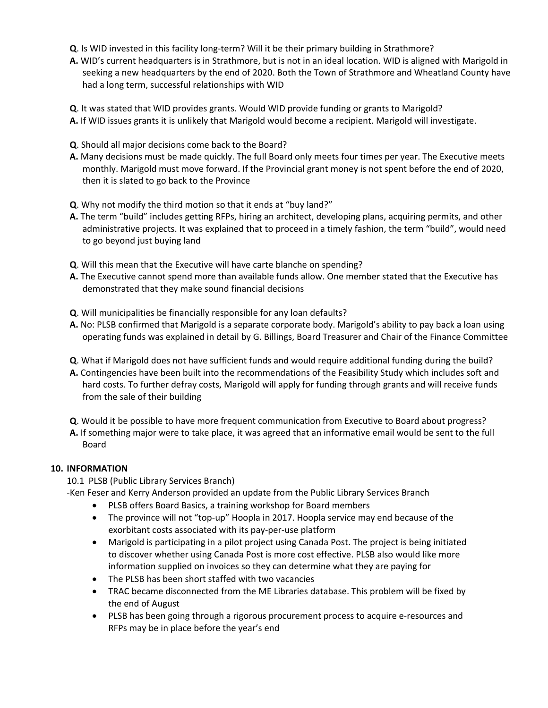- **Q**. Is WID invested in this facility long‐term? Will it be their primary building in Strathmore?
- **A.** WID's current headquarters is in Strathmore, but is not in an ideal location. WID is aligned with Marigold in seeking a new headquarters by the end of 2020. Both the Town of Strathmore and Wheatland County have had a long term, successful relationships with WID
- **Q**. It was stated that WID provides grants. Would WID provide funding or grants to Marigold?
- **A.** If WID issues grants it is unlikely that Marigold would become a recipient. Marigold will investigate.
- **Q**. Should all major decisions come back to the Board?
- **A.** Many decisions must be made quickly. The full Board only meets four times per year. The Executive meets monthly. Marigold must move forward. If the Provincial grant money is not spent before the end of 2020, then it is slated to go back to the Province
- **Q**. Why not modify the third motion so that it ends at "buy land?"
- **A.** The term "build" includes getting RFPs, hiring an architect, developing plans, acquiring permits, and other administrative projects. It was explained that to proceed in a timely fashion, the term "build", would need to go beyond just buying land
- **Q**. Will this mean that the Executive will have carte blanche on spending?
- **A.** The Executive cannot spend more than available funds allow. One member stated that the Executive has demonstrated that they make sound financial decisions
- **Q**. Will municipalities be financially responsible for any loan defaults?
- **A.** No: PLSB confirmed that Marigold is a separate corporate body. Marigold's ability to pay back a loan using operating funds was explained in detail by G. Billings, Board Treasurer and Chair of the Finance Committee
- **Q**. What if Marigold does not have sufficient funds and would require additional funding during the build?
- **A.** Contingencies have been built into the recommendations of the Feasibility Study which includes soft and hard costs. To further defray costs, Marigold will apply for funding through grants and will receive funds from the sale of their building
- **Q**. Would it be possible to have more frequent communication from Executive to Board about progress?
- **A.** If something major were to take place, it was agreed that an informative email would be sent to the full Board

#### **10. INFORMATION**

10.1 PLSB (Public Library Services Branch)

‐Ken Feser and Kerry Anderson provided an update from the Public Library Services Branch

- PLSB offers Board Basics, a training workshop for Board members
- The province will not "top-up" Hoopla in 2017. Hoopla service may end because of the exorbitant costs associated with its pay‐per‐use platform
- Marigold is participating in a pilot project using Canada Post. The project is being initiated to discover whether using Canada Post is more cost effective. PLSB also would like more information supplied on invoices so they can determine what they are paying for
- The PLSB has been short staffed with two vacancies
- TRAC became disconnected from the ME Libraries database. This problem will be fixed by the end of August
- PLSB has been going through a rigorous procurement process to acquire e‐resources and RFPs may be in place before the year's end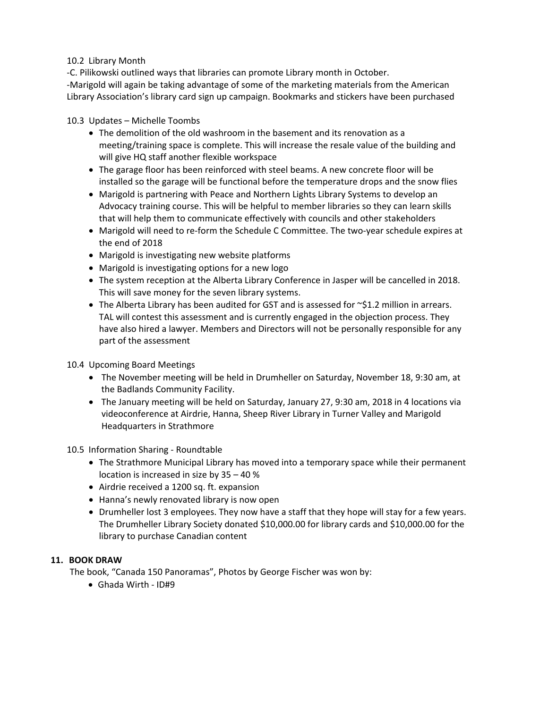#### 10.2 Library Month

‐C. Pilikowski outlined ways that libraries can promote Library month in October. ‐Marigold will again be taking advantage of some of the marketing materials from the American Library Association's library card sign up campaign. Bookmarks and stickers have been purchased

#### 10.3 Updates – Michelle Toombs

- The demolition of the old washroom in the basement and its renovation as a meeting/training space is complete. This will increase the resale value of the building and will give HQ staff another flexible workspace
- The garage floor has been reinforced with steel beams. A new concrete floor will be installed so the garage will be functional before the temperature drops and the snow flies
- Marigold is partnering with Peace and Northern Lights Library Systems to develop an Advocacy training course. This will be helpful to member libraries so they can learn skills that will help them to communicate effectively with councils and other stakeholders
- Marigold will need to re-form the Schedule C Committee. The two-year schedule expires at the end of 2018
- Marigold is investigating new website platforms
- Marigold is investigating options for a new logo
- The system reception at the Alberta Library Conference in Jasper will be cancelled in 2018. This will save money for the seven library systems.
- The Alberta Library has been audited for GST and is assessed for  $\sim$ \$1.2 million in arrears. TAL will contest this assessment and is currently engaged in the objection process. They have also hired a lawyer. Members and Directors will not be personally responsible for any part of the assessment

#### 10.4 Upcoming Board Meetings

- The November meeting will be held in Drumheller on Saturday, November 18, 9:30 am, at the Badlands Community Facility.
- The January meeting will be held on Saturday, January 27, 9:30 am, 2018 in 4 locations via videoconference at Airdrie, Hanna, Sheep River Library in Turner Valley and Marigold Headquarters in Strathmore

#### 10.5 Information Sharing ‐ Roundtable

- The Strathmore Municipal Library has moved into a temporary space while their permanent location is increased in size by 35 – 40 %
- Airdrie received a 1200 sq. ft. expansion
- Hanna's newly renovated library is now open
- Drumheller lost 3 employees. They now have a staff that they hope will stay for a few years. The Drumheller Library Society donated \$10,000.00 for library cards and \$10,000.00 for the library to purchase Canadian content

#### **11. BOOK DRAW**

The book, "Canada 150 Panoramas", Photos by George Fischer was won by:

Ghada Wirth ‐ ID#9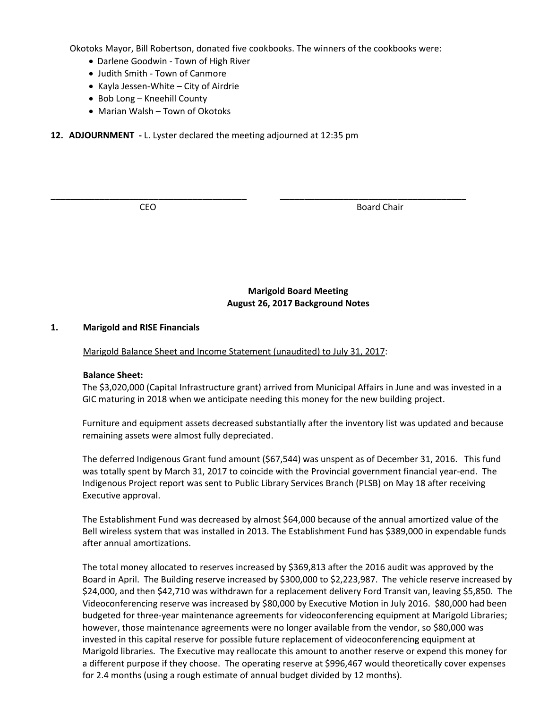Okotoks Mayor, Bill Robertson, donated five cookbooks. The winners of the cookbooks were:

**\_\_\_\_\_\_\_\_\_\_\_\_\_\_\_\_\_\_\_\_\_\_\_\_\_\_\_\_\_\_\_\_\_\_\_\_\_\_\_\_ \_\_\_\_\_\_\_\_\_\_\_\_\_\_\_\_\_\_\_\_\_\_\_\_\_\_\_\_\_\_\_\_\_\_\_\_\_\_**

- Darlene Goodwin Town of High River
- Judith Smith Town of Canmore
- Kayla Jessen-White City of Airdrie
- Bob Long Kneehill County
- Marian Walsh Town of Okotoks
- **12. ADJOURNMENT ‐** L. Lyster declared the meeting adjourned at 12:35 pm

**CEO** Board Chair

**Marigold Board Meeting August 26, 2017 Background Notes**

#### **1. Marigold and RISE Financials**

Marigold Balance Sheet and Income Statement (unaudited) to July 31, 2017:

#### **Balance Sheet:**

The \$3,020,000 (Capital Infrastructure grant) arrived from Municipal Affairs in June and was invested in a GIC maturing in 2018 when we anticipate needing this money for the new building project.

Furniture and equipment assets decreased substantially after the inventory list was updated and because remaining assets were almost fully depreciated.

The deferred Indigenous Grant fund amount (\$67,544) was unspent as of December 31, 2016. This fund was totally spent by March 31, 2017 to coincide with the Provincial government financial year-end. The Indigenous Project report was sent to Public Library Services Branch (PLSB) on May 18 after receiving Executive approval.

The Establishment Fund was decreased by almost \$64,000 because of the annual amortized value of the Bell wireless system that was installed in 2013. The Establishment Fund has \$389,000 in expendable funds after annual amortizations.

The total money allocated to reserves increased by \$369,813 after the 2016 audit was approved by the Board in April. The Building reserve increased by \$300,000 to \$2,223,987. The vehicle reserve increased by \$24,000, and then \$42,710 was withdrawn for a replacement delivery Ford Transit van, leaving \$5,850. The Videoconferencing reserve was increased by \$80,000 by Executive Motion in July 2016. \$80,000 had been budgeted for three‐year maintenance agreements for videoconferencing equipment at Marigold Libraries; however, those maintenance agreements were no longer available from the vendor, so \$80,000 was invested in this capital reserve for possible future replacement of videoconferencing equipment at Marigold libraries. The Executive may reallocate this amount to another reserve or expend this money for a different purpose if they choose. The operating reserve at \$996,467 would theoretically cover expenses for 2.4 months (using a rough estimate of annual budget divided by 12 months).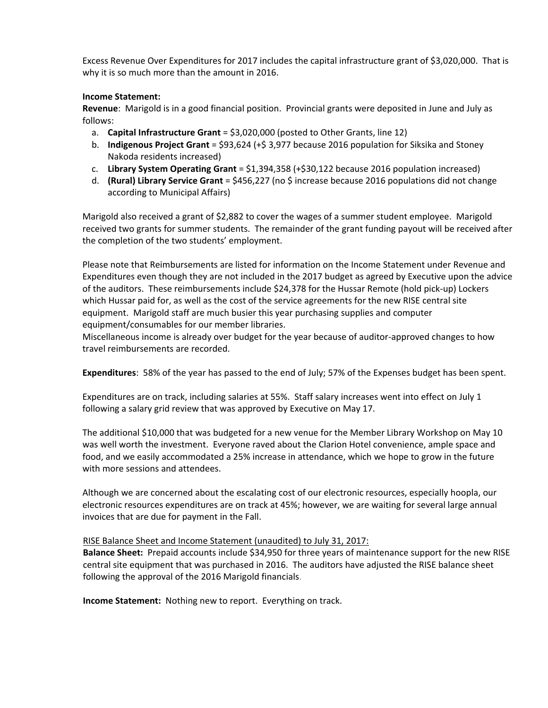Excess Revenue Over Expenditures for 2017 includes the capital infrastructure grant of \$3,020,000. That is why it is so much more than the amount in 2016.

#### **Income Statement:**

**Revenue**: Marigold is in a good financial position. Provincial grants were deposited in June and July as follows:

- a. **Capital Infrastructure Grant** = \$3,020,000 (posted to Other Grants, line 12)
- b. **Indigenous Project Grant** = \$93,624 (+\$ 3,977 because 2016 population for Siksika and Stoney Nakoda residents increased)
- c. **Library System Operating Grant** = \$1,394,358 (+\$30,122 because 2016 population increased)
- d. **(Rural) Library Service Grant** = \$456,227 (no \$ increase because 2016 populations did not change according to Municipal Affairs)

Marigold also received a grant of \$2,882 to cover the wages of a summer student employee. Marigold received two grants for summer students. The remainder of the grant funding payout will be received after the completion of the two students' employment.

Please note that Reimbursements are listed for information on the Income Statement under Revenue and Expenditures even though they are not included in the 2017 budget as agreed by Executive upon the advice of the auditors. These reimbursements include \$24,378 for the Hussar Remote (hold pick‐up) Lockers which Hussar paid for, as well as the cost of the service agreements for the new RISE central site equipment. Marigold staff are much busier this year purchasing supplies and computer equipment/consumables for our member libraries.

Miscellaneous income is already over budget for the year because of auditor‐approved changes to how travel reimbursements are recorded. 

**Expenditures**: 58% of the year has passed to the end of July; 57% of the Expenses budget has been spent.

Expenditures are on track, including salaries at 55%. Staff salary increases went into effect on July 1 following a salary grid review that was approved by Executive on May 17.

The additional \$10,000 that was budgeted for a new venue for the Member Library Workshop on May 10 was well worth the investment. Everyone raved about the Clarion Hotel convenience, ample space and food, and we easily accommodated a 25% increase in attendance, which we hope to grow in the future with more sessions and attendees.

Although we are concerned about the escalating cost of our electronic resources, especially hoopla, our electronic resources expenditures are on track at 45%; however, we are waiting for several large annual invoices that are due for payment in the Fall.

#### RISE Balance Sheet and Income Statement (unaudited) to July 31, 2017:

**Balance Sheet:** Prepaid accounts include \$34,950 for three years of maintenance support for the new RISE central site equipment that was purchased in 2016. The auditors have adjusted the RISE balance sheet following the approval of the 2016 Marigold financials.

**Income Statement:** Nothing new to report. Everything on track.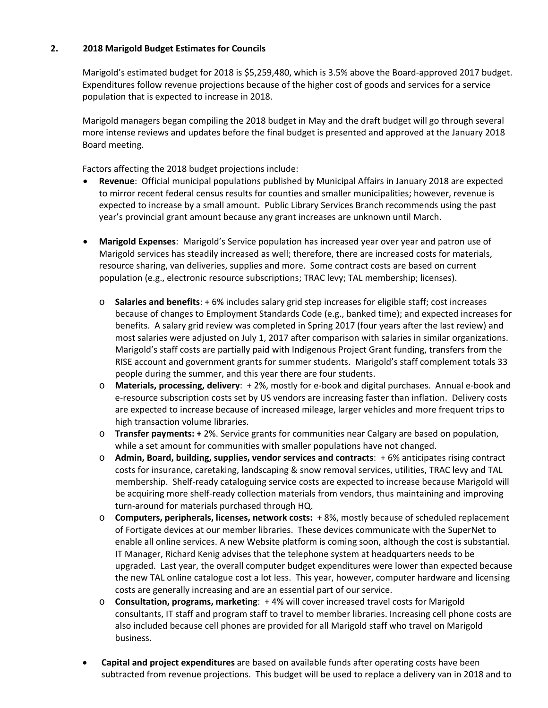#### **2. 2018 Marigold Budget Estimates for Councils**

Marigold's estimated budget for 2018 is \$5,259,480, which is 3.5% above the Board‐approved 2017 budget. Expenditures follow revenue projections because of the higher cost of goods and services for a service population that is expected to increase in 2018.

Marigold managers began compiling the 2018 budget in May and the draft budget will go through several more intense reviews and updates before the final budget is presented and approved at the January 2018 Board meeting.

Factors affecting the 2018 budget projections include:

- **Revenue**: Official municipal populations published by Municipal Affairs in January 2018 are expected to mirror recent federal census results for counties and smaller municipalities; however, revenue is expected to increase by a small amount. Public Library Services Branch recommends using the past year's provincial grant amount because any grant increases are unknown until March.
- **Marigold Expenses**: Marigold's Service population has increased year over year and patron use of Marigold services has steadily increased as well; therefore, there are increased costs for materials, resource sharing, van deliveries, supplies and more. Some contract costs are based on current population (e.g., electronic resource subscriptions; TRAC levy; TAL membership; licenses).
	- o **Salaries and benefits**: + 6% includes salary grid step increases for eligible staff; cost increases because of changes to Employment Standards Code (e.g., banked time); and expected increases for benefits. A salary grid review was completed in Spring 2017 (four years after the last review) and most salaries were adjusted on July 1, 2017 after comparison with salaries in similar organizations. Marigold's staff costs are partially paid with Indigenous Project Grant funding, transfers from the RISE account and government grants for summer students. Marigold's staff complement totals 33 people during the summer, and this year there are four students.
	- o **Materials, processing, delivery**: + 2%, mostly for e‐book and digital purchases. Annual e‐book and e-resource subscription costs set by US vendors are increasing faster than inflation. Delivery costs are expected to increase because of increased mileage, larger vehicles and more frequent trips to high transaction volume libraries.
	- o **Transfer payments: +** 2%. Service grants for communities near Calgary are based on population, while a set amount for communities with smaller populations have not changed.
	- o **Admin, Board, building, supplies, vendor services and contracts**: + 6% anticipates rising contract costs for insurance, caretaking, landscaping & snow removal services, utilities, TRAC levy and TAL membership. Shelf‐ready cataloguing service costs are expected to increase because Marigold will be acquiring more shelf-ready collection materials from vendors, thus maintaining and improving turn‐around for materials purchased through HQ.
	- o **Computers, peripherals, licenses, network costs:** + 8%, mostly because of scheduled replacement of Fortigate devices at our member libraries. These devices communicate with the SuperNet to enable all online services. A new Website platform is coming soon, although the cost is substantial. IT Manager, Richard Kenig advises that the telephone system at headquarters needs to be upgraded. Last year, the overall computer budget expenditures were lower than expected because the new TAL online catalogue cost a lot less. This year, however, computer hardware and licensing costs are generally increasing and are an essential part of our service.
	- o **Consultation, programs, marketing**: + 4% will cover increased travel costs for Marigold consultants, IT staff and program staff to travel to member libraries. Increasing cell phone costs are also included because cell phones are provided for all Marigold staff who travel on Marigold business.
- **Capital and project expenditures** are based on available funds after operating costs have been subtracted from revenue projections. This budget will be used to replace a delivery van in 2018 and to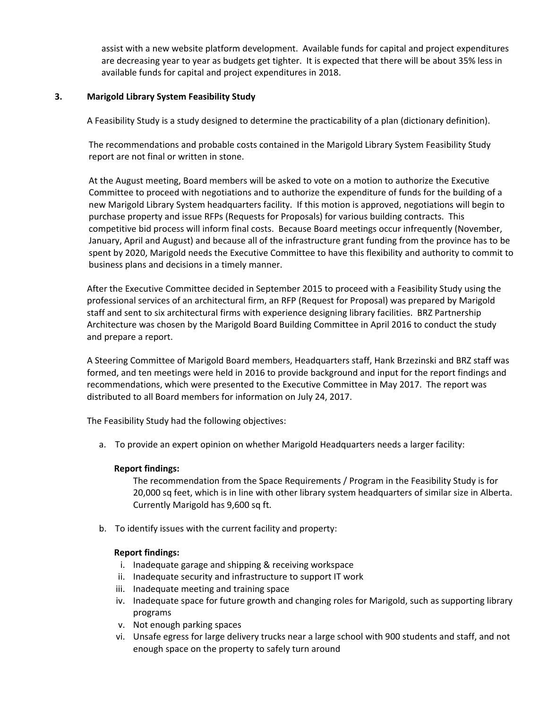assist with a new website platform development. Available funds for capital and project expenditures are decreasing year to year as budgets get tighter. It is expected that there will be about 35% less in available funds for capital and project expenditures in 2018.

#### **3. Marigold Library System Feasibility Study**

A Feasibility Study is a study designed to determine the practicability of a plan (dictionary definition).

The recommendations and probable costs contained in the Marigold Library System Feasibility Study report are not final or written in stone.

At the August meeting, Board members will be asked to vote on a motion to authorize the Executive Committee to proceed with negotiations and to authorize the expenditure of funds for the building of a new Marigold Library System headquarters facility. If this motion is approved, negotiations will begin to purchase property and issue RFPs (Requests for Proposals) for various building contracts. This competitive bid process will inform final costs. Because Board meetings occur infrequently (November, January, April and August) and because all of the infrastructure grant funding from the province has to be spent by 2020, Marigold needs the Executive Committee to have this flexibility and authority to commit to business plans and decisions in a timely manner.

After the Executive Committee decided in September 2015 to proceed with a Feasibility Study using the professional services of an architectural firm, an RFP (Request for Proposal) was prepared by Marigold staff and sent to six architectural firms with experience designing library facilities. BRZ Partnership Architecture was chosen by the Marigold Board Building Committee in April 2016 to conduct the study and prepare a report.

A Steering Committee of Marigold Board members, Headquarters staff, Hank Brzezinski and BRZ staff was formed, and ten meetings were held in 2016 to provide background and input for the report findings and recommendations, which were presented to the Executive Committee in May 2017. The report was distributed to all Board members for information on July 24, 2017.

The Feasibility Study had the following objectives:

a. To provide an expert opinion on whether Marigold Headquarters needs a larger facility:

#### **Report findings:**

The recommendation from the Space Requirements / Program in the Feasibility Study is for 20,000 sq feet, which is in line with other library system headquarters of similar size in Alberta. Currently Marigold has 9,600 sq ft.

b. To identify issues with the current facility and property:

#### **Report findings:**

- i. Inadequate garage and shipping & receiving workspace
- ii. Inadequate security and infrastructure to support IT work
- iii. Inadequate meeting and training space
- iv. Inadequate space for future growth and changing roles for Marigold, such as supporting library programs
- v. Not enough parking spaces
- vi. Unsafe egress for large delivery trucks near a large school with 900 students and staff, and not enough space on the property to safely turn around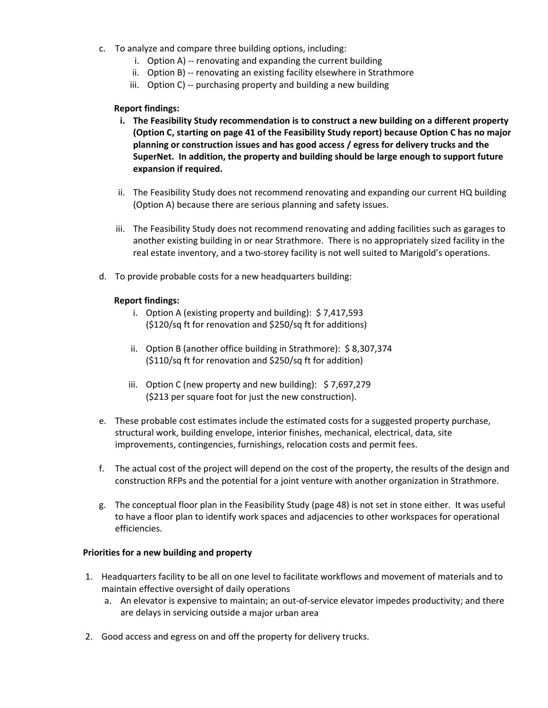- c. To analyze and compare three building options, including:
	- i. Option A) ‐‐ renovating and expanding the current building
	- ii. Option B) ‐‐ renovating an existing facility elsewhere in Strathmore
	- iii. Option C) ‐‐ purchasing property and building a new building

#### **Report findings:**

- **i. The Feasibility Study recommendation is to construct a new building on a different property (Option C, starting on page 41 of the Feasibility Study report) because Option C has no major planning or construction issues and has good access / egress for delivery trucks and the SuperNet. In addition, the property and building should be large enough to support future expansion if required.**
- ii. The Feasibility Study does not recommend renovating and expanding our current HQ building (Option A) because there are serious planning and safety issues.
- iii. The Feasibility Study does not recommend renovating and adding facilities such as garages to another existing building in or near Strathmore. There is no appropriately sized facility in the real estate inventory, and a two-storey facility is not well suited to Marigold's operations.
- d. To provide probable costs for a new headquarters building:

#### **Report findings:**

- i. Option A (existing property and building): \$ 7,417,593 (\$120/sq ft for renovation and \$250/sq ft for additions)
- ii. Option B (another office building in Strathmore): \$ 8,307,374 (\$110/sq ft for renovation and \$250/sq ft for addition)
- iii. Option C (new property and new building): \$7,697,279 (\$213 per square foot for just the new construction).
- e. These probable cost estimates include the estimated costs for a suggested property purchase, structural work, building envelope, interior finishes, mechanical, electrical, data, site improvements, contingencies, furnishings, relocation costs and permit fees.
- f. The actual cost of the project will depend on the cost of the property, the results of the design and construction RFPs and the potential for a joint venture with another organization in Strathmore.
- g. The conceptual floor plan in the Feasibility Study (page 48) is not set in stone either. It was useful to have a floor plan to identify work spaces and adjacencies to other workspaces for operational efficiencies.

#### **Priorities for a new building and property**

- 1. Headquarters facility to be all on one level to facilitate workflows and movement of materials and to maintain effective oversight of daily operations
	- a. An elevator is expensive to maintain; an out‐of‐service elevator impedes productivity; and there are delays in servicing outside a major urban area
- 2. Good access and egress on and off the property for delivery trucks.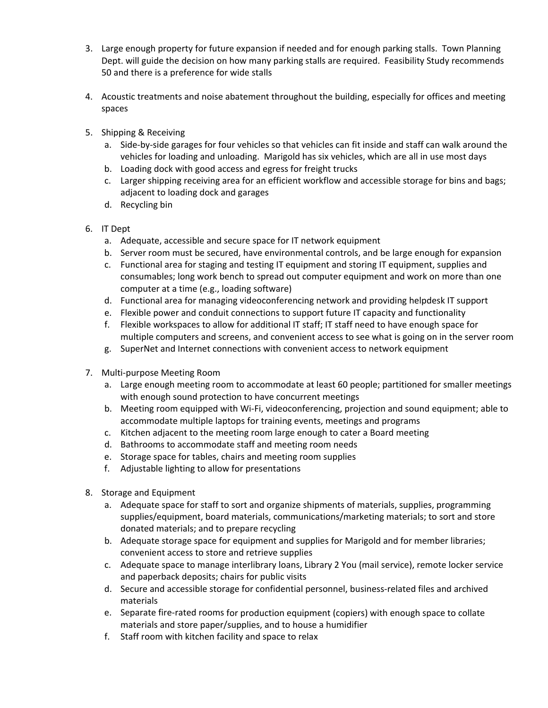- 3. Large enough property for future expansion if needed and for enough parking stalls. Town Planning Dept. will guide the decision on how many parking stalls are required. Feasibility Study recommends 50 and there is a preference for wide stalls
- 4. Acoustic treatments and noise abatement throughout the building, especially for offices and meeting spaces
- 5. Shipping & Receiving
	- a. Side‐by‐side garages for four vehicles so that vehicles can fit inside and staff can walk around the vehicles for loading and unloading. Marigold has six vehicles, which are all in use most days
	- b. Loading dock with good access and egress for freight trucks
	- c. Larger shipping receiving area for an efficient workflow and accessible storage for bins and bags; adjacent to loading dock and garages
	- d. Recycling bin
- 6. IT Dept
	- a. Adequate, accessible and secure space for IT network equipment
	- b. Server room must be secured, have environmental controls, and be large enough for expansion
	- c. Functional area for staging and testing IT equipment and storing IT equipment, supplies and consumables; long work bench to spread out computer equipment and work on more than one computer at a time (e.g., loading software)
	- d. Functional area for managing videoconferencing network and providing helpdesk IT support
	- e. Flexible power and conduit connections to support future IT capacity and functionality
	- f. Flexible workspaces to allow for additional IT staff; IT staff need to have enough space for multiple computers and screens, and convenient access to see what is going on in the server room
	- g. SuperNet and Internet connections with convenient access to network equipment
- 7. Multi‐purpose Meeting Room
	- a. Large enough meeting room to accommodate at least 60 people; partitioned for smaller meetings with enough sound protection to have concurrent meetings
	- b. Meeting room equipped with Wi‐Fi, videoconferencing, projection and sound equipment; able to accommodate multiple laptops for training events, meetings and programs
	- c. Kitchen adjacent to the meeting room large enough to cater a Board meeting
	- d. Bathrooms to accommodate staff and meeting room needs
	- e. Storage space for tables, chairs and meeting room supplies
	- f. Adjustable lighting to allow for presentations
- 8. Storage and Equipment
	- a. Adequate space for staff to sort and organize shipments of materials, supplies, programming supplies/equipment, board materials, communications/marketing materials; to sort and store donated materials; and to prepare recycling
	- b. Adequate storage space for equipment and supplies for Marigold and for member libraries; convenient access to store and retrieve supplies
	- c. Adequate space to manage interlibrary loans, Library 2 You (mail service), remote locker service and paperback deposits; chairs for public visits
	- d. Secure and accessible storage for confidential personnel, business-related files and archived materials
	- e. Separate fire‐rated rooms for production equipment (copiers) with enough space to collate materials and store paper/supplies, and to house a humidifier
	- f. Staff room with kitchen facility and space to relax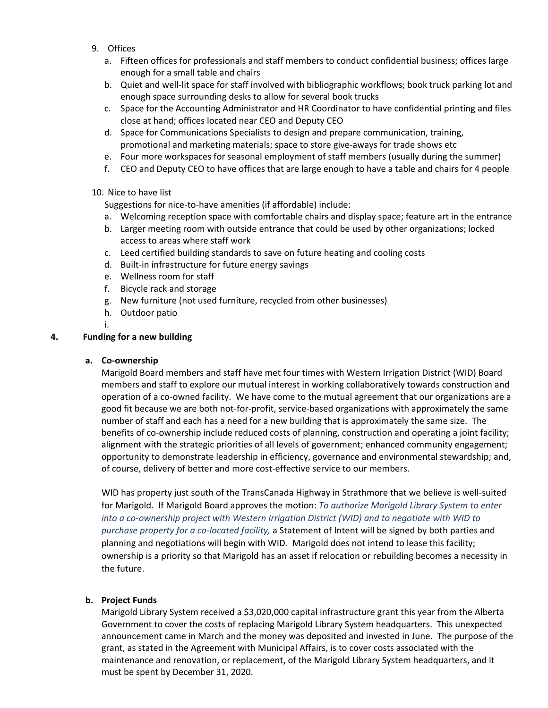- 9. Offices
	- a. Fifteen offices for professionals and staff members to conduct confidential business; offices large enough for a small table and chairs
	- b. Quiet and well‐lit space for staff involved with bibliographic workflows; book truck parking lot and enough space surrounding desks to allow for several book trucks
	- c. Space for the Accounting Administrator and HR Coordinator to have confidential printing and files close at hand; offices located near CEO and Deputy CEO
	- d. Space for Communications Specialists to design and prepare communication, training, promotional and marketing materials; space to store give-aways for trade shows etc
	- e. Four more workspaces for seasonal employment of staff members (usually during the summer)
	- f. CEO and Deputy CEO to have offices that are large enough to have a table and chairs for 4 people

#### 10. Nice to have list

Suggestions for nice‐to‐have amenities (if affordable) include:

- a. Welcoming reception space with comfortable chairs and display space; feature art in the entrance
- b. Larger meeting room with outside entrance that could be used by other organizations; locked access to areas where staff work
- c. Leed certified building standards to save on future heating and cooling costs
- d. Built‐in infrastructure for future energy savings
- e. Wellness room for staff
- f. Bicycle rack and storage
- g. New furniture (not used furniture, recycled from other businesses)
- h. Outdoor patio
- i.

#### **4. Funding for a new building**

#### **a. Co‐ownership**

Marigold Board members and staff have met four times with Western Irrigation District (WID) Board members and staff to explore our mutual interest in working collaboratively towards construction and operation of a co‐owned facility. We have come to the mutual agreement that our organizations are a good fit because we are both not‐for‐profit, service‐based organizations with approximately the same number of staff and each has a need for a new building that is approximately the same size. The benefits of co-ownership include reduced costs of planning, construction and operating a joint facility; alignment with the strategic priorities of all levels of government; enhanced community engagement; opportunity to demonstrate leadership in efficiency, governance and environmental stewardship; and, of course, delivery of better and more cost-effective service to our members.

WID has property just south of the TransCanada Highway in Strathmore that we believe is well‐suited for Marigold. If Marigold Board approves the motion: *To authorize Marigold Library System to enter into a co‐ownership project with Western Irrigation District (WID) and to negotiate with WID to purchase property for a co‐located facility,* a Statement of Intent will be signed by both parties and planning and negotiations will begin with WID. Marigold does not intend to lease this facility; ownership is a priority so that Marigold has an asset if relocation or rebuilding becomes a necessity in the future.

#### **b. Project Funds**

Marigold Library System received a \$3,020,000 capital infrastructure grant this year from the Alberta Government to cover the costs of replacing Marigold Library System headquarters. This unexpected announcement came in March and the money was deposited and invested in June. The purpose of the grant, as stated in the Agreement with Municipal Affairs, is to cover costs associated with the maintenance and renovation, or replacement, of the Marigold Library System headquarters, and it must be spent by December 31, 2020.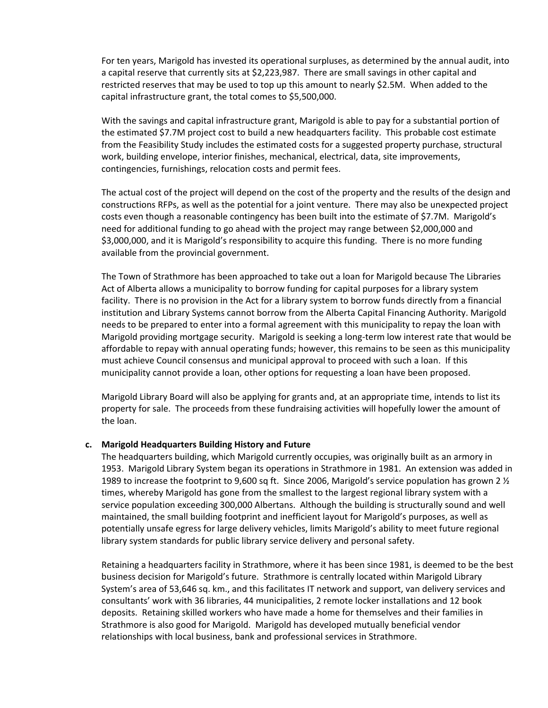For ten years, Marigold has invested its operational surpluses, as determined by the annual audit, into a capital reserve that currently sits at \$2,223,987. There are small savings in other capital and restricted reserves that may be used to top up this amount to nearly \$2.5M. When added to the capital infrastructure grant, the total comes to \$5,500,000.

With the savings and capital infrastructure grant, Marigold is able to pay for a substantial portion of the estimated \$7.7M project cost to build a new headquarters facility. This probable cost estimate from the Feasibility Study includes the estimated costs for a suggested property purchase, structural work, building envelope, interior finishes, mechanical, electrical, data, site improvements, contingencies, furnishings, relocation costs and permit fees.

The actual cost of the project will depend on the cost of the property and the results of the design and constructions RFPs, as well as the potential for a joint venture. There may also be unexpected project costs even though a reasonable contingency has been built into the estimate of \$7.7M. Marigold's need for additional funding to go ahead with the project may range between \$2,000,000 and \$3,000,000, and it is Marigold's responsibility to acquire this funding. There is no more funding available from the provincial government.

The Town of Strathmore has been approached to take out a loan for Marigold because The Libraries Act of Alberta allows a municipality to borrow funding for capital purposes for a library system facility. There is no provision in the Act for a library system to borrow funds directly from a financial institution and Library Systems cannot borrow from the Alberta Capital Financing Authority. Marigold needs to be prepared to enter into a formal agreement with this municipality to repay the loan with Marigold providing mortgage security. Marigold is seeking a long‐term low interest rate that would be affordable to repay with annual operating funds; however, this remains to be seen as this municipality must achieve Council consensus and municipal approval to proceed with such a loan. If this municipality cannot provide a loan, other options for requesting a loan have been proposed.

Marigold Library Board will also be applying for grants and, at an appropriate time, intends to list its property for sale. The proceeds from these fundraising activities will hopefully lower the amount of the loan.

#### **c. Marigold Headquarters Building History and Future**

The headquarters building, which Marigold currently occupies, was originally built as an armory in 1953. Marigold Library System began its operations in Strathmore in 1981. An extension was added in 1989 to increase the footprint to 9,600 sq ft. Since 2006, Marigold's service population has grown 2  $\frac{1}{2}$ times, whereby Marigold has gone from the smallest to the largest regional library system with a service population exceeding 300,000 Albertans. Although the building is structurally sound and well maintained, the small building footprint and inefficient layout for Marigold's purposes, as well as potentially unsafe egress for large delivery vehicles, limits Marigold's ability to meet future regional library system standards for public library service delivery and personal safety.

Retaining a headquarters facility in Strathmore, where it has been since 1981, is deemed to be the best business decision for Marigold's future. Strathmore is centrally located within Marigold Library System's area of 53,646 sq. km., and this facilitates IT network and support, van delivery services and consultants' work with 36 libraries, 44 municipalities, 2 remote locker installations and 12 book deposits. Retaining skilled workers who have made a home for themselves and their families in Strathmore is also good for Marigold. Marigold has developed mutually beneficial vendor relationships with local business, bank and professional services in Strathmore.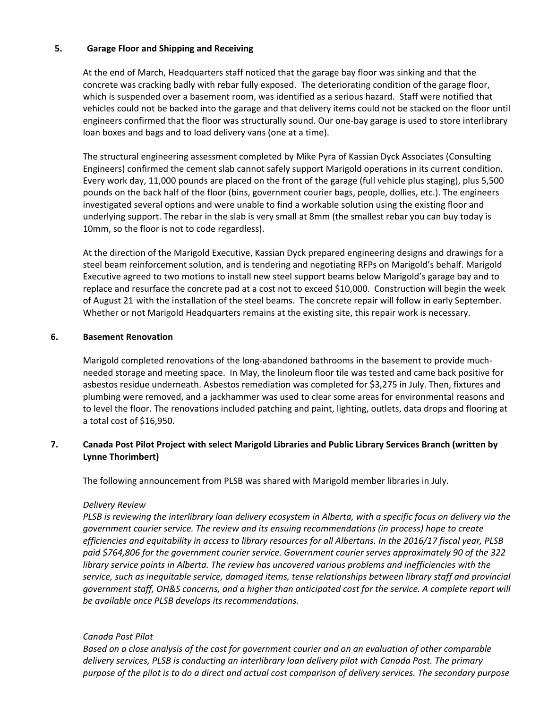#### **5. Garage Floor and Shipping and Receiving**

At the end of March, Headquarters staff noticed that the garage bay floor was sinking and that the concrete was cracking badly with rebar fully exposed. The deteriorating condition of the garage floor, which is suspended over a basement room, was identified as a serious hazard. Staff were notified that vehicles could not be backed into the garage and that delivery items could not be stacked on the floor until engineers confirmed that the floor was structurally sound. Our one‐bay garage is used to store interlibrary loan boxes and bags and to load delivery vans (one at a time).

The structural engineering assessment completed by Mike Pyra of Kassian Dyck Associates (Consulting Engineers) confirmed the cement slab cannot safely support Marigold operations in its current condition. Every work day, 11,000 pounds are placed on the front of the garage (full vehicle plus staging), plus 5,500 pounds on the back half of the floor (bins, government courier bags, people, dollies, etc.). The engineers investigated several options and were unable to find a workable solution using the existing floor and underlying support. The rebar in the slab is very small at 8mm (the smallest rebar you can buy today is 10mm, so the floor is not to code regardless).

At the direction of the Marigold Executive, Kassian Dyck prepared engineering designs and drawings for a steel beam reinforcement solution, and is tendering and negotiating RFPs on Marigold's behalf. Marigold Executive agreed to two motions to install new steel support beams below Marigold's garage bay and to replace and resurface the concrete pad at a cost not to exceed \$10,000. Construction will begin the week of August 21<sup>,</sup> with the installation of the steel beams. The concrete repair will follow in early September. Whether or not Marigold Headquarters remains at the existing site, this repair work is necessary.

#### **6. Basement Renovation**

Marigold completed renovations of the long-abandoned bathrooms in the basement to provide muchneeded storage and meeting space. In May, the linoleum floor tile was tested and came back positive for asbestos residue underneath. Asbestos remediation was completed for \$3,275 in July. Then, fixtures and plumbing were removed, and a jackhammer was used to clear some areas for environmental reasons and to level the floor. The renovations included patching and paint, lighting, outlets, data drops and flooring at a total cost of \$16,950.

#### **7. Canada Post Pilot Project with select Marigold Libraries and Public Library Services Branch (written by Lynne Thorimbert)**

The following announcement from PLSB was shared with Marigold member libraries in July.

#### *Delivery Review*

PLSB is reviewing the interlibrary loan delivery ecosystem in Alberta, with a specific focus on delivery via the *government courier service. The review and its ensuing recommendations (in process) hope to create* efficiencies and equitability in access to library resources for all Albertans. In the 2016/17 fiscal year, PLSB *paid \$764,806 for the government courier service. Government courier serves approximately 90 of the 322 library service points in Alberta. The review has uncovered various problems and inefficiencies with the service, such as inequitable service, damaged items, tense relationships between library staff and provincial* government staff, OH&S concerns, and a higher than anticipated cost for the service. A complete report will *be available once PLSB develops its recommendations.* 

#### *Canada Post Pilot*

Based on a close analysis of the cost for government courier and on an evaluation of other comparable *delivery services, PLSB is conducting an interlibrary loan delivery pilot with Canada Post. The primary* purpose of the pilot is to do a direct and actual cost comparison of delivery services. The secondary purpose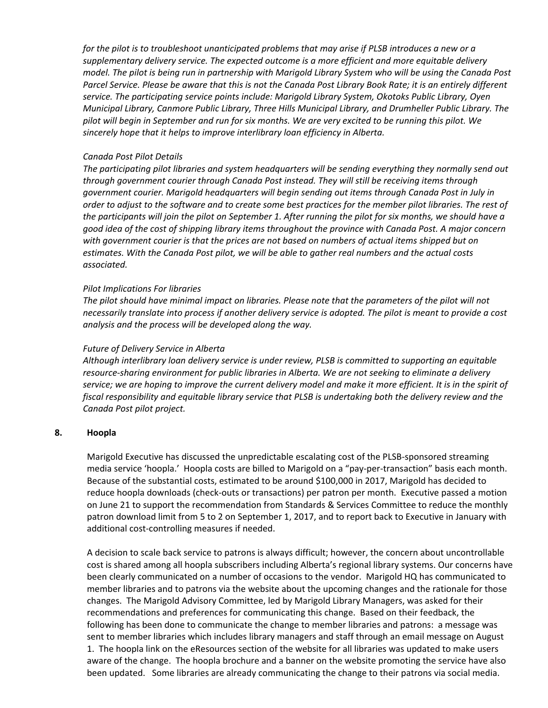for the pilot is to troubleshoot unanticipated problems that may arise if PLSB introduces a new or a *supplementary delivery service. The expected outcome is a more efficient and more equitable delivery* model. The pilot is being run in partnership with Marigold Library System who will be using the Canada Post Parcel Service. Please be aware that this is not the Canada Post Library Book Rate; it is an entirely different *service. The participating service points include: Marigold Library System, Okotoks Public Library, Oyen Municipal Library, Canmore Public Library, Three Hills Municipal Library, and Drumheller Public Library. The* pilot will begin in September and run for six months. We are very excited to be running this pilot. We *sincerely hope that it helps to improve interlibrary loan efficiency in Alberta.* 

#### *Canada Post Pilot Details*

*The participating pilot libraries and system headquarters will be sending everything they normally send out through government courier through Canada Post instead. They will still be receiving items through government courier. Marigold headquarters will begin sending out items through Canada Post in July in* order to adjust to the software and to create some best practices for the member pilot libraries. The rest of the participants will join the pilot on September 1. After running the pilot for six months, we should have a good idea of the cost of shipping library items throughout the province with Canada Post. A major concern *with government courier is that the prices are not based on numbers of actual items shipped but on estimates. With the Canada Post pilot, we will be able to gather real numbers and the actual costs associated.*

#### *Pilot Implications For libraries*

The pilot should have minimal impact on libraries. Please note that the parameters of the pilot will not necessarily translate into process if another delivery service is adopted. The pilot is meant to provide a cost *analysis and the process will be developed along the way.* 

#### *Future of Delivery Service in Alberta*

*Although interlibrary loan delivery service is under review, PLSB is committed to supporting an equitable resource‐sharing environment for public libraries in Alberta. We are not seeking to eliminate a delivery* service; we are hoping to improve the current delivery model and make it more efficient. It is in the spirit of *fiscal responsibility and equitable library service that PLSB is undertaking both the delivery review and the Canada Post pilot project.*

#### **8. Hoopla**

Marigold Executive has discussed the unpredictable escalating cost of the PLSB‐sponsored streaming media service 'hoopla.' Hoopla costs are billed to Marigold on a "pay‐per‐transaction" basis each month. Because of the substantial costs, estimated to be around \$100,000 in 2017, Marigold has decided to reduce hoopla downloads (check‐outs or transactions) per patron per month. Executive passed a motion on June 21 to support the recommendation from Standards & Services Committee to reduce the monthly patron download limit from 5 to 2 on September 1, 2017, and to report back to Executive in January with additional cost‐controlling measures if needed.

A decision to scale back service to patrons is always difficult; however, the concern about uncontrollable cost is shared among all hoopla subscribers including Alberta's regional library systems. Our concerns have been clearly communicated on a number of occasions to the vendor. Marigold HQ has communicated to member libraries and to patrons via the website about the upcoming changes and the rationale for those changes. The Marigold Advisory Committee, led by Marigold Library Managers, was asked for their recommendations and preferences for communicating this change. Based on their feedback, the following has been done to communicate the change to member libraries and patrons: a message was sent to member libraries which includes library managers and staff through an email message on August 1. The hoopla link on the eResources section of the website for all libraries was updated to make users aware of the change. The hoopla brochure and a banner on the website promoting the service have also been updated. Some libraries are already communicating the change to their patrons via social media.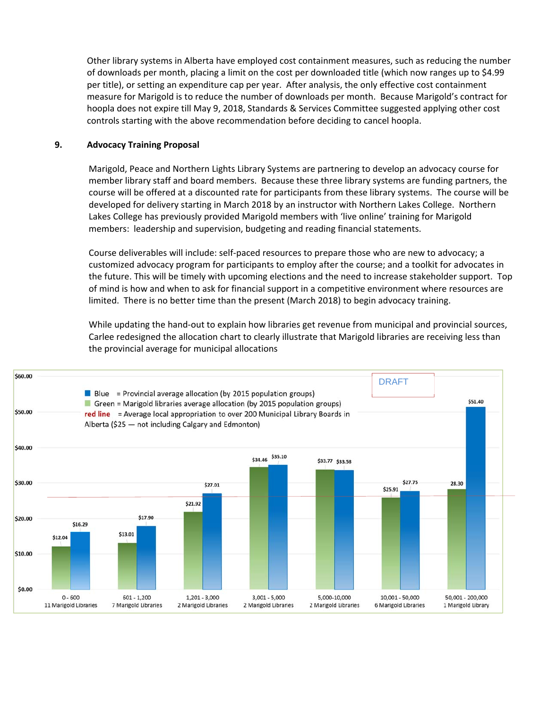Other library systems in Alberta have employed cost containment measures, such as reducing the number of downloads per month, placing a limit on the cost per downloaded title (which now ranges up to \$4.99 per title), or setting an expenditure cap per year. After analysis, the only effective cost containment measure for Marigold is to reduce the number of downloads per month. Because Marigold's contract for hoopla does not expire till May 9, 2018, Standards & Services Committee suggested applying other cost controls starting with the above recommendation before deciding to cancel hoopla.

#### **9. Advocacy Training Proposal**

Marigold, Peace and Northern Lights Library Systems are partnering to develop an advocacy course for member library staff and board members. Because these three library systems are funding partners, the course will be offered at a discounted rate for participants from these library systems. The course will be developed for delivery starting in March 2018 by an instructor with Northern Lakes College. Northern Lakes College has previously provided Marigold members with 'live online' training for Marigold members: leadership and supervision, budgeting and reading financial statements.

Course deliverables will include: self‐paced resources to prepare those who are new to advocacy; a customized advocacy program for participants to employ after the course; and a toolkit for advocates in the future. This will be timely with upcoming elections and the need to increase stakeholder support. Top of mind is how and when to ask for financial support in a competitive environment where resources are limited. There is no better time than the present (March 2018) to begin advocacy training.

While updating the hand-out to explain how libraries get revenue from municipal and provincial sources, Carlee redesigned the allocation chart to clearly illustrate that Marigold libraries are receiving less than the provincial average for municipal allocations

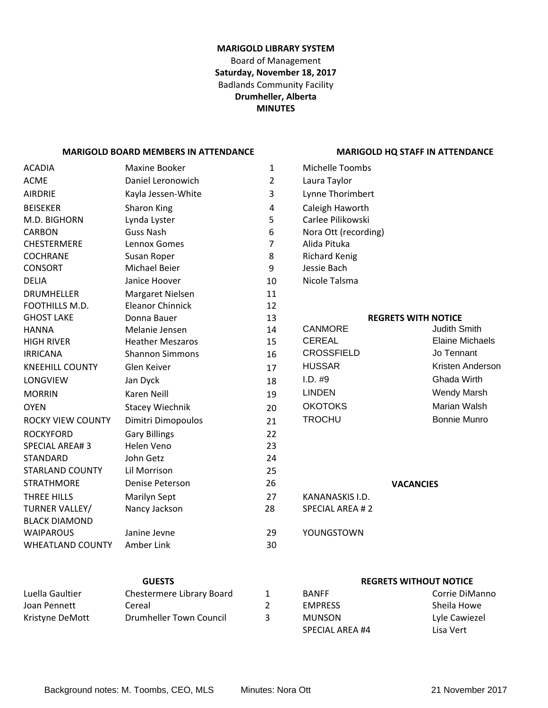#### **MARIGOLD LIBRARY SYSTEM** Board of Management **Saturday, November 18, 2017** Badlands Community Facility **Drumheller, Alberta MINUTES**

#### **MARIGOLD BOARD MEMBERS IN ATTENDANCE MARIGOLD HQ STAFF IN ATTENDANCE**

#### ACADIA Maxine Booker 1 ACME Daniel Leronowich 2 AIRDRIE Kayla Jessen‐White 3 Lynne Thorimbert BEISEKER Sharon King 14 M.D. BIGHORN Lynda Lyster 5 CARBON Guss Nash 6 Nora Ott (recording) CHESTERMERE Lennox Gomes 7 COCHRANE Susan Roper 8 CONSORT Michael Beier 9 DELIA Janice Hoover 10 DRUMHELLER Margaret Nielsen 11 FOOTHILLS M.D. Eleanor Chinnick 12 GHOST LAKE Donna Bauer 13 **REGRETS WITH NOTICE** HANNA Melanie Jensen 14 HIGH RIVER **Heather Meszaros** 15 IRRICANA Shannon Simmons 16 KNEEHILL COUNTY Glen Keiver 17 LONGVIEW Jan Dyck 18 18 I.D. #9 Ghada Wirth MORRIN Karen Neill 19 LINDEN Wendy Marsh OYEN Stacey Wiechnik 20 ROCKY VIEW COUNTY Dimitri Dimopoulos 21 ROCKYFORD Gary Billings 22 SPECIAL AREA# 3 Helen Veno 23 STANDARD STANDARD John Getz 24 STARLAND COUNTY Lil Morrison 25 STRATHMORE Denise Peterson 26 **VACANCIES** THREE HILLS Marilyn Sept 27 TURNER VALLEY/ BLACK DIAMOND Nancy Jackson 28 SPECIAL AREA # 2 WAIPAROUS Janine Jevne 29 YOUNGSTOWN WHEATLAND COUNTY Amber Link 30

| Michelle Toombs        |                            |
|------------------------|----------------------------|
| Laura Taylor           |                            |
| Lynne Thorimbert       |                            |
| Caleigh Haworth        |                            |
| Carlee Pilikowski      |                            |
| Nora Ott (recording)   |                            |
| Alida Pituka           |                            |
| <b>Richard Kenig</b>   |                            |
| Jessie Bach            |                            |
| Nicole Talsma          |                            |
|                        |                            |
|                        | <b>REGRETS WITH NOTICE</b> |
| <b>CANMORE</b>         | <b>Judith Smith</b>        |
| <b>CEREAL</b>          | <b>Elaine Michaels</b>     |
| <b>CROSSFIELD</b>      | Jo Tennant                 |
| <b>HUSSAR</b>          | Kristen Anderson           |
| I.D. #9                | Ghada Wirth                |
| <b>LINDEN</b>          | <b>Wendy Marsh</b>         |
| <b>OKOTOKS</b>         | Marian Walsh               |
| <b>TROCHU</b>          | <b>Bonnie Munro</b>        |
|                        |                            |
|                        |                            |
|                        |                            |
|                        |                            |
|                        | <b>VACANCIES</b>           |
| KANANASKIS I.D.        |                            |
| <b>SPECIAL AREA #2</b> |                            |
|                        |                            |
| YOUNGSTOWN             |                            |

| <b>GUESTS</b>   |                           |   | <b>REGRETS WITHOUT NOTICE</b> |                |
|-----------------|---------------------------|---|-------------------------------|----------------|
| Luella Gaultier | Chestermere Library Board |   | <b>BANFF</b>                  | Corrie DiManno |
| Joan Pennett    | Cereal                    |   | <b>EMPRESS</b>                | Sheila Howe    |
| Kristyne DeMott | Drumheller Town Council   | ર | <b>MUNSON</b>                 | Lyle Cawiezel  |
|                 |                           |   | SPECIAL AREA #4               | Lisa Vert      |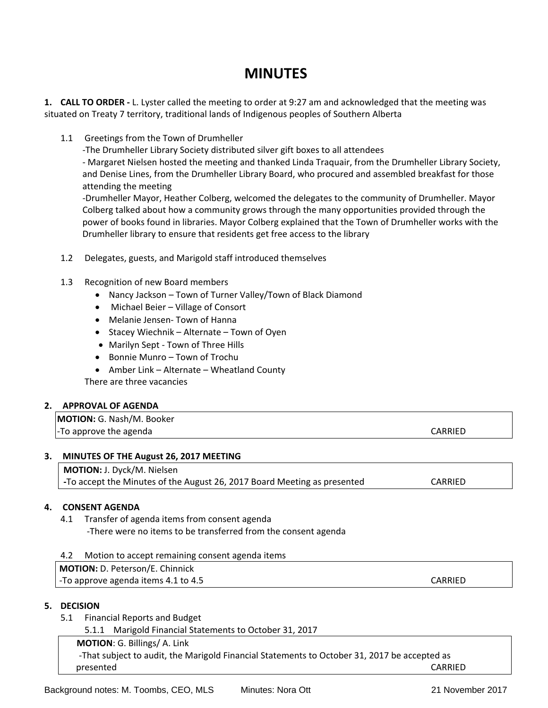# **MINUTES**

**1. CALL TO ORDER ‐** L. Lyster called the meeting to order at 9:27 am and acknowledged that the meeting was situated on Treaty 7 territory, traditional lands of Indigenous peoples of Southern Alberta

1.1 Greetings from the Town of Drumheller

‐The Drumheller Library Society distributed silver gift boxes to all attendees ‐ Margaret Nielsen hosted the meeting and thanked Linda Traquair, from the Drumheller Library Society, and Denise Lines, from the Drumheller Library Board, who procured and assembled breakfast for those attending the meeting

‐Drumheller Mayor, Heather Colberg, welcomed the delegates to the community of Drumheller. Mayor Colberg talked about how a community grows through the many opportunities provided through the power of books found in libraries. Mayor Colberg explained that the Town of Drumheller works with the Drumheller library to ensure that residents get free access to the library

- 1.2 Delegates, guests, and Marigold staff introduced themselves
- 1.3 Recognition of new Board members
	- Nancy Jackson Town of Turner Valley/Town of Black Diamond
	- Michael Beier Village of Consort
	- Melanie Jensen‐ Town of Hanna
	- Stacey Wiechnik Alternate Town of Oyen
	- Marilyn Sept Town of Three Hills
	- Bonnie Munro Town of Trochu
	- Amber Link Alternate Wheatland County

There are three vacancies

#### **2. APPROVAL OF AGENDA**

**MOTION:** G. Nash/M. Booker ‐To approve the agenda CARRIED

#### **3. MINUTES OF THE August 26, 2017 MEETING**

**MOTION:** J. Dyck/M. Nielsen **‐**To accept the Minutes of the August 26, 2017 Board Meeting as presented CARRIED

#### **4. CONSENT AGENDA**

- 4.1 Transfer of agenda items from consent agenda ‐There were no items to be transferred from the consent agenda
- 4.2 Motion to accept remaining consent agenda items

**MOTION:** D. Peterson/E. Chinnick ‐To approve agenda items 4.1 to 4.5 CARRIED

#### **5. DECISION**

5.1 Financial Reports and Budget

5.1.1 Marigold Financial Statements to October 31, 2017

 **MOTION**: G. Billings/ A. Link

‐That subject to audit, the Marigold Financial Statements to October 31, 2017 be accepted as presented CARRIED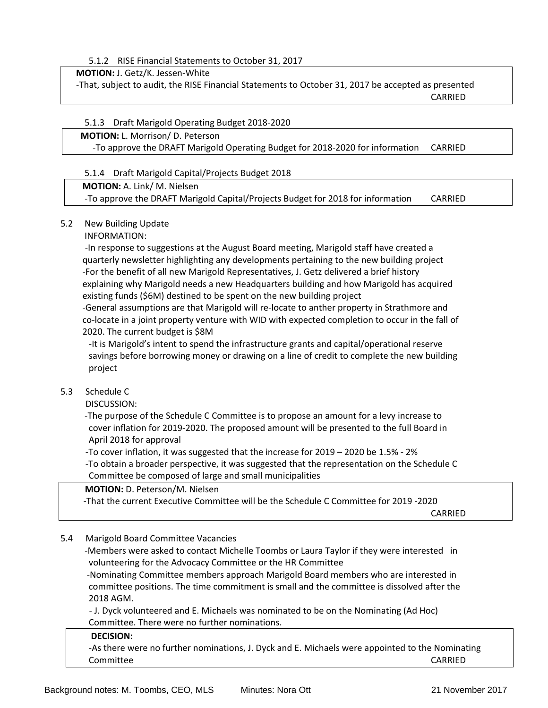5.1.2 RISE Financial Statements to October 31, 2017

**MOTION:** J. Getz/K. Jessen‐White

‐That, subject to audit, the RISE Financial Statements to October 31, 2017 be accepted as presented CARRIED

#### 5.1.3 Draft Marigold Operating Budget 2018‐2020

#### **MOTION:** L. Morrison/ D. Peterson ‐To approve the DRAFT Marigold Operating Budget for 2018‐2020 for information CARRIED

#### 5.1.4 Draft Marigold Capital/Projects Budget 2018

#### **MOTION:** A. Link/ M. Nielsen

‐To approve the DRAFT Marigold Capital/Projects Budget for 2018 for information CARRIED

#### 5.2 New Building Update

#### INFORMATION:

 ‐In response to suggestions at the August Board meeting, Marigold staff have created a quarterly newsletter highlighting any developments pertaining to the new building project ‐For the benefit of all new Marigold Representatives, J. Getz delivered a brief history explaining why Marigold needs a new Headquarters building and how Marigold has acquired existing funds (\$6M) destined to be spent on the new building project

 ‐General assumptions are that Marigold will re‐locate to anther property in Strathmore and co-locate in a joint property venture with WID with expected completion to occur in the fall of 2020. The current budget is \$8M

 ‐It is Marigold's intent to spend the infrastructure grants and capital/operational reserve savings before borrowing money or drawing on a line of credit to complete the new building project

#### 5.3 Schedule C

DISCUSSION:

 ‐The purpose of the Schedule C Committee is to propose an amount for a levy increase to cover inflation for 2019‐2020. The proposed amount will be presented to the full Board in April 2018 for approval

‐To cover inflation, it was suggested that the increase for 2019 – 2020 be 1.5% ‐ 2%

 ‐To obtain a broader perspective, it was suggested that the representation on the Schedule C Committee be composed of large and small municipalities

#### **MOTION:** D. Peterson/M. Nielsen

‐That the current Executive Committee will be the Schedule C Committee for 2019 ‐2020

**CARRIED** 

#### 5.4 Marigold Board Committee Vacancies

 ‐Members were asked to contact Michelle Toombs or Laura Taylor if they were interested in volunteering for the Advocacy Committee or the HR Committee

 ‐Nominating Committee members approach Marigold Board members who are interested in committee positions. The time commitment is small and the committee is dissolved after the 2018 AGM.

 ‐ J. Dyck volunteered and E. Michaels was nominated to be on the Nominating (Ad Hoc) Committee. There were no further nominations.

#### **DECISION:**

‐As there were no further nominations, J. Dyck and E. Michaels were appointed to the Nominating Committee CARRIED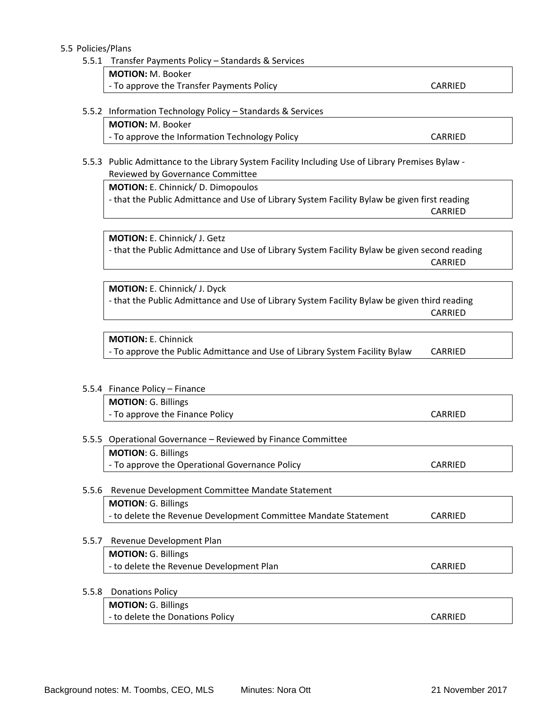#### 5.5 Policies/Plans

#### 5.5.1 Transfer Payments Policy – Standards & Services

| <b>MOTION:</b> M. Booker                  |         |
|-------------------------------------------|---------|
| - To approve the Transfer Payments Policy | CARRIED |

#### 5.5.2 Information Technology Policy – Standards & Services

**MOTION:** M. Booker

- To approve the Information Technology Policy **CARRIED** 

#### 5.5.3 Public Admittance to the Library System Facility Including Use of Library Premises Bylaw -Reviewed by Governance Committee

**MOTION:** E. Chinnick/ D. Dimopoulos

‐ that the Public Admittance and Use of Library System Facility Bylaw be given first reading CARRIED

**MOTION:** E. Chinnick/ J. Getz ‐ that the Public Admittance and Use of Library System Facility Bylaw be given second reading CARRIED

**MOTION:** E. Chinnick/ J. Dyck ‐ that the Public Admittance and Use of Library System Facility Bylaw be given third reading CARRIED

**MOTION:** E. Chinnick ‐ To approve the Public Admittance and Use of Library System Facility Bylaw CARRIED

5.5.4 Finance Policy – Finance **MOTION**: G. Billings

- To approve the Finance Policy **CARRIED** 

#### 5.5.5 Operational Governance – Reviewed by Finance Committee

**MOTION**: G. Billings ‐ To approve the Operational Governance Policy CARRIED

#### 5.5.6 Revenue Development Committee Mandate Statement

**MOTION**: G. Billings ‐ to delete the Revenue Development Committee Mandate Statement CARRIED

#### 5.5.7 Revenue Development Plan

**MOTION:** G. Billings ‐ to delete the Revenue Development Plan CARRIED

#### 5.5.8 Donations Policy

**MOTION:** G. Billings - to delete the Donations Policy **CARRIED** 

Background notes: M. Toombs, CEO, MLS Minutes: Nora Ott 21 November 2017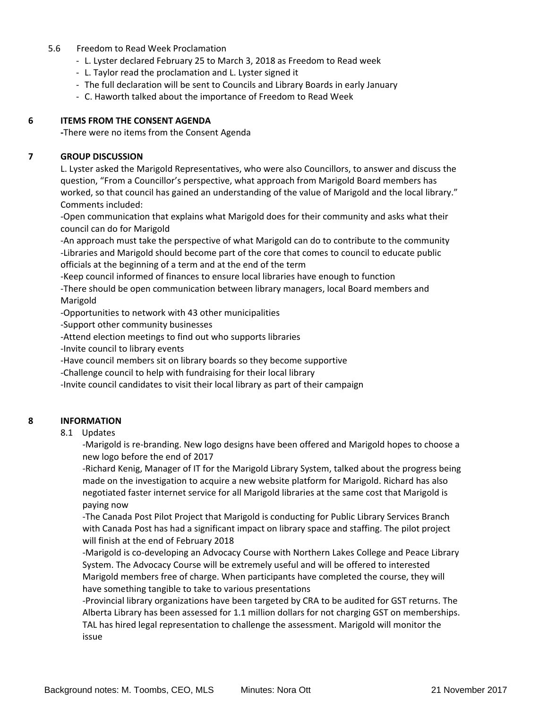#### 5.6 Freedom to Read Week Proclamation

- ‐ L. Lyster declared February 25 to March 3, 2018 as Freedom to Read week
- ‐ L. Taylor read the proclamation and L. Lyster signed it
- ‐ The full declaration will be sent to Councils and Library Boards in early January
- ‐ C. Haworth talked about the importance of Freedom to Read Week

#### **6 ITEMS FROM THE CONSENT AGENDA**

 **‐**There were no items from the Consent Agenda

#### **7 GROUP DISCUSSION**

L. Lyster asked the Marigold Representatives, who were also Councillors, to answer and discuss the question, "From a Councillor's perspective, what approach from Marigold Board members has worked, so that council has gained an understanding of the value of Marigold and the local library." Comments included:

‐Open communication that explains what Marigold does for their community and asks what their council can do for Marigold

‐An approach must take the perspective of what Marigold can do to contribute to the community ‐Libraries and Marigold should become part of the core that comes to council to educate public officials at the beginning of a term and at the end of the term

‐Keep council informed of finances to ensure local libraries have enough to function ‐There should be open communication between library managers, local Board members and

Marigold

‐Opportunities to network with 43 other municipalities

‐Support other community businesses

‐Attend election meetings to find out who supports libraries

‐Invite council to library events

‐Have council members sit on library boards so they become supportive

‐Challenge council to help with fundraising for their local library

‐Invite council candidates to visit their local library as part of their campaign

#### **8 INFORMATION**

8.1 Updates

‐Marigold is re‐branding. New logo designs have been offered and Marigold hopes to choose a new logo before the end of 2017

‐Richard Kenig, Manager of IT for the Marigold Library System, talked about the progress being made on the investigation to acquire a new website platform for Marigold. Richard has also negotiated faster internet service for all Marigold libraries at the same cost that Marigold is paying now

‐The Canada Post Pilot Project that Marigold is conducting for Public Library Services Branch with Canada Post has had a significant impact on library space and staffing. The pilot project will finish at the end of February 2018

‐Marigold is co‐developing an Advocacy Course with Northern Lakes College and Peace Library System. The Advocacy Course will be extremely useful and will be offered to interested Marigold members free of charge. When participants have completed the course, they will have something tangible to take to various presentations

‐Provincial library organizations have been targeted by CRA to be audited for GST returns. The Alberta Library has been assessed for 1.1 million dollars for not charging GST on memberships. TAL has hired legal representation to challenge the assessment. Marigold will monitor the issue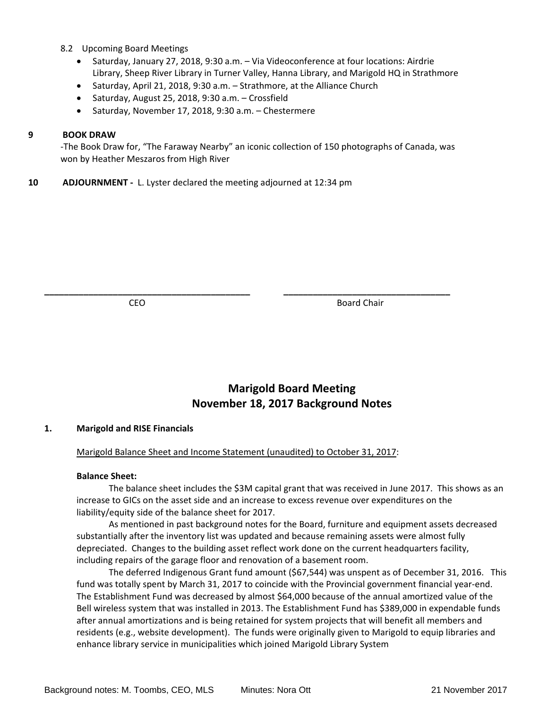- 8.2 Upcoming Board Meetings
	- Saturday, January 27, 2018, 9:30 a.m. Via Videoconference at four locations: Airdrie Library, Sheep River Library in Turner Valley, Hanna Library, and Marigold HQ in Strathmore
	- Saturday, April 21, 2018, 9:30 a.m. Strathmore, at the Alliance Church
	- Saturday, August 25, 2018, 9:30 a.m. Crossfield
	- Saturday, November 17, 2018, 9:30 a.m. Chestermere

#### **9 BOOK DRAW**

‐The Book Draw for, "The Faraway Nearby" an iconic collection of 150 photographs of Canada, was won by Heather Meszaros from High River

**\_\_\_\_\_\_\_\_\_\_\_\_\_\_\_\_\_\_\_\_\_\_\_\_\_\_\_\_\_\_\_\_\_\_\_\_\_\_\_\_\_\_ \_\_\_\_\_\_\_\_\_\_\_\_\_\_\_\_\_\_\_\_\_\_\_\_\_\_\_\_\_\_\_\_\_\_**

**10 ADJOURNMENT** - L. Lyster declared the meeting adjourned at 12:34 pm

**CEO Board Chair** 

## **Marigold Board Meeting November 18, 2017 Background Notes**

#### **1. Marigold and RISE Financials**

#### Marigold Balance Sheet and Income Statement (unaudited) to October 31, 2017:

#### **Balance Sheet:**

The balance sheet includes the \$3M capital grant that was received in June 2017. This shows as an increase to GICs on the asset side and an increase to excess revenue over expenditures on the liability/equity side of the balance sheet for 2017.

As mentioned in past background notes for the Board, furniture and equipment assets decreased substantially after the inventory list was updated and because remaining assets were almost fully depreciated. Changes to the building asset reflect work done on the current headquarters facility, including repairs of the garage floor and renovation of a basement room.

The deferred Indigenous Grant fund amount (\$67,544) was unspent as of December 31, 2016. This fund was totally spent by March 31, 2017 to coincide with the Provincial government financial year-end. The Establishment Fund was decreased by almost \$64,000 because of the annual amortized value of the Bell wireless system that was installed in 2013. The Establishment Fund has \$389,000 in expendable funds after annual amortizations and is being retained for system projects that will benefit all members and residents (e.g., website development). The funds were originally given to Marigold to equip libraries and enhance library service in municipalities which joined Marigold Library System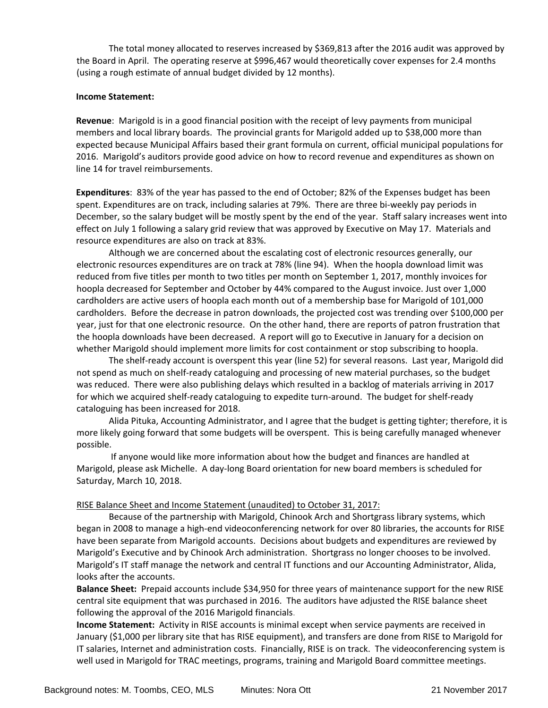The total money allocated to reserves increased by \$369,813 after the 2016 audit was approved by the Board in April. The operating reserve at \$996,467 would theoretically cover expenses for 2.4 months (using a rough estimate of annual budget divided by 12 months).

#### **Income Statement:**

**Revenue**: Marigold is in a good financial position with the receipt of levy payments from municipal members and local library boards. The provincial grants for Marigold added up to \$38,000 more than expected because Municipal Affairs based their grant formula on current, official municipal populations for 2016. Marigold's auditors provide good advice on how to record revenue and expenditures as shown on line 14 for travel reimbursements.

**Expenditures**: 83% of the year has passed to the end of October; 82% of the Expenses budget has been spent. Expenditures are on track, including salaries at 79%. There are three bi‐weekly pay periods in December, so the salary budget will be mostly spent by the end of the year. Staff salary increases went into effect on July 1 following a salary grid review that was approved by Executive on May 17. Materials and resource expenditures are also on track at 83%.

Although we are concerned about the escalating cost of electronic resources generally, our electronic resources expenditures are on track at 78% (line 94). When the hoopla download limit was reduced from five titles per month to two titles per month on September 1, 2017, monthly invoices for hoopla decreased for September and October by 44% compared to the August invoice. Just over 1,000 cardholders are active users of hoopla each month out of a membership base for Marigold of 101,000 cardholders. Before the decrease in patron downloads, the projected cost was trending over \$100,000 per year, just for that one electronic resource. On the other hand, there are reports of patron frustration that the hoopla downloads have been decreased. A report will go to Executive in January for a decision on whether Marigold should implement more limits for cost containment or stop subscribing to hoopla.

The shelf‐ready account is overspent this year (line 52) for several reasons. Last year, Marigold did not spend as much on shelf-ready cataloguing and processing of new material purchases, so the budget was reduced. There were also publishing delays which resulted in a backlog of materials arriving in 2017 for which we acquired shelf-ready cataloguing to expedite turn-around. The budget for shelf-ready cataloguing has been increased for 2018.

Alida Pituka, Accounting Administrator, and I agree that the budget is getting tighter; therefore, it is more likely going forward that some budgets will be overspent. This is being carefully managed whenever possible.

If anyone would like more information about how the budget and finances are handled at Marigold, please ask Michelle. A day-long Board orientation for new board members is scheduled for Saturday, March 10, 2018.

#### RISE Balance Sheet and Income Statement (unaudited) to October 31, 2017:

Because of the partnership with Marigold, Chinook Arch and Shortgrass library systems, which began in 2008 to manage a high‐end videoconferencing network for over 80 libraries, the accounts for RISE have been separate from Marigold accounts. Decisions about budgets and expenditures are reviewed by Marigold's Executive and by Chinook Arch administration. Shortgrass no longer chooses to be involved. Marigold's IT staff manage the network and central IT functions and our Accounting Administrator, Alida, looks after the accounts.

**Balance Sheet:** Prepaid accounts include \$34,950 for three years of maintenance support for the new RISE central site equipment that was purchased in 2016. The auditors have adjusted the RISE balance sheet following the approval of the 2016 Marigold financials.

**Income Statement:** Activity in RISE accounts is minimal except when service payments are received in January (\$1,000 per library site that has RISE equipment), and transfers are done from RISE to Marigold for IT salaries, Internet and administration costs. Financially, RISE is on track. The videoconferencing system is well used in Marigold for TRAC meetings, programs, training and Marigold Board committee meetings.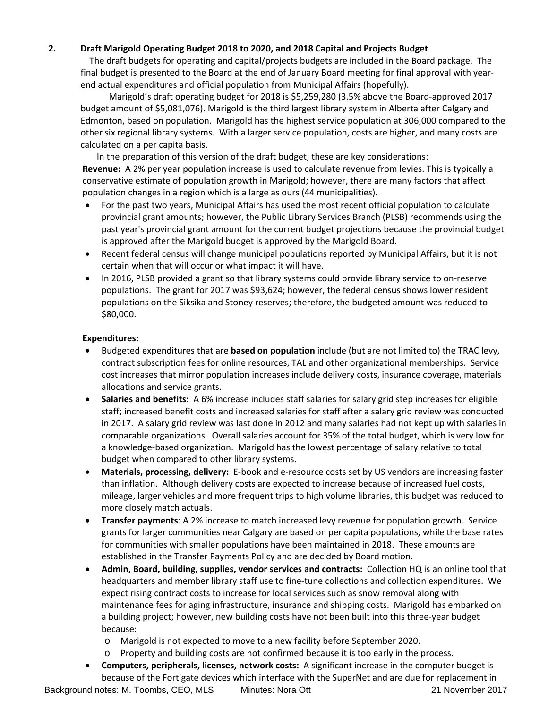#### **2. Draft Marigold Operating Budget 2018 to 2020, and 2018 Capital and Projects Budget**

The draft budgets for operating and capital/projects budgets are included in the Board package. The final budget is presented to the Board at the end of January Board meeting for final approval with year‐ end actual expenditures and official population from Municipal Affairs (hopefully).

Marigold's draft operating budget for 2018 is \$5,259,280 (3.5% above the Board‐approved 2017 budget amount of \$5,081,076). Marigold is the third largest library system in Alberta after Calgary and Edmonton, based on population. Marigold has the highest service population at 306,000 compared to the other six regional library systems. With a larger service population, costs are higher, and many costs are calculated on a per capita basis.

In the preparation of this version of the draft budget, these are key considerations:

**Revenue:** A 2% per year population increase is used to calculate revenue from levies. This is typically a conservative estimate of population growth in Marigold; however, there are many factors that affect population changes in a region which is a large as ours (44 municipalities).

- For the past two years, Municipal Affairs has used the most recent official population to calculate provincial grant amounts; however, the Public Library Services Branch (PLSB) recommends using the past year's provincial grant amount for the current budget projections because the provincial budget is approved after the Marigold budget is approved by the Marigold Board.
- Recent federal census will change municipal populations reported by Municipal Affairs, but it is not certain when that will occur or what impact it will have.
- In 2016, PLSB provided a grant so that library systems could provide library service to on‐reserve populations. The grant for 2017 was \$93,624; however, the federal census shows lower resident populations on the Siksika and Stoney reserves; therefore, the budgeted amount was reduced to \$80,000.

#### **Expenditures:**

- Budgeted expenditures that are **based on population** include (but are not limited to) the TRAC levy, contract subscription fees for online resources, TAL and other organizational memberships. Service cost increases that mirror population increases include delivery costs, insurance coverage, materials allocations and service grants.
- **Salaries and benefits:** A 6% increase includes staff salaries for salary grid step increases for eligible staff; increased benefit costs and increased salaries for staff after a salary grid review was conducted in 2017. A salary grid review was last done in 2012 and many salaries had not kept up with salaries in comparable organizations. Overall salaries account for 35% of the total budget, which is very low for a knowledge‐based organization. Marigold has the lowest percentage of salary relative to total budget when compared to other library systems.
- **Materials, processing, delivery:** E‐book and e‐resource costs set by US vendors are increasing faster than inflation. Although delivery costs are expected to increase because of increased fuel costs, mileage, larger vehicles and more frequent trips to high volume libraries, this budget was reduced to more closely match actuals.
- **Transfer payments**: A 2% increase to match increased levy revenue for population growth. Service grants for larger communities near Calgary are based on per capita populations, while the base rates for communities with smaller populations have been maintained in 2018. These amounts are established in the Transfer Payments Policy and are decided by Board motion.
- **Admin, Board, building, supplies, vendor services and contracts:** Collection HQ is an online tool that headquarters and member library staff use to fine-tune collections and collection expenditures. We expect rising contract costs to increase for local services such as snow removal along with maintenance fees for aging infrastructure, insurance and shipping costs. Marigold has embarked on a building project; however, new building costs have not been built into this three-year budget because:
	- o Marigold is not expected to move to a new facility before September 2020.
	- o Property and building costs are not confirmed because it is too early in the process.
- **Computers, peripherals, licenses, network costs:** A significant increase in the computer budget is because of the Fortigate devices which interface with the SuperNet and are due for replacement in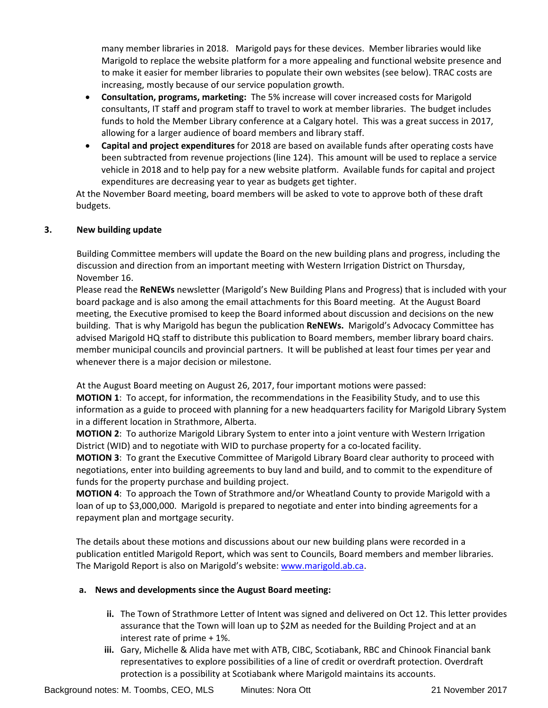many member libraries in 2018. Marigold pays for these devices. Member libraries would like Marigold to replace the website platform for a more appealing and functional website presence and to make it easier for member libraries to populate their own websites (see below). TRAC costs are increasing, mostly because of our service population growth.

- **Consultation, programs, marketing:** The 5% increase will cover increased costs for Marigold consultants, IT staff and program staff to travel to work at member libraries. The budget includes funds to hold the Member Library conference at a Calgary hotel. This was a great success in 2017, allowing for a larger audience of board members and library staff.
- **Capital and project expenditures** for 2018 are based on available funds after operating costs have been subtracted from revenue projections (line 124). This amount will be used to replace a service vehicle in 2018 and to help pay for a new website platform. Available funds for capital and project expenditures are decreasing year to year as budgets get tighter.

At the November Board meeting, board members will be asked to vote to approve both of these draft budgets.

#### **3. New building update**

Building Committee members will update the Board on the new building plans and progress, including the discussion and direction from an important meeting with Western Irrigation District on Thursday, November 16.

Please read the **ReNEWs** newsletter (Marigold's New Building Plans and Progress) that is included with your board package and is also among the email attachments for this Board meeting. At the August Board meeting, the Executive promised to keep the Board informed about discussion and decisions on the new building. That is why Marigold has begun the publication **ReNEWs.** Marigold's Advocacy Committee has advised Marigold HQ staff to distribute this publication to Board members, member library board chairs. member municipal councils and provincial partners. It will be published at least four times per year and whenever there is a major decision or milestone.

At the August Board meeting on August 26, 2017, four important motions were passed:

**MOTION 1**: To accept, for information, the recommendations in the Feasibility Study, and to use this information as a guide to proceed with planning for a new headquarters facility for Marigold Library System in a different location in Strathmore, Alberta.

**MOTION 2**: To authorize Marigold Library System to enter into a joint venture with Western Irrigation District (WID) and to negotiate with WID to purchase property for a co-located facility.

**MOTION 3**: To grant the Executive Committee of Marigold Library Board clear authority to proceed with negotiations, enter into building agreements to buy land and build, and to commit to the expenditure of funds for the property purchase and building project.

**MOTION 4**: To approach the Town of Strathmore and/or Wheatland County to provide Marigold with a loan of up to \$3,000,000. Marigold is prepared to negotiate and enter into binding agreements for a repayment plan and mortgage security.

The details about these motions and discussions about our new building plans were recorded in a publication entitled Marigold Report, which was sent to Councils, Board members and member libraries. The Marigold Report is also on Marigold's website: www.marigold.ab.ca.

#### **a. News and developments since the August Board meeting:**

- **ii.** The Town of Strathmore Letter of Intent was signed and delivered on Oct 12. This letter provides assurance that the Town will loan up to \$2M as needed for the Building Project and at an interest rate of prime + 1%.
- **iii.** Gary, Michelle & Alida have met with ATB, CIBC, Scotiabank, RBC and Chinook Financial bank representatives to explore possibilities of a line of credit or overdraft protection. Overdraft protection is a possibility at Scotiabank where Marigold maintains its accounts.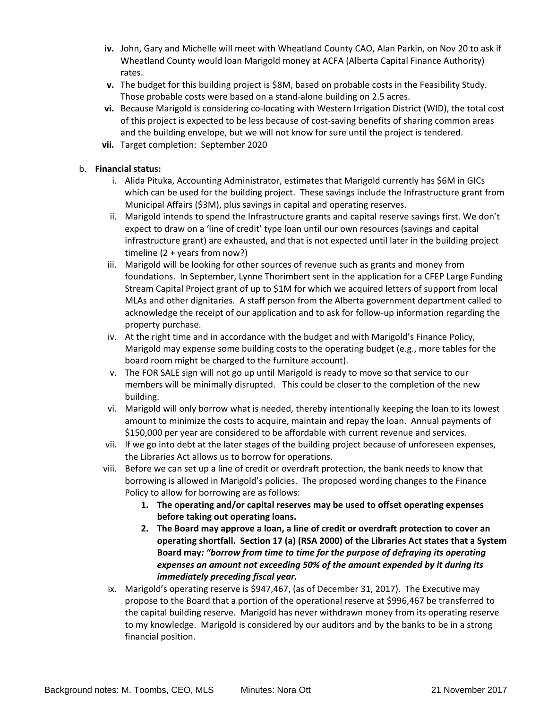- **iv.** John, Gary and Michelle will meet with Wheatland County CAO, Alan Parkin, on Nov 20 to ask if Wheatland County would loan Marigold money at ACFA (Alberta Capital Finance Authority) rates.
- **v.** The budget for this building project is \$8M, based on probable costs in the Feasibility Study. Those probable costs were based on a stand‐alone building on 2.5 acres.
- **vi.** Because Marigold is considering co-locating with Western Irrigation District (WID), the total cost of this project is expected to be less because of cost‐saving benefits of sharing common areas and the building envelope, but we will not know for sure until the project is tendered.
- **vii.** Target completion: September 2020

#### b. **Financial status:**

- i. Alida Pituka, Accounting Administrator, estimates that Marigold currently has \$6M in GICs which can be used for the building project. These savings include the Infrastructure grant from Municipal Affairs (\$3M), plus savings in capital and operating reserves.
- ii. Marigold intends to spend the Infrastructure grants and capital reserve savings first. We don't expect to draw on a 'line of credit' type loan until our own resources (savings and capital infrastructure grant) are exhausted, and that is not expected until later in the building project timeline (2 + years from now?)
- iii. Marigold will be looking for other sources of revenue such as grants and money from foundations. In September, Lynne Thorimbert sent in the application for a CFEP Large Funding Stream Capital Project grant of up to \$1M for which we acquired letters of support from local MLAs and other dignitaries. A staff person from the Alberta government department called to acknowledge the receipt of our application and to ask for follow‐up information regarding the property purchase.
- iv. At the right time and in accordance with the budget and with Marigold's Finance Policy, Marigold may expense some building costs to the operating budget (e.g., more tables for the board room might be charged to the furniture account).
- v. The FOR SALE sign will not go up until Marigold is ready to move so that service to our members will be minimally disrupted. This could be closer to the completion of the new building.
- vi. Marigold will only borrow what is needed, thereby intentionally keeping the loan to its lowest amount to minimize the costs to acquire, maintain and repay the loan. Annual payments of \$150,000 per year are considered to be affordable with current revenue and services.
- vii. If we go into debt at the later stages of the building project because of unforeseen expenses, the Libraries Act allows us to borrow for operations.
- viii. Before we can set up a line of credit or overdraft protection, the bank needs to know that borrowing is allowed in Marigold's policies. The proposed wording changes to the Finance Policy to allow for borrowing are as follows:
	- **1. The operating and/or capital reserves may be used to offset operating expenses before taking out operating loans.**
	- **2. The Board may approve a loan, a line of credit or overdraft protection to cover an operating shortfall. Section 17 (a) (RSA 2000) of the Libraries Act states that a System Board may***: "borrow from time to time for the purpose of defraying its operating expenses an amount not exceeding 50% of the amount expended by it during its immediately preceding fiscal year.*
- ix. Marigold's operating reserve is \$947,467, (as of December 31, 2017). The Executive may propose to the Board that a portion of the operational reserve at \$996,467 be transferred to the capital building reserve. Marigold has never withdrawn money from its operating reserve to my knowledge. Marigold is considered by our auditors and by the banks to be in a strong financial position.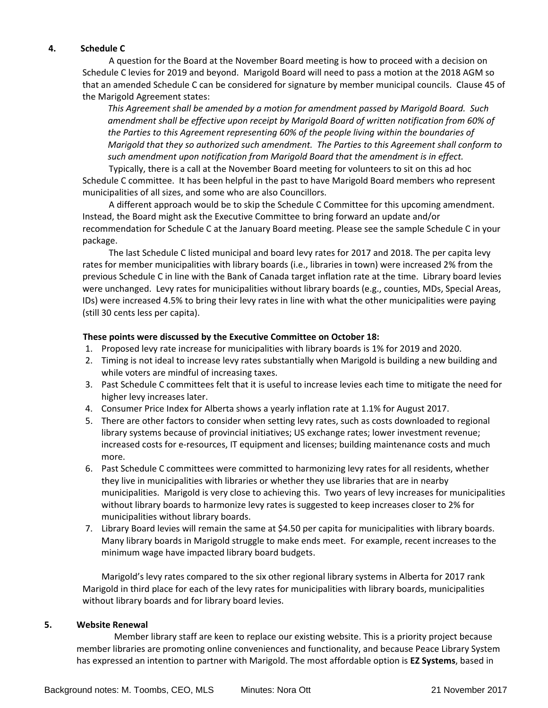#### **4. Schedule C**

A question for the Board at the November Board meeting is how to proceed with a decision on Schedule C levies for 2019 and beyond. Marigold Board will need to pass a motion at the 2018 AGM so that an amended Schedule C can be considered for signature by member municipal councils. Clause 45 of the Marigold Agreement states:

*This Agreement shall be amended by a motion for amendment passed by Marigold Board. Such amendment shall be effective upon receipt by Marigold Board of written notification from 60% of the Parties to this Agreement representing 60% of the people living within the boundaries of Marigold that they so authorized such amendment. The Parties to this Agreement shall conform to such amendment upon notification from Marigold Board that the amendment is in effect.* 

Typically, there is a call at the November Board meeting for volunteers to sit on this ad hoc Schedule C committee. It has been helpful in the past to have Marigold Board members who represent municipalities of all sizes, and some who are also Councillors.

A different approach would be to skip the Schedule C Committee for this upcoming amendment. Instead, the Board might ask the Executive Committee to bring forward an update and/or recommendation for Schedule C at the January Board meeting. Please see the sample Schedule C in your package.

The last Schedule C listed municipal and board levy rates for 2017 and 2018. The per capita levy rates for member municipalities with library boards (i.e., libraries in town) were increased 2% from the previous Schedule C in line with the Bank of Canada target inflation rate at the time. Library board levies were unchanged. Levy rates for municipalities without library boards (e.g., counties, MDs, Special Areas, IDs) were increased 4.5% to bring their levy rates in line with what the other municipalities were paying (still 30 cents less per capita).

#### **These points were discussed by the Executive Committee on October 18:**

- 1. Proposed levy rate increase for municipalities with library boards is 1% for 2019 and 2020.
- 2. Timing is not ideal to increase levy rates substantially when Marigold is building a new building and while voters are mindful of increasing taxes.
- 3. Past Schedule C committees felt that it is useful to increase levies each time to mitigate the need for higher levy increases later.
- 4. Consumer Price Index for Alberta shows a yearly inflation rate at 1.1% for August 2017.
- 5. There are other factors to consider when setting levy rates, such as costs downloaded to regional library systems because of provincial initiatives; US exchange rates; lower investment revenue; increased costs for e-resources, IT equipment and licenses; building maintenance costs and much more.
- 6. Past Schedule C committees were committed to harmonizing levy rates for all residents, whether they live in municipalities with libraries or whether they use libraries that are in nearby municipalities. Marigold is very close to achieving this. Two years of levy increases for municipalities without library boards to harmonize levy rates is suggested to keep increases closer to 2% for municipalities without library boards.
- 7. Library Board levies will remain the same at \$4.50 per capita for municipalities with library boards. Many library boards in Marigold struggle to make ends meet. For example, recent increases to the minimum wage have impacted library board budgets.

Marigold's levy rates compared to the six other regional library systems in Alberta for 2017 rank Marigold in third place for each of the levy rates for municipalities with library boards, municipalities without library boards and for library board levies.

#### **5. Website Renewal**

Member library staff are keen to replace our existing website. This is a priority project because member libraries are promoting online conveniences and functionality, and because Peace Library System has expressed an intention to partner with Marigold. The most affordable option is **EZ Systems**, based in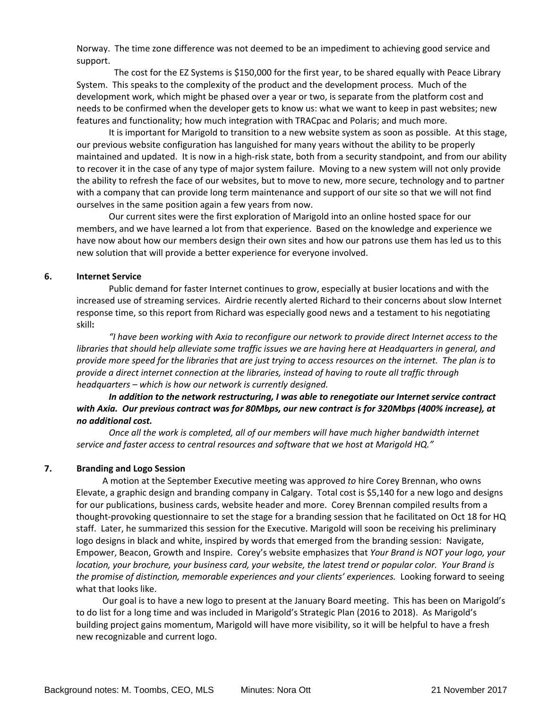Norway. The time zone difference was not deemed to be an impediment to achieving good service and support.

The cost for the EZ Systems is \$150,000 for the first year, to be shared equally with Peace Library System. This speaks to the complexity of the product and the development process. Much of the development work, which might be phased over a year or two, is separate from the platform cost and needs to be confirmed when the developer gets to know us: what we want to keep in past websites; new features and functionality; how much integration with TRACpac and Polaris; and much more.

It is important for Marigold to transition to a new website system as soon as possible. At this stage, our previous website configuration has languished for many years without the ability to be properly maintained and updated. It is now in a high-risk state, both from a security standpoint, and from our ability to recover it in the case of any type of major system failure. Moving to a new system will not only provide the ability to refresh the face of our websites, but to move to new, more secure, technology and to partner with a company that can provide long term maintenance and support of our site so that we will not find ourselves in the same position again a few years from now.

Our current sites were the first exploration of Marigold into an online hosted space for our members, and we have learned a lot from that experience. Based on the knowledge and experience we have now about how our members design their own sites and how our patrons use them has led us to this new solution that will provide a better experience for everyone involved.

#### **6. Internet Service**

Public demand for faster Internet continues to grow, especially at busier locations and with the increased use of streaming services. Airdrie recently alerted Richard to their concerns about slow Internet response time, so this report from Richard was especially good news and a testament to his negotiating skill**:** 

*"I have been working with Axia to reconfigure our network to provide direct Internet access to the* libraries that should help alleviate some traffic issues we are having here at Headquarters in general, and provide more speed for the libraries that are just trying to access resources on the internet. The plan is to *provide a direct internet connection at the libraries, instead of having to route all traffic through headquarters – which is how our network is currently designed.* 

*In addition to the network restructuring, I was able to renegotiate our Internet service contract* with Axia. Our previous contract was for 80Mbps, our new contract is for 320Mbps (400% increase), at *no additional cost.*

*Once all the work is completed, all of our members will have much higher bandwidth internet service and faster access to central resources and software that we host at Marigold HQ."*

#### **7. Branding and Logo Session**

A motion at the September Executive meeting was approved *to* hire Corey Brennan, who owns Elevate, a graphic design and branding company in Calgary. Total cost is \$5,140 for a new logo and designs for our publications, business cards, website header and more. Corey Brennan compiled results from a thought‐provoking questionnaire to set the stage for a branding session that he facilitated on Oct 18 for HQ staff. Later, he summarized this session for the Executive. Marigold will soon be receiving his preliminary logo designs in black and white, inspired by words that emerged from the branding session: Navigate, Empower, Beacon, Growth and Inspire. Corey's website emphasizes that *Your Brand is NOT your logo, your* location, your brochure, your business card, your website, the latest trend or popular color. Your Brand is *the promise of distinction, memorable experiences and your clients' experiences.* Looking forward to seeing what that looks like.

Our goal is to have a new logo to present at the January Board meeting. This has been on Marigold's to do list for a long time and was included in Marigold's Strategic Plan (2016 to 2018). As Marigold's building project gains momentum, Marigold will have more visibility, so it will be helpful to have a fresh new recognizable and current logo.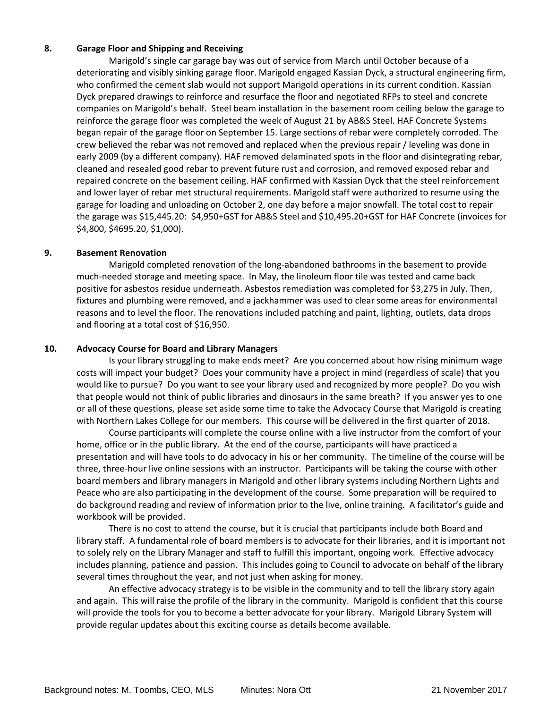#### **8. Garage Floor and Shipping and Receiving**

Marigold's single car garage bay was out of service from March until October because of a deteriorating and visibly sinking garage floor. Marigold engaged Kassian Dyck, a structural engineering firm, who confirmed the cement slab would not support Marigold operations in its current condition. Kassian Dyck prepared drawings to reinforce and resurface the floor and negotiated RFPs to steel and concrete companies on Marigold's behalf. Steel beam installation in the basement room ceiling below the garage to reinforce the garage floor was completed the week of August 21 by AB&S Steel. HAF Concrete Systems began repair of the garage floor on September 15. Large sections of rebar were completely corroded. The crew believed the rebar was not removed and replaced when the previous repair / leveling was done in early 2009 (by a different company). HAF removed delaminated spots in the floor and disintegrating rebar, cleaned and resealed good rebar to prevent future rust and corrosion, and removed exposed rebar and repaired concrete on the basement ceiling. HAF confirmed with Kassian Dyck that the steel reinforcement and lower layer of rebar met structural requirements. Marigold staff were authorized to resume using the garage for loading and unloading on October 2, one day before a major snowfall. The total cost to repair the garage was \$15,445.20: \$4,950+GST for AB&S Steel and \$10,495.20+GST for HAF Concrete (invoices for \$4,800, \$4695.20, \$1,000).

#### **9. Basement Renovation**

Marigold completed renovation of the long‐abandoned bathrooms in the basement to provide much‐needed storage and meeting space. In May, the linoleum floor tile was tested and came back positive for asbestos residue underneath. Asbestos remediation was completed for \$3,275 in July. Then, fixtures and plumbing were removed, and a jackhammer was used to clear some areas for environmental reasons and to level the floor. The renovations included patching and paint, lighting, outlets, data drops and flooring at a total cost of \$16,950.

#### **10. Advocacy Course for Board and Library Managers**

Is your library struggling to make ends meet? Are you concerned about how rising minimum wage costs will impact your budget? Does your community have a project in mind (regardless of scale) that you would like to pursue? Do you want to see your library used and recognized by more people? Do you wish that people would not think of public libraries and dinosaurs in the same breath? If you answer yes to one or all of these questions, please set aside some time to take the Advocacy Course that Marigold is creating with Northern Lakes College for our members. This course will be delivered in the first quarter of 2018.

Course participants will complete the course online with a live instructor from the comfort of your home, office or in the public library. At the end of the course, participants will have practiced a presentation and will have tools to do advocacy in his or her community. The timeline of the course will be three, three‐hour live online sessions with an instructor. Participants will be taking the course with other board members and library managers in Marigold and other library systems including Northern Lights and Peace who are also participating in the development of the course. Some preparation will be required to do background reading and review of information prior to the live, online training. A facilitator's guide and workbook will be provided.

There is no cost to attend the course, but it is crucial that participants include both Board and library staff. A fundamental role of board members is to advocate for their libraries, and it is important not to solely rely on the Library Manager and staff to fulfill this important, ongoing work. Effective advocacy includes planning, patience and passion. This includes going to Council to advocate on behalf of the library several times throughout the year, and not just when asking for money.

An effective advocacy strategy is to be visible in the community and to tell the library story again and again. This will raise the profile of the library in the community. Marigold is confident that this course will provide the tools for you to become a better advocate for your library. Marigold Library System will provide regular updates about this exciting course as details become available.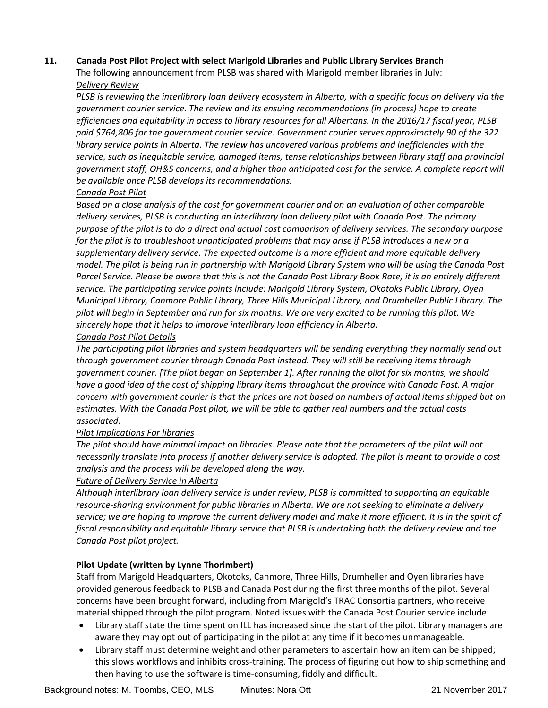#### **11. Canada Post Pilot Project with select Marigold Libraries and Public Library Services Branch**

The following announcement from PLSB was shared with Marigold member libraries in July: *Delivery Review*

PLSB is reviewing the interlibrary loan delivery ecosystem in Alberta, with a specific focus on delivery via the *government courier service. The review and its ensuing recommendations (in process) hope to create* efficiencies and equitability in access to library resources for all Albertans. In the 2016/17 fiscal year, PLSB *paid \$764,806 for the government courier service. Government courier serves approximately 90 of the 322 library service points in Alberta. The review has uncovered various problems and inefficiencies with the service, such as inequitable service, damaged items, tense relationships between library staff and provincial* government staff, OH&S concerns, and a higher than anticipated cost for the service. A complete report will *be available once PLSB develops its recommendations.* 

#### *Canada Post Pilot*

Based on a close analysis of the cost for government courier and on an evaluation of other comparable *delivery services, PLSB is conducting an interlibrary loan delivery pilot with Canada Post. The primary* purpose of the pilot is to do a direct and actual cost comparison of delivery services. The secondary purpose for the pilot is to troubleshoot unanticipated problems that may arise if PLSB introduces a new or a *supplementary delivery service. The expected outcome is a more efficient and more equitable delivery* model. The pilot is being run in partnership with Marigold Library System who will be using the Canada Post Parcel Service. Please be aware that this is not the Canada Post Library Book Rate; it is an entirely different *service. The participating service points include: Marigold Library System, Okotoks Public Library, Oyen Municipal Library, Canmore Public Library, Three Hills Municipal Library, and Drumheller Public Library. The* pilot will begin in September and run for six months. We are very excited to be running this pilot. We *sincerely hope that it helps to improve interlibrary loan efficiency in Alberta.* 

#### *Canada Post Pilot Details*

*The participating pilot libraries and system headquarters will be sending everything they normally send out through government courier through Canada Post instead. They will still be receiving items through government courier. [The pilot began on September 1]. After running the pilot for six months, we should* have a good idea of the cost of shipping library items throughout the province with Canada Post. A major concern with government courier is that the prices are not based on numbers of actual items shipped but on *estimates. With the Canada Post pilot, we will be able to gather real numbers and the actual costs associated.*

#### *Pilot Implications For libraries*

The pilot should have minimal impact on libraries. Please note that the parameters of the pilot will not necessarily translate into process if another delivery service is adopted. The pilot is meant to provide a cost *analysis and the process will be developed along the way.* 

#### *Future of Delivery Service in Alberta*

*Although interlibrary loan delivery service is under review, PLSB is committed to supporting an equitable resource‐sharing environment for public libraries in Alberta. We are not seeking to eliminate a delivery* service; we are hoping to improve the current delivery model and make it more efficient. It is in the spirit of *fiscal responsibility and equitable library service that PLSB is undertaking both the delivery review and the Canada Post pilot project.*

#### **Pilot Update (written by Lynne Thorimbert)**

Staff from Marigold Headquarters, Okotoks, Canmore, Three Hills, Drumheller and Oyen libraries have provided generous feedback to PLSB and Canada Post during the first three months of the pilot. Several concerns have been brought forward, including from Marigold's TRAC Consortia partners, who receive material shipped through the pilot program. Noted issues with the Canada Post Courier service include:

- Library staff state the time spent on ILL has increased since the start of the pilot. Library managers are aware they may opt out of participating in the pilot at any time if it becomes unmanageable.
- Library staff must determine weight and other parameters to ascertain how an item can be shipped; this slows workflows and inhibits cross‐training. The process of figuring out how to ship something and then having to use the software is time‐consuming, fiddly and difficult.